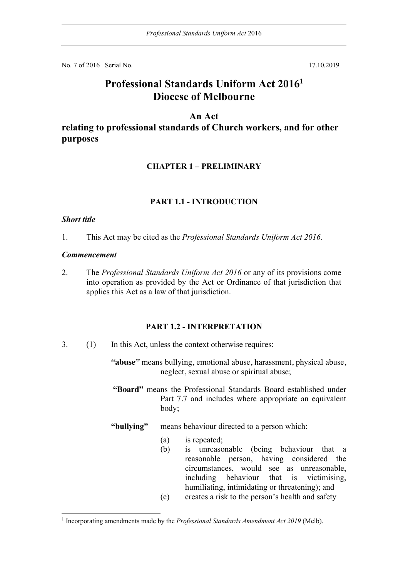No. 7 of 2016 Serial No. 17.10.2019

# **Professional Standards Uniform Act 20161 Diocese of Melbourne**

### **An Act**

# **relating to professional standards of Church workers, and for other purposes**

#### **CHAPTER 1 – PRELIMINARY**

#### **PART 1.1 - INTRODUCTION**

#### *Short title*

1. This Act may be cited as the *Professional Standards Uniform Act 2016*.

#### *Commencement*

2. The *Professional Standards Uniform Act 2016* or any of its provisions come into operation as provided by the Act or Ordinance of that jurisdiction that applies this Act as a law of that jurisdiction.

#### **PART 1.2 - INTERPRETATION**

3. (1) In this Act, unless the context otherwise requires:

*"***abuse***"* means bullying, emotional abuse, harassment, physical abuse, neglect, sexual abuse or spiritual abuse;

**"Board"** means the Professional Standards Board established under Part 7.7 and includes where appropriate an equivalent body;

#### **"bullying"** means behaviour directed to a person which:

- (a) is repeated;
- (b) is unreasonable (being behaviour that a reasonable person, having considered the circumstances, would see as unreasonable, including behaviour that is victimising, humiliating, intimidating or threatening); and
- (c) creates a risk to the person's health and safety

<sup>1</sup> Incorporating amendments made by the *Professional Standards Amendment Act 2019* (Melb).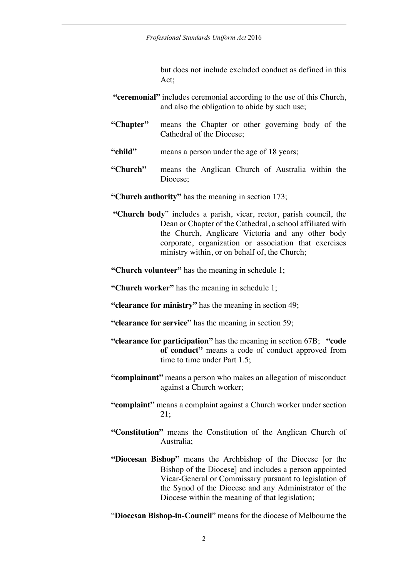but does not include excluded conduct as defined in this Act;

- **"ceremonial"** includes ceremonial according to the use of this Church, and also the obligation to abide by such use;
- **"Chapter"** means the Chapter or other governing body of the Cathedral of the Diocese;
- **"child"** means a person under the age of 18 years;
- **"Church"** means the Anglican Church of Australia within the Diocese;
- **"Church authority"** has the meaning in section 173;
- **"Church body**" includes a parish, vicar, rector, parish council, the Dean or Chapter of the Cathedral, a school affiliated with the Church, Anglicare Victoria and any other body corporate, organization or association that exercises ministry within, or on behalf of, the Church;
- **"Church volunteer"** has the meaning in schedule 1;

**"Church worker"** has the meaning in schedule 1;

- **"clearance for ministry"** has the meaning in section 49;
- **"clearance for service"** has the meaning in section 59;
- **"clearance for participation"** has the meaning in section 67B; **"code of conduct"** means a code of conduct approved from time to time under Part 1.5;
- **"complainant"** means a person who makes an allegation of misconduct against a Church worker;
- **"complaint"** means a complaint against a Church worker under section 21;
- **"Constitution"** means the Constitution of the Anglican Church of Australia;
- **"Diocesan Bishop"** means the Archbishop of the Diocese [or the Bishop of the Diocese] and includes a person appointed Vicar-General or Commissary pursuant to legislation of the Synod of the Diocese and any Administrator of the Diocese within the meaning of that legislation;
- "**Diocesan Bishop-in-Council**" means for the diocese of Melbourne the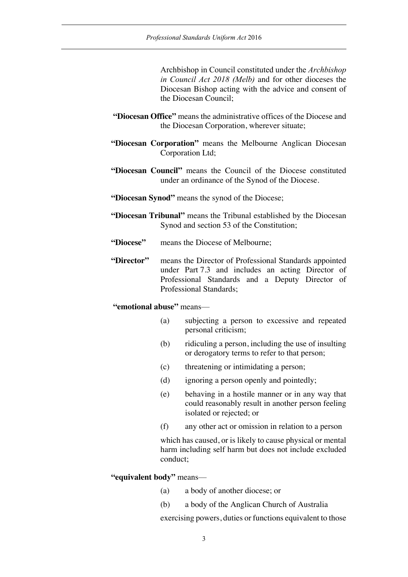Archbishop in Council constituted under the *Archbishop in Council Act 2018 (Melb)* and for other dioceses the Diocesan Bishop acting with the advice and consent of the Diocesan Council;

- **"Diocesan Office"** means the administrative offices of the Diocese and the Diocesan Corporation, wherever situate;
- **"Diocesan Corporation"** means the Melbourne Anglican Diocesan Corporation Ltd;
- **"Diocesan Council"** means the Council of the Diocese constituted under an ordinance of the Synod of the Diocese.
- **"Diocesan Synod"** means the synod of the Diocese;
- **"Diocesan Tribunal"** means the Tribunal established by the Diocesan Synod and section 53 of the Constitution;
- **"Diocese"** means the Diocese of Melbourne;
- **"Director"** means the Director of Professional Standards appointed under Part 7.3 and includes an acting Director of Professional Standards and a Deputy Director of Professional Standards;

### **"emotional abuse"** means—

- (a) subjecting a person to excessive and repeated personal criticism;
- (b) ridiculing a person, including the use of insulting or derogatory terms to refer to that person;
- (c) threatening or intimidating a person;
- (d) ignoring a person openly and pointedly;
- (e) behaving in a hostile manner or in any way that could reasonably result in another person feeling isolated or rejected; or
- (f) any other act or omission in relation to a person

which has caused, or is likely to cause physical or mental harm including self harm but does not include excluded conduct;

#### **"equivalent body"** means—

- (a) a body of another diocese; or
- (b) a body of the Anglican Church of Australia

exercising powers, duties or functions equivalent to those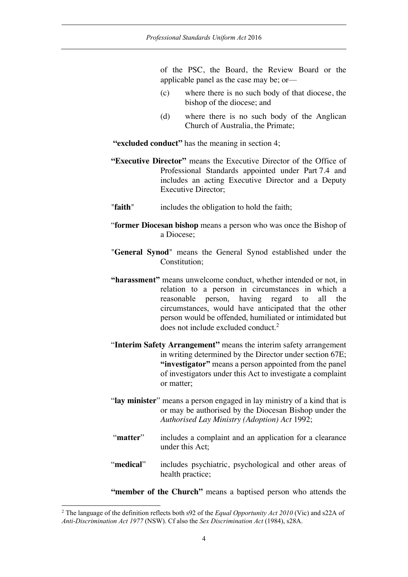of the PSC, the Board, the Review Board or the applicable panel as the case may be; or—

- (c) where there is no such body of that diocese, the bishop of the diocese; and
- (d) where there is no such body of the Anglican Church of Australia, the Primate;

**"excluded conduct"** has the meaning in section 4;

- **"Executive Director"** means the Executive Director of the Office of Professional Standards appointed under Part 7.4 and includes an acting Executive Director and a Deputy Executive Director;
- "**faith**" includes the obligation to hold the faith;
- "**former Diocesan bishop** means a person who was once the Bishop of a Diocese;
- "**General Synod**" means the General Synod established under the Constitution;
- **"harassment"** means unwelcome conduct, whether intended or not, in relation to a person in circumstances in which a reasonable person, having regard to all the circumstances, would have anticipated that the other person would be offended, humiliated or intimidated but does not include excluded conduct. 2
- "**Interim Safety Arrangement"** means the interim safety arrangement in writing determined by the Director under section 67E; **"investigator"** means a person appointed from the panel of investigators under this Act to investigate a complaint or matter;
- "**lay minister**" means a person engaged in lay ministry of a kind that is or may be authorised by the Diocesan Bishop under the *Authorised Lay Ministry (Adoption) Act* 1992;
- "**matter**" includes a complaint and an application for a clearance under this Act;
- "**medical**" includes psychiatric, psychological and other areas of health practice;
- **"member of the Church"** means a baptised person who attends the

<sup>2</sup> The language of the definition reflects both s92 of the *Equal Opportunity Act 2010* (Vic) and s22A of *Anti-Discrimination Act 1977* (NSW). Cf also the *Sex Discrimination Act* (1984), s28A.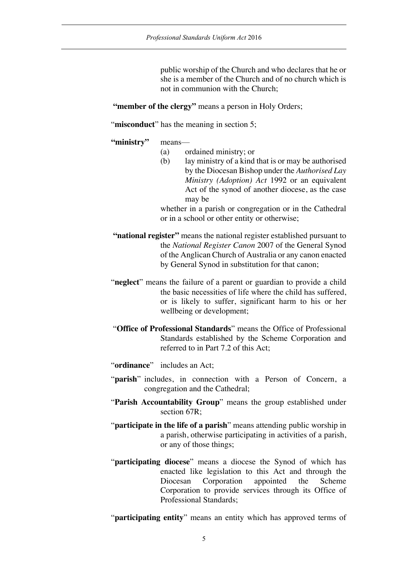public worship of the Church and who declares that he or she is a member of the Church and of no church which is not in communion with the Church;

**"member of the clergy"** means a person in Holy Orders;

"**misconduct**" has the meaning in section 5;

#### **"ministry"** means—

- (a) ordained ministry; or
- (b) lay ministry of a kind that is or may be authorised by the Diocesan Bishop under the *Authorised Lay Ministry (Adoption) Act* 1992 or an equivalent Act of the synod of another diocese, as the case may be

whether in a parish or congregation or in the Cathedral or in a school or other entity or otherwise;

- **"national register"** means the national register established pursuant to the *National Register Canon* 2007 of the General Synod of the Anglican Church of Australia or any canon enacted by General Synod in substitution for that canon;
- "**neglect**" means the failure of a parent or guardian to provide a child the basic necessities of life where the child has suffered, or is likely to suffer, significant harm to his or her wellbeing or development;
- "**Office of Professional Standards**" means the Office of Professional Standards established by the Scheme Corporation and referred to in Part 7.2 of this Act;
- "**ordinance**" includes an Act;
- "**parish**" includes, in connection with a Person of Concern, a congregation and the Cathedral;
- "**Parish Accountability Group**" means the group established under section 67R:
- "**participate in the life of a parish**" means attending public worship in a parish, otherwise participating in activities of a parish, or any of those things;
- "**participating diocese**" means a diocese the Synod of which has enacted like legislation to this Act and through the Diocesan Corporation appointed the Scheme Corporation to provide services through its Office of Professional Standards;

"**participating entity**" means an entity which has approved terms of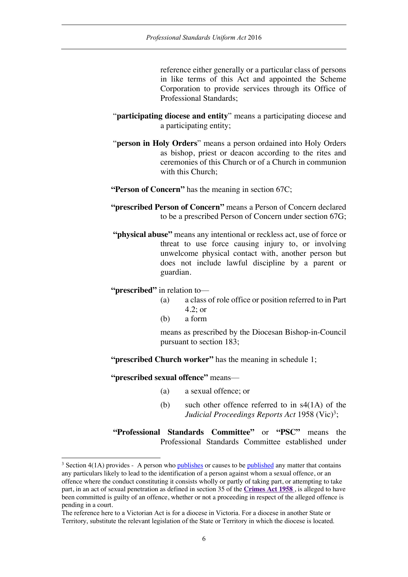reference either generally or a particular class of persons in like terms of this Act and appointed the Scheme Corporation to provide services through its Office of Professional Standards;

- "**participating diocese and entity**" means a participating diocese and a participating entity;
- "**person in Holy Orders**" means a person ordained into Holy Orders as bishop, priest or deacon according to the rites and ceremonies of this Church or of a Church in communion with this Church:
- **"Person of Concern"** has the meaning in section 67C;
- **"prescribed Person of Concern"** means a Person of Concern declared to be a prescribed Person of Concern under section 67G;
- **"physical abuse"** means any intentional or reckless act, use of force or threat to use force causing injury to, or involving unwelcome physical contact with, another person but does not include lawful discipline by a parent or guardian.

**"prescribed"** in relation to—

- (a) a class of role office or position referred to in Part 4.2; or
- (b) a form

means as prescribed by the Diocesan Bishop-in-Council pursuant to section 183;

**"prescribed Church worker"** has the meaning in schedule 1;

**"prescribed sexual offence"** means—

- (a) a sexual offence; or
- (b) such other offence referred to in s4(1A) of the *Judicial Proceedings Reports Act* 1958 (Vic)<sup>3</sup>;

**"Professional Standards Committee"** or **"PSC"** means the Professional Standards Committee established under

 $3$  Section 4(1A) provides - A person who publishes or causes to be published any matter that contains any particulars likely to lead to the identification of a person against whom a sexual offence, or an offence where the conduct constituting it consists wholly or partly of taking part, or attempting to take part, in an act of sexual penetration as defined in section 35 of the **Crimes Act 1958** , is alleged to have been committed is guilty of an offence, whether or not a proceeding in respect of the alleged offence is pending in a court.

The reference here to a Victorian Act is for a diocese in Victoria. For a diocese in another State or Territory, substitute the relevant legislation of the State or Territory in which the diocese is located.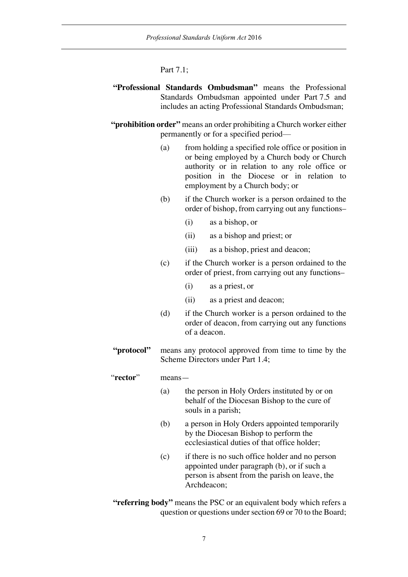#### Part 7.1;

- **"Professional Standards Ombudsman"** means the Professional Standards Ombudsman appointed under Part 7.5 and includes an acting Professional Standards Ombudsman;
- **"prohibition order"** means an order prohibiting a Church worker either permanently or for a specified period—
	- (a) from holding a specified role office or position in or being employed by a Church body or Church authority or in relation to any role office or position in the Diocese or in relation to employment by a Church body; or
	- (b) if the Church worker is a person ordained to the order of bishop, from carrying out any functions–
		- (i) as a bishop, or
		- (ii) as a bishop and priest; or
		- (iii) as a bishop, priest and deacon;
	- (c) if the Church worker is a person ordained to the order of priest, from carrying out any functions–
		- (i) as a priest, or
		- (ii) as a priest and deacon;
	- (d) if the Church worker is a person ordained to the order of deacon, from carrying out any functions of a deacon.
- **"protocol"** means any protocol approved from time to time by the Scheme Directors under Part 1.4;

#### "**rector**" means—

- (a) the person in Holy Orders instituted by or on behalf of the Diocesan Bishop to the cure of souls in a parish;
- (b) a person in Holy Orders appointed temporarily by the Diocesan Bishop to perform the ecclesiastical duties of that office holder;
- (c) if there is no such office holder and no person appointed under paragraph (b), or if such a person is absent from the parish on leave, the Archdeacon;
- **"referring body"** means the PSC or an equivalent body which refers a question or questions under section 69 or 70 to the Board;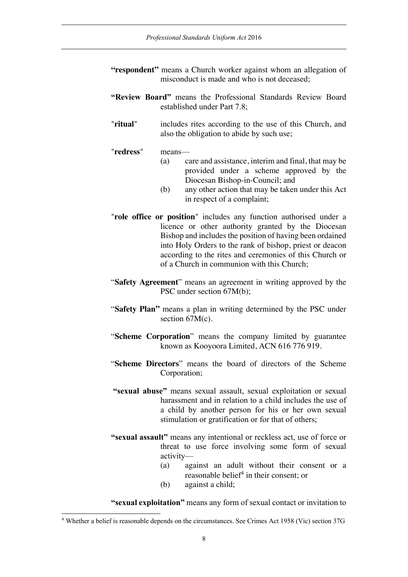- "respondent" means a Church worker against whom an allegation of misconduct is made and who is not deceased;
- **"Review Board"** means the Professional Standards Review Board established under Part 7.8;
- "**ritual**" includes rites according to the use of this Church, and also the obligation to abide by such use;

#### "**redress**" means—

- (a) care and assistance, interim and final, that may be provided under a scheme approved by the Diocesan Bishop-in-Council; and
- (b) any other action that may be taken under this Act in respect of a complaint;
- "**role office or position**" includes any function authorised under a licence or other authority granted by the Diocesan Bishop and includes the position of having been ordained into Holy Orders to the rank of bishop, priest or deacon according to the rites and ceremonies of this Church or of a Church in communion with this Church;
- "**Safety Agreement**" means an agreement in writing approved by the PSC under section 67M(b);
- "**Safety Plan"** means a plan in writing determined by the PSC under section 67M(c).
- "**Scheme Corporation**" means the company limited by guarantee known as Kooyoora Limited, ACN 616 776 919.
- "**Scheme Directors**" means the board of directors of the Scheme Corporation;
- **"sexual abuse"** means sexual assault, sexual exploitation or sexual harassment and in relation to a child includes the use of a child by another person for his or her own sexual stimulation or gratification or for that of others;
- **"sexual assault"** means any intentional or reckless act, use of force or threat to use force involving some form of sexual activity—
	- (a) against an adult without their consent or a reasonable belief<sup>4</sup> in their consent; or
	- (b) against a child;

**"sexual exploitation"** means any form of sexual contact or invitation to

<sup>4</sup> Whether a belief is reasonable depends on the circumstances. See Crimes Act 1958 (Vic) section 37G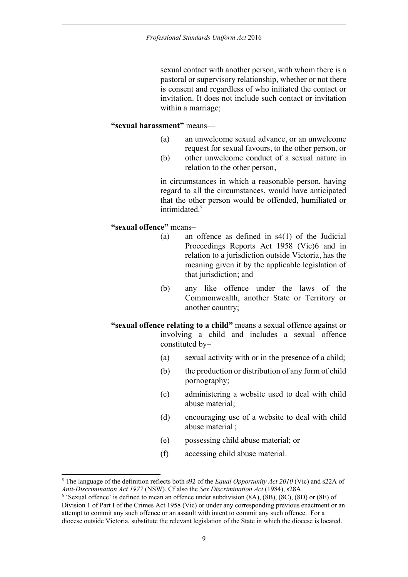sexual contact with another person, with whom there is a pastoral or supervisory relationship, whether or not there is consent and regardless of who initiated the contact or invitation. It does not include such contact or invitation within a marriage;

### **"sexual harassment"** means—

- (a) an unwelcome sexual advance, or an unwelcome request for sexual favours, to the other person, or
- (b) other unwelcome conduct of a sexual nature in relation to the other person,

in circumstances in which a reasonable person, having regard to all the circumstances, would have anticipated that the other person would be offended, humiliated or intimidated.5

### **"sexual offence"** means–

- (a) an offence as defined in s4(1) of the Judicial Proceedings Reports Act 1958 (Vic)6 and in relation to a jurisdiction outside Victoria, has the meaning given it by the applicable legislation of that jurisdiction; and
- (b) any like offence under the laws of the Commonwealth, another State or Territory or another country;
- **"sexual offence relating to a child"** means a sexual offence against or involving a child and includes a sexual offence constituted by–
	- (a) sexual activity with or in the presence of a child;
	- (b) the production or distribution of any form of child pornography;
	- (c) administering a website used to deal with child abuse material;
	- (d) encouraging use of a website to deal with child abuse material ;
	- (e) possessing child abuse material; or
	- (f) accessing child abuse material.

<sup>5</sup> The language of the definition reflects both s92 of the *Equal Opportunity Act 2010* (Vic) and s22A of *Anti-Discrimination Act 1977* (NSW). Cf also the *Sex Discrimination Act* (1984), s28A.

<sup>6</sup> 'Sexual offence' is defined to mean an offence under subdivision (8A), (8B), (8C), (8D) or (8E) of Division 1 of Part I of the Crimes Act 1958 (Vic) or under any corresponding previous enactment or an attempt to commit any such offence or an assault with intent to commit any such offence. For a diocese outside Victoria, substitute the relevant legislation of the State in which the diocese is located.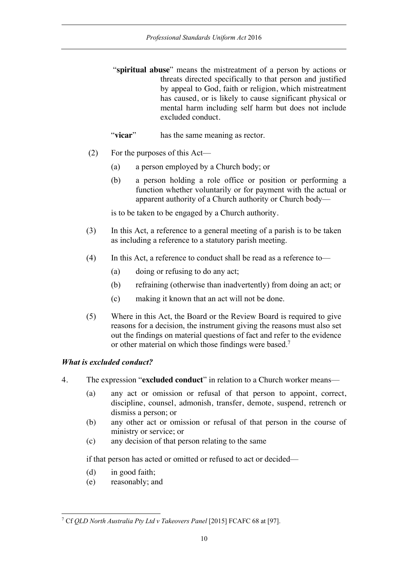- "**spiritual abuse**" means the mistreatment of a person by actions or threats directed specifically to that person and justified by appeal to God, faith or religion, which mistreatment has caused, or is likely to cause significant physical or mental harm including self harm but does not include excluded conduct.
- "**vicar**" has the same meaning as rector.
- (2) For the purposes of this Act—
	- (a) a person employed by a Church body; or
	- (b) a person holding a role office or position or performing a function whether voluntarily or for payment with the actual or apparent authority of a Church authority or Church body—

is to be taken to be engaged by a Church authority.

- (3) In this Act, a reference to a general meeting of a parish is to be taken as including a reference to a statutory parish meeting.
- (4) In this Act, a reference to conduct shall be read as a reference to—
	- (a) doing or refusing to do any act;
	- (b) refraining (otherwise than inadvertently) from doing an act; or
	- (c) making it known that an act will not be done.
- (5) Where in this Act, the Board or the Review Board is required to give reasons for a decision, the instrument giving the reasons must also set out the findings on material questions of fact and refer to the evidence or other material on which those findings were based.7

# *What is excluded conduct?*

- 4. The expression "**excluded conduct**" in relation to a Church worker means—
	- (a) any act or omission or refusal of that person to appoint, correct, discipline, counsel, admonish, transfer, demote, suspend, retrench or dismiss a person; or
	- (b) any other act or omission or refusal of that person in the course of ministry or service; or
	- (c) any decision of that person relating to the same

if that person has acted or omitted or refused to act or decided—

- (d) in good faith;
- (e) reasonably; and

<sup>7</sup> Cf *QLD North Australia Pty Ltd v Takeovers Panel* [2015] FCAFC 68 at [97].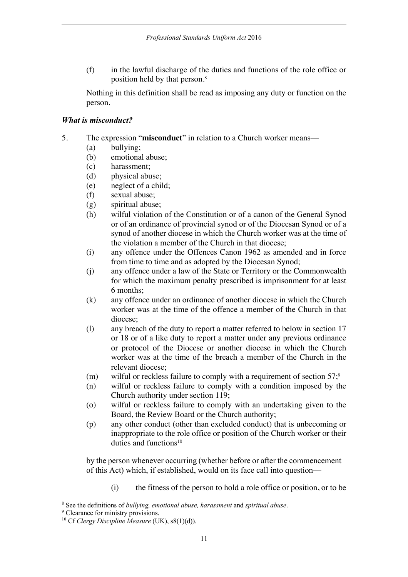(f) in the lawful discharge of the duties and functions of the role office or position held by that person. 8

Nothing in this definition shall be read as imposing any duty or function on the person.

### *What is misconduct?*

- 5. The expression "**misconduct**" in relation to a Church worker means—
	- (a) bullying;
	- (b) emotional abuse;
	- (c) harassment;
	- (d) physical abuse;
	- (e) neglect of a child;
	- (f) sexual abuse;
	- (g) spiritual abuse;
	- (h) wilful violation of the Constitution or of a canon of the General Synod or of an ordinance of provincial synod or of the Diocesan Synod or of a synod of another diocese in which the Church worker was at the time of the violation a member of the Church in that diocese;
	- (i) any offence under the Offences Canon 1962 as amended and in force from time to time and as adopted by the Diocesan Synod;
	- (j) any offence under a law of the State or Territory or the Commonwealth for which the maximum penalty prescribed is imprisonment for at least 6 months;
	- (k) any offence under an ordinance of another diocese in which the Church worker was at the time of the offence a member of the Church in that diocese;
	- (l) any breach of the duty to report a matter referred to below in section 17 or 18 or of a like duty to report a matter under any previous ordinance or protocol of the Diocese or another diocese in which the Church worker was at the time of the breach a member of the Church in the relevant diocese;
	- $(m)$  wilful or reckless failure to comply with a requirement of section  $57$ ;<sup>9</sup>
	- (n) wilful or reckless failure to comply with a condition imposed by the Church authority under section 119;
	- (o) wilful or reckless failure to comply with an undertaking given to the Board, the Review Board or the Church authority;
	- (p) any other conduct (other than excluded conduct) that is unbecoming or inappropriate to the role office or position of the Church worker or their duties and functions<sup>10</sup>

by the person whenever occurring (whether before or after the commencement of this Act) which, if established, would on its face call into question—

(i) the fitness of the person to hold a role office or position, or to be

<sup>8</sup> See the definitions of *bullying, emotional abuse, harassment* and *spiritual abuse*.

<sup>&</sup>lt;sup>9</sup> Clearance for ministry provisions.

<sup>10</sup> Cf *Clergy Discipline Measure* (UK), s8(1)(d)).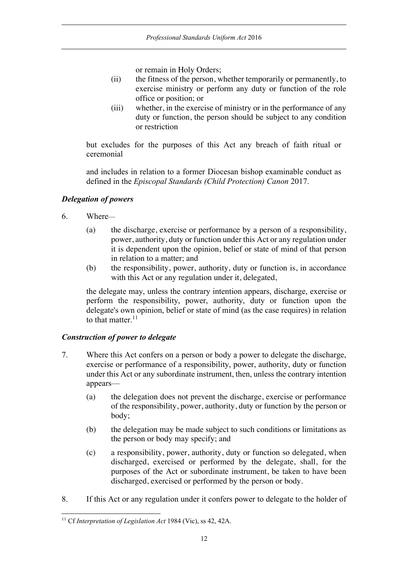or remain in Holy Orders;

- (ii) the fitness of the person, whether temporarily or permanently, to exercise ministry or perform any duty or function of the role office or position; or
- (iii) whether, in the exercise of ministry or in the performance of any duty or function, the person should be subject to any condition or restriction

but excludes for the purposes of this Act any breach of faith ritual or ceremonial

and includes in relation to a former Diocesan bishop examinable conduct as defined in the *Episcopal Standards (Child Protection) Canon* 2017.

# *Delegation of powers*

- 6. Where—
	- (a) the discharge, exercise or performance by a person of a responsibility, power, authority, duty or function under this Act or any regulation under it is dependent upon the opinion, belief or state of mind of that person in relation to a matter; and
	- (b) the responsibility, power, authority, duty or function is, in accordance with this Act or any regulation under it, delegated,

the delegate may, unless the contrary intention appears, discharge, exercise or perform the responsibility, power, authority, duty or function upon the delegate's own opinion, belief or state of mind (as the case requires) in relation to that matter. $11$ 

# *Construction of power to delegate*

- 7. Where this Act confers on a person or body a power to delegate the discharge, exercise or performance of a responsibility, power, authority, duty or function under this Act or any subordinate instrument, then, unless the contrary intention appears—
	- (a) the delegation does not prevent the discharge, exercise or performance of the responsibility, power, authority, duty or function by the person or body;
	- (b) the delegation may be made subject to such conditions or limitations as the person or body may specify; and
	- (c) a responsibility, power, authority, duty or function so delegated, when discharged, exercised or performed by the delegate, shall, for the purposes of the Act or subordinate instrument, be taken to have been discharged, exercised or performed by the person or body.
- 8. If this Act or any regulation under it confers power to delegate to the holder of

<sup>11</sup> Cf *Interpretation of Legislation Act* 1984 (Vic), ss 42, 42A.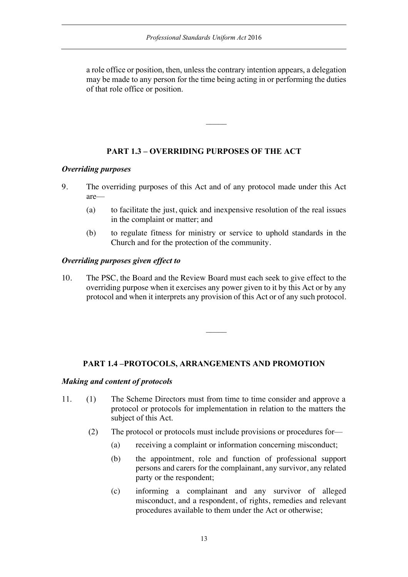a role office or position, then, unless the contrary intention appears, a delegation may be made to any person for the time being acting in or performing the duties of that role office or position.

### **PART 1.3 – OVERRIDING PURPOSES OF THE ACT**

#### *Overriding purposes*

- 9. The overriding purposes of this Act and of any protocol made under this Act are—
	- (a) to facilitate the just, quick and inexpensive resolution of the real issues in the complaint or matter; and
	- (b) to regulate fitness for ministry or service to uphold standards in the Church and for the protection of the community.

#### *Overriding purposes given effect to*

10. The PSC, the Board and the Review Board must each seek to give effect to the overriding purpose when it exercises any power given to it by this Act or by any protocol and when it interprets any provision of this Act or of any such protocol.

### **PART 1.4 –PROTOCOLS, ARRANGEMENTS AND PROMOTION**

#### *Making and content of protocols*

- 11. (1) The Scheme Directors must from time to time consider and approve a protocol or protocols for implementation in relation to the matters the subject of this Act.
	- (2) The protocol or protocols must include provisions or procedures for—
		- (a) receiving a complaint or information concerning misconduct;
		- (b) the appointment, role and function of professional support persons and carers for the complainant, any survivor, any related party or the respondent;
		- (c) informing a complainant and any survivor of alleged misconduct, and a respondent, of rights, remedies and relevant procedures available to them under the Act or otherwise;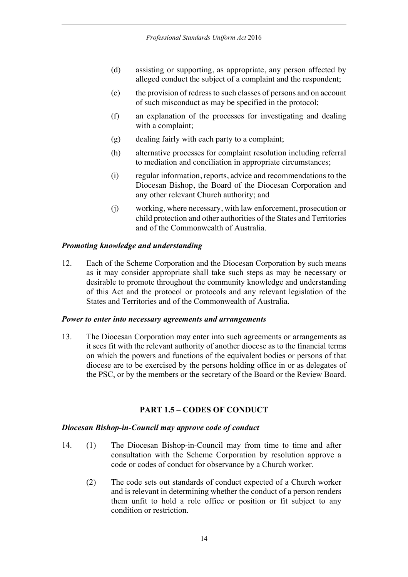- (d) assisting or supporting, as appropriate, any person affected by alleged conduct the subject of a complaint and the respondent;
- (e) the provision of redress to such classes of persons and on account of such misconduct as may be specified in the protocol;
- (f) an explanation of the processes for investigating and dealing with a complaint;
- (g) dealing fairly with each party to a complaint;
- (h) alternative processes for complaint resolution including referral to mediation and conciliation in appropriate circumstances;
- (i) regular information, reports, advice and recommendations to the Diocesan Bishop, the Board of the Diocesan Corporation and any other relevant Church authority; and
- (j) working, where necessary, with law enforcement, prosecution or child protection and other authorities of the States and Territories and of the Commonwealth of Australia.

### *Promoting knowledge and understanding*

12. Each of the Scheme Corporation and the Diocesan Corporation by such means as it may consider appropriate shall take such steps as may be necessary or desirable to promote throughout the community knowledge and understanding of this Act and the protocol or protocols and any relevant legislation of the States and Territories and of the Commonwealth of Australia.

#### *Power to enter into necessary agreements and arrangements*

13. The Diocesan Corporation may enter into such agreements or arrangements as it sees fit with the relevant authority of another diocese as to the financial terms on which the powers and functions of the equivalent bodies or persons of that diocese are to be exercised by the persons holding office in or as delegates of the PSC, or by the members or the secretary of the Board or the Review Board.

### **PART 1.5 – CODES OF CONDUCT**

#### *Diocesan Bishop-in-Council may approve code of conduct*

- 14. (1) The Diocesan Bishop-in-Council may from time to time and after consultation with the Scheme Corporation by resolution approve a code or codes of conduct for observance by a Church worker.
	- (2) The code sets out standards of conduct expected of a Church worker and is relevant in determining whether the conduct of a person renders them unfit to hold a role office or position or fit subject to any condition or restriction.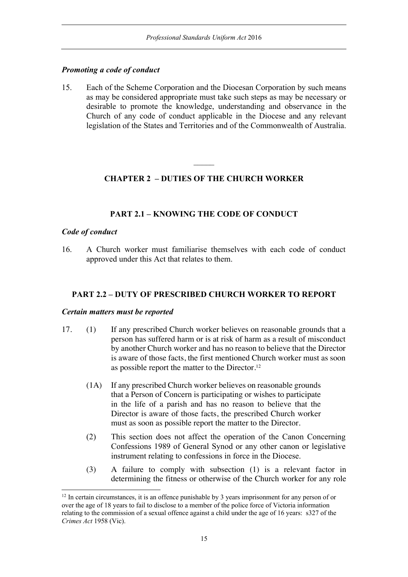### *Promoting a code of conduct*

15. Each of the Scheme Corporation and the Diocesan Corporation by such means as may be considered appropriate must take such steps as may be necessary or desirable to promote the knowledge, understanding and observance in the Church of any code of conduct applicable in the Diocese and any relevant legislation of the States and Territories and of the Commonwealth of Australia.

# **CHAPTER 2 – DUTIES OF THE CHURCH WORKER**

# **PART 2.1 – KNOWING THE CODE OF CONDUCT**

### *Code of conduct*

16. A Church worker must familiarise themselves with each code of conduct approved under this Act that relates to them.

### **PART 2.2 – DUTY OF PRESCRIBED CHURCH WORKER TO REPORT**

#### *Certain matters must be reported*

- 17. (1) If any prescribed Church worker believes on reasonable grounds that a person has suffered harm or is at risk of harm as a result of misconduct by another Church worker and has no reason to believe that the Director is aware of those facts, the first mentioned Church worker must as soon as possible report the matter to the Director.<sup>12</sup>
	- (1A) If any prescribed Church worker believes on reasonable grounds that a Person of Concern is participating or wishes to participate in the life of a parish and has no reason to believe that the Director is aware of those facts, the prescribed Church worker must as soon as possible report the matter to the Director.
	- (2) This section does not affect the operation of the Canon Concerning Confessions 1989 of General Synod or any other canon or legislative instrument relating to confessions in force in the Diocese.
	- (3) A failure to comply with subsection (1) is a relevant factor in determining the fitness or otherwise of the Church worker for any role

<sup>&</sup>lt;sup>12</sup> In certain circumstances, it is an offence punishable by 3 years imprisonment for any person of or over the age of 18 years to fail to disclose to a member of the police force of Victoria information relating to the commission of a sexual offence against a child under the age of 16 years: s327 of the *Crimes Act* 1958 (Vic).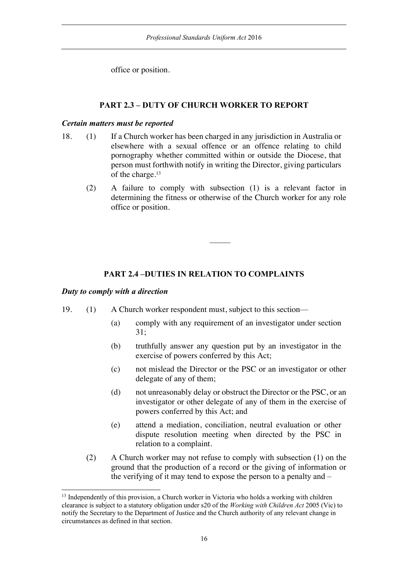office or position.

# **PART 2.3 – DUTY OF CHURCH WORKER TO REPORT**

#### *Certain matters must be reported*

- 18. (1) If a Church worker has been charged in any jurisdiction in Australia or elsewhere with a sexual offence or an offence relating to child pornography whether committed within or outside the Diocese, that person must forthwith notify in writing the Director, giving particulars of the charge. 13
	- (2) A failure to comply with subsection (1) is a relevant factor in determining the fitness or otherwise of the Church worker for any role office or position.

# **PART 2.4 –DUTIES IN RELATION TO COMPLAINTS**

### *Duty to comply with a direction*

- 19. (1) A Church worker respondent must, subject to this section—
	- (a) comply with any requirement of an investigator under section 31;
	- (b) truthfully answer any question put by an investigator in the exercise of powers conferred by this Act;
	- (c) not mislead the Director or the PSC or an investigator or other delegate of any of them;
	- (d) not unreasonably delay or obstruct the Director or the PSC, or an investigator or other delegate of any of them in the exercise of powers conferred by this Act; and
	- (e) attend a mediation, conciliation, neutral evaluation or other dispute resolution meeting when directed by the PSC in relation to a complaint.
	- (2) A Church worker may not refuse to comply with subsection (1) on the ground that the production of a record or the giving of information or the verifying of it may tend to expose the person to a penalty and –

<sup>&</sup>lt;sup>13</sup> Independently of this provision, a Church worker in Victoria who holds a working with children clearance is subject to a statutory obligation under s20 of the *Working with Children Act* 2005 (Vic) to notify the Secretary to the Department of Justice and the Church authority of any relevant change in circumstances as defined in that section.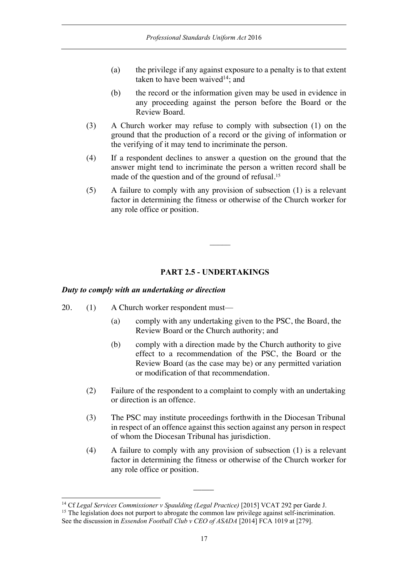- (a) the privilege if any against exposure to a penalty is to that extent taken to have been waived $14$ ; and
- (b) the record or the information given may be used in evidence in any proceeding against the person before the Board or the Review Board.
- (3) A Church worker may refuse to comply with subsection (1) on the ground that the production of a record or the giving of information or the verifying of it may tend to incriminate the person.
- (4) If a respondent declines to answer a question on the ground that the answer might tend to incriminate the person a written record shall be made of the question and of the ground of refusal.<sup>15</sup>
- (5) A failure to comply with any provision of subsection (1) is a relevant factor in determining the fitness or otherwise of the Church worker for any role office or position.

# **PART 2.5 - UNDERTAKINGS**

### *Duty to comply with an undertaking or direction*

- 20. (1) A Church worker respondent must—
	- (a) comply with any undertaking given to the PSC, the Board, the Review Board or the Church authority; and
	- (b) comply with a direction made by the Church authority to give effect to a recommendation of the PSC, the Board or the Review Board (as the case may be) or any permitted variation or modification of that recommendation.
	- (2) Failure of the respondent to a complaint to comply with an undertaking or direction is an offence.
	- (3) The PSC may institute proceedings forthwith in the Diocesan Tribunal in respect of an offence against this section against any person in respect of whom the Diocesan Tribunal has jurisdiction.
	- (4) A failure to comply with any provision of subsection (1) is a relevant factor in determining the fitness or otherwise of the Church worker for any role office or position.

 $\overline{\phantom{a}}$ 

<sup>14</sup> Cf *Legal Services Commissioner v Spaulding (Legal Practice)* [2015] VCAT 292 per Garde J.

<sup>&</sup>lt;sup>15</sup> The legislation does not purport to abrogate the common law privilege against self-incrimination. See the discussion in *Essendon Football Club v CEO of ASADA* [2014] FCA 1019 at [279].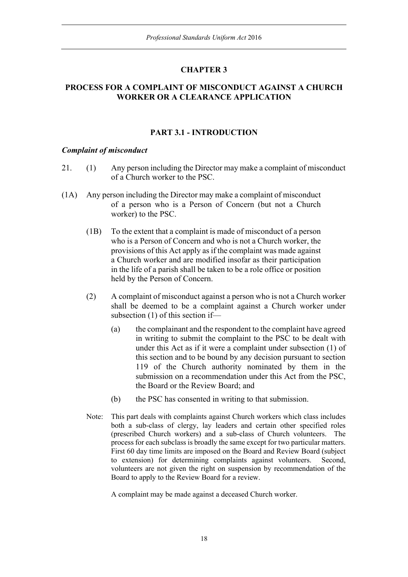# **CHAPTER 3**

### **PROCESS FOR A COMPLAINT OF MISCONDUCT AGAINST A CHURCH WORKER OR A CLEARANCE APPLICATION**

# **PART 3.1 - INTRODUCTION**

#### *Complaint of misconduct*

- 21. (1) Any person including the Director may make a complaint of misconduct of a Church worker to the PSC.
- (1A) Any person including the Director may make a complaint of misconduct of a person who is a Person of Concern (but not a Church worker) to the PSC.
	- (1B) To the extent that a complaint is made of misconduct of a person who is a Person of Concern and who is not a Church worker, the provisions of this Act apply as if the complaint was made against a Church worker and are modified insofar as their participation in the life of a parish shall be taken to be a role office or position held by the Person of Concern.
	- (2) A complaint of misconduct against a person who is not a Church worker shall be deemed to be a complaint against a Church worker under subsection (1) of this section if—
		- (a) the complainant and the respondent to the complaint have agreed in writing to submit the complaint to the PSC to be dealt with under this Act as if it were a complaint under subsection (1) of this section and to be bound by any decision pursuant to section 119 of the Church authority nominated by them in the submission on a recommendation under this Act from the PSC, the Board or the Review Board; and
		- (b) the PSC has consented in writing to that submission.
	- Note: This part deals with complaints against Church workers which class includes both a sub-class of clergy, lay leaders and certain other specified roles (prescribed Church workers) and a sub-class of Church volunteers. The process for each subclass is broadly the same except for two particular matters. First 60 day time limits are imposed on the Board and Review Board (subject to extension) for determining complaints against volunteers. Second, volunteers are not given the right on suspension by recommendation of the Board to apply to the Review Board for a review.

A complaint may be made against a deceased Church worker.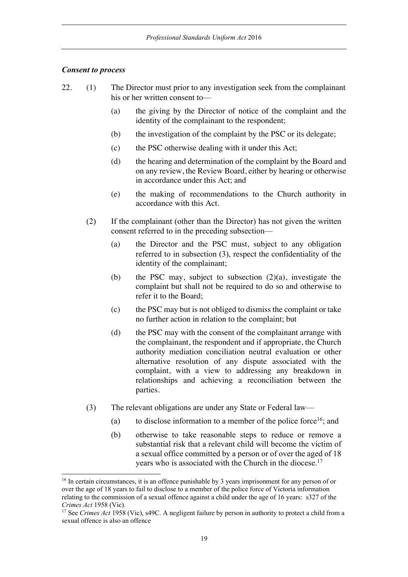#### *Consent to process*

- 22. (1) The Director must prior to any investigation seek from the complainant his or her written consent to—
	- (a) the giving by the Director of notice of the complaint and the identity of the complainant to the respondent;
	- (b) the investigation of the complaint by the PSC or its delegate;
	- (c) the PSC otherwise dealing with it under this Act;
	- (d) the hearing and determination of the complaint by the Board and on any review, the Review Board, either by hearing or otherwise in accordance under this Act; and
	- (e) the making of recommendations to the Church authority in accordance with this Act.
	- (2) If the complainant (other than the Director) has not given the written consent referred to in the preceding subsection—
		- (a) the Director and the PSC must, subject to any obligation referred to in subsection (3), respect the confidentiality of the identity of the complainant;
		- (b) the PSC may, subject to subsection (2)(a), investigate the complaint but shall not be required to do so and otherwise to refer it to the Board;
		- (c) the PSC may but is not obliged to dismiss the complaint or take no further action in relation to the complaint; but
		- (d) the PSC may with the consent of the complainant arrange with the complainant, the respondent and if appropriate, the Church authority mediation conciliation neutral evaluation or other alternative resolution of any dispute associated with the complaint, with a view to addressing any breakdown in relationships and achieving a reconciliation between the parties.
	- (3) The relevant obligations are under any State or Federal law—
		- (a) to disclose information to a member of the police force<sup>16</sup>; and
		- (b) otherwise to take reasonable steps to reduce or remove a substantial risk that a relevant child will become the victim of a sexual office committed by a person or of over the aged of 18 years who is associated with the Church in the diocese.<sup>17</sup>

<sup>&</sup>lt;sup>16</sup> In certain circumstances, it is an offence punishable by 3 years imprisonment for any person of or over the age of 18 years to fail to disclose to a member of the police force of Victoria information relating to the commission of a sexual offence against a child under the age of 16 years: s327 of the *Crimes Act* 1958 (Vic).

<sup>&</sup>lt;sup>17</sup> See *Crimes Act* 1958 (Vic), s49C. A negligent failure by person in authority to protect a child from a sexual offence is also an offence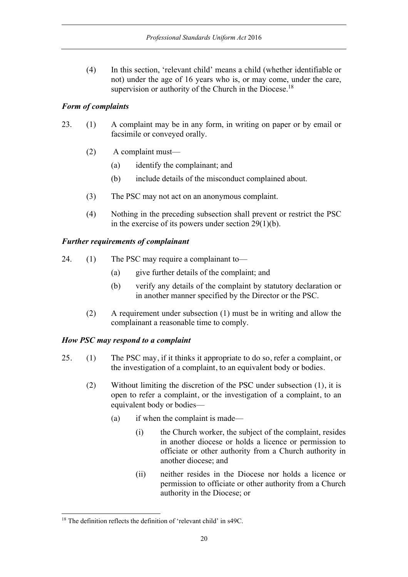(4) In this section, 'relevant child' means a child (whether identifiable or not) under the age of 16 years who is, or may come, under the care, supervision or authority of the Church in the Diocese.<sup>18</sup>

# *Form of complaints*

- 23. (1) A complaint may be in any form, in writing on paper or by email or facsimile or conveyed orally.
	- (2) A complaint must—
		- (a) identify the complainant; and
		- (b) include details of the misconduct complained about.
	- (3) The PSC may not act on an anonymous complaint.
	- (4) Nothing in the preceding subsection shall prevent or restrict the PSC in the exercise of its powers under section  $29(1)(b)$ .

# *Further requirements of complainant*

- 24. (1) The PSC may require a complainant to—
	- (a) give further details of the complaint; and
	- (b) verify any details of the complaint by statutory declaration or in another manner specified by the Director or the PSC.
	- (2) A requirement under subsection (1) must be in writing and allow the complainant a reasonable time to comply.

# *How PSC may respond to a complaint*

- 25. (1) The PSC may, if it thinks it appropriate to do so, refer a complaint, or the investigation of a complaint, to an equivalent body or bodies.
	- (2) Without limiting the discretion of the PSC under subsection (1), it is open to refer a complaint, or the investigation of a complaint, to an equivalent body or bodies—
		- (a) if when the complaint is made—
			- (i) the Church worker, the subject of the complaint, resides in another diocese or holds a licence or permission to officiate or other authority from a Church authority in another diocese; and
			- (ii) neither resides in the Diocese nor holds a licence or permission to officiate or other authority from a Church authority in the Diocese; or

<sup>&</sup>lt;sup>18</sup> The definition reflects the definition of 'relevant child' in s49C.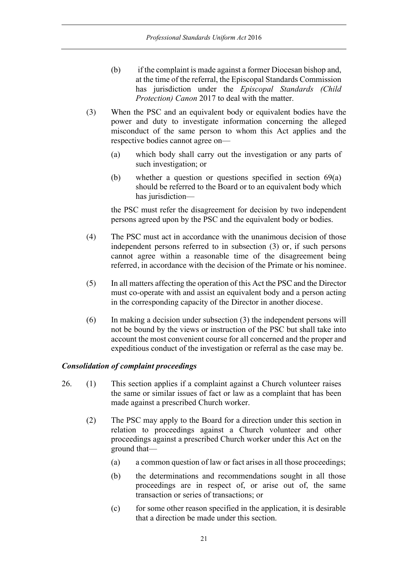- (b) if the complaint is made against a former Diocesan bishop and, at the time of the referral, the Episcopal Standards Commission has jurisdiction under the *Episcopal Standards (Child Protection) Canon* 2017 to deal with the matter.
- (3) When the PSC and an equivalent body or equivalent bodies have the power and duty to investigate information concerning the alleged misconduct of the same person to whom this Act applies and the respective bodies cannot agree on—
	- (a) which body shall carry out the investigation or any parts of such investigation; or
	- (b) whether a question or questions specified in section 69(a) should be referred to the Board or to an equivalent body which has jurisdiction—

the PSC must refer the disagreement for decision by two independent persons agreed upon by the PSC and the equivalent body or bodies.

- (4) The PSC must act in accordance with the unanimous decision of those independent persons referred to in subsection (3) or, if such persons cannot agree within a reasonable time of the disagreement being referred, in accordance with the decision of the Primate or his nominee.
- (5) In all matters affecting the operation of this Act the PSC and the Director must co-operate with and assist an equivalent body and a person acting in the corresponding capacity of the Director in another diocese.
- (6) In making a decision under subsection (3) the independent persons will not be bound by the views or instruction of the PSC but shall take into account the most convenient course for all concerned and the proper and expeditious conduct of the investigation or referral as the case may be.

### *Consolidation of complaint proceedings*

- 26. (1) This section applies if a complaint against a Church volunteer raises the same or similar issues of fact or law as a complaint that has been made against a prescribed Church worker.
	- (2) The PSC may apply to the Board for a direction under this section in relation to proceedings against a Church volunteer and other proceedings against a prescribed Church worker under this Act on the ground that—
		- (a) a common question of law or fact arises in all those proceedings;
		- (b) the determinations and recommendations sought in all those proceedings are in respect of, or arise out of, the same transaction or series of transactions; or
		- (c) for some other reason specified in the application, it is desirable that a direction be made under this section.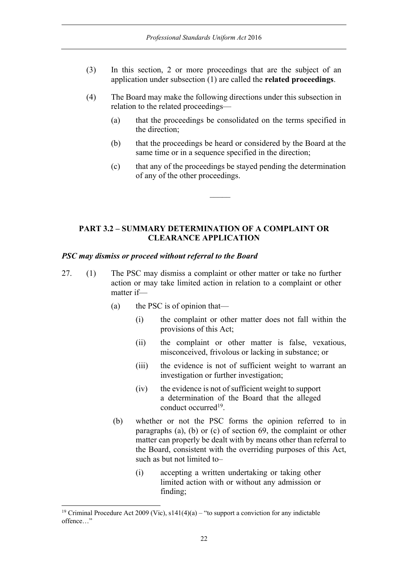- (3) In this section, 2 or more proceedings that are the subject of an application under subsection (1) are called the **related proceedings**.
- (4) The Board may make the following directions under this subsection in relation to the related proceedings—
	- (a) that the proceedings be consolidated on the terms specified in the direction;
	- (b) that the proceedings be heard or considered by the Board at the same time or in a sequence specified in the direction;
	- (c) that any of the proceedings be stayed pending the determination of any of the other proceedings.

# **PART 3.2 – SUMMARY DETERMINATION OF A COMPLAINT OR CLEARANCE APPLICATION**

#### *PSC may dismiss or proceed without referral to the Board*

- 27. (1) The PSC may dismiss a complaint or other matter or take no further action or may take limited action in relation to a complaint or other matter if—
	- (a) the PSC is of opinion that—
		- (i) the complaint or other matter does not fall within the provisions of this Act;
		- (ii) the complaint or other matter is false, vexatious, misconceived, frivolous or lacking in substance; or
		- (iii) the evidence is not of sufficient weight to warrant an investigation or further investigation;
		- (iv) the evidence is not of sufficient weight to support a determination of the Board that the alleged conduct occurred19.
	- (b) whether or not the PSC forms the opinion referred to in paragraphs (a), (b) or (c) of section 69, the complaint or other matter can properly be dealt with by means other than referral to the Board, consistent with the overriding purposes of this Act, such as but not limited to–
		- (i) accepting a written undertaking or taking other limited action with or without any admission or finding;

<sup>&</sup>lt;sup>19</sup> Criminal Procedure Act 2009 (Vic),  $s141(4)(a)$  – "to support a conviction for any indictable offence…"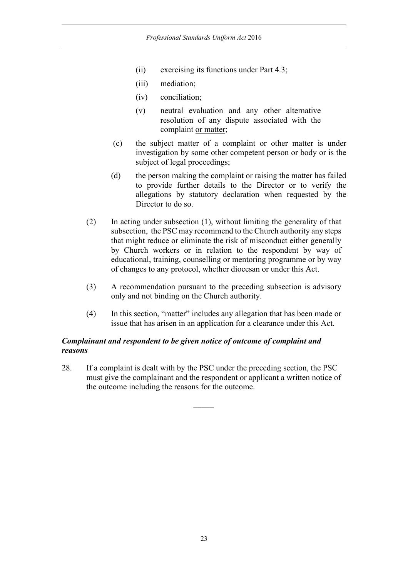- (ii) exercising its functions under Part 4.3;
- (iii) mediation;
- (iv) conciliation;
- (v) neutral evaluation and any other alternative resolution of any dispute associated with the complaint or matter;
- (c) the subject matter of a complaint or other matter is under investigation by some other competent person or body or is the subject of legal proceedings;
- (d) the person making the complaint or raising the matter has failed to provide further details to the Director or to verify the allegations by statutory declaration when requested by the Director to do so.
- (2) In acting under subsection (1), without limiting the generality of that subsection, the PSC may recommend to the Church authority any steps that might reduce or eliminate the risk of misconduct either generally by Church workers or in relation to the respondent by way of educational, training, counselling or mentoring programme or by way of changes to any protocol, whether diocesan or under this Act.
- (3) A recommendation pursuant to the preceding subsection is advisory only and not binding on the Church authority.
- (4) In this section, "matter" includes any allegation that has been made or issue that has arisen in an application for a clearance under this Act.

# *Complainant and respondent to be given notice of outcome of complaint and reasons*

28. If a complaint is dealt with by the PSC under the preceding section, the PSC must give the complainant and the respondent or applicant a written notice of the outcome including the reasons for the outcome.

 $\overline{\phantom{a}}$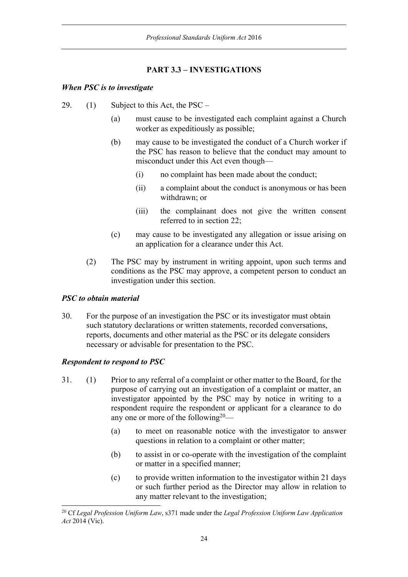# **PART 3.3 – INVESTIGATIONS**

### *When PSC is to investigate*

- 29. (1) Subject to this Act, the PSC
	- (a) must cause to be investigated each complaint against a Church worker as expeditiously as possible;
	- (b) may cause to be investigated the conduct of a Church worker if the PSC has reason to believe that the conduct may amount to misconduct under this Act even though—
		- (i) no complaint has been made about the conduct;
		- (ii) a complaint about the conduct is anonymous or has been withdrawn; or
		- (iii) the complainant does not give the written consent referred to in section 22;
	- (c) may cause to be investigated any allegation or issue arising on an application for a clearance under this Act.
	- (2) The PSC may by instrument in writing appoint, upon such terms and conditions as the PSC may approve, a competent person to conduct an investigation under this section.

# *PSC to obtain material*

30. For the purpose of an investigation the PSC or its investigator must obtain such statutory declarations or written statements, recorded conversations, reports, documents and other material as the PSC or its delegate considers necessary or advisable for presentation to the PSC.

# *Respondent to respond to PSC*

- 31. (1) Prior to any referral of a complaint or other matter to the Board, for the purpose of carrying out an investigation of a complaint or matter, an investigator appointed by the PSC may by notice in writing to a respondent require the respondent or applicant for a clearance to do any one or more of the following<sup>20</sup>—
	- (a) to meet on reasonable notice with the investigator to answer questions in relation to a complaint or other matter;
	- (b) to assist in or co-operate with the investigation of the complaint or matter in a specified manner;
	- (c) to provide written information to the investigator within 21 days or such further period as the Director may allow in relation to any matter relevant to the investigation;

<sup>20</sup> Cf *Legal Profession Uniform Law*, s371 made under the *Legal Profession Uniform Law Application Act* 2014 (Vic).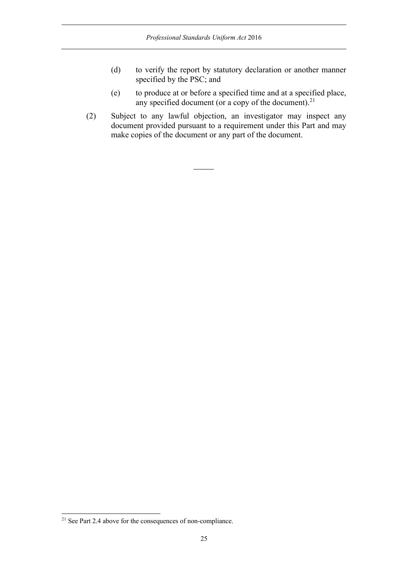- (d) to verify the report by statutory declaration or another manner specified by the PSC; and
- (e) to produce at or before a specified time and at a specified place, any specified document (or a copy of the document).<sup>21</sup>
- (2) Subject to any lawful objection, an investigator may inspect any document provided pursuant to a requirement under this Part and may make copies of the document or any part of the document.

 $\overline{\phantom{a}}$ 

<sup>&</sup>lt;sup>21</sup> See Part 2.4 above for the consequences of non-compliance.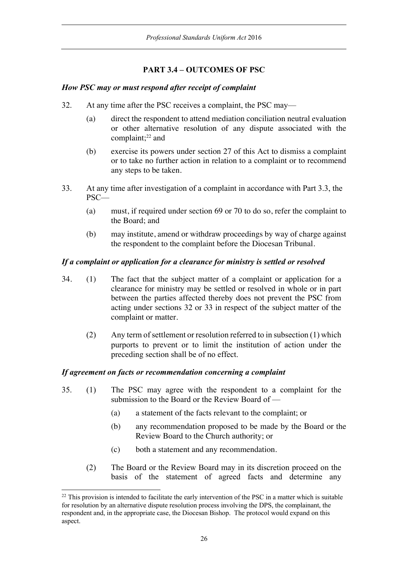# **PART 3.4 – OUTCOMES OF PSC**

### *How PSC may or must respond after receipt of complaint*

- 32. At any time after the PSC receives a complaint, the PSC may—
	- (a) direct the respondent to attend mediation conciliation neutral evaluation or other alternative resolution of any dispute associated with the complaint;<sup>22</sup> and
	- (b) exercise its powers under section 27 of this Act to dismiss a complaint or to take no further action in relation to a complaint or to recommend any steps to be taken.
- 33. At any time after investigation of a complaint in accordance with Part 3.3, the PSC—
	- (a) must, if required under section 69 or 70 to do so, refer the complaint to the Board; and
	- (b) may institute, amend or withdraw proceedings by way of charge against the respondent to the complaint before the Diocesan Tribunal.

### *If a complaint or application for a clearance for ministry is settled or resolved*

- 34. (1) The fact that the subject matter of a complaint or application for a clearance for ministry may be settled or resolved in whole or in part between the parties affected thereby does not prevent the PSC from acting under sections 32 or 33 in respect of the subject matter of the complaint or matter.
	- (2) Any term of settlement or resolution referred to in subsection (1) which purports to prevent or to limit the institution of action under the preceding section shall be of no effect.

### *If agreement on facts or recommendation concerning a complaint*

- 35. (1) The PSC may agree with the respondent to a complaint for the submission to the Board or the Review Board of —
	- (a) a statement of the facts relevant to the complaint; or
	- (b) any recommendation proposed to be made by the Board or the Review Board to the Church authority; or
	- (c) both a statement and any recommendation.
	- (2) The Board or the Review Board may in its discretion proceed on the basis of the statement of agreed facts and determine any

<sup>&</sup>lt;sup>22</sup> This provision is intended to facilitate the early intervention of the PSC in a matter which is suitable for resolution by an alternative dispute resolution process involving the DPS, the complainant, the respondent and, in the appropriate case, the Diocesan Bishop. The protocol would expand on this aspect.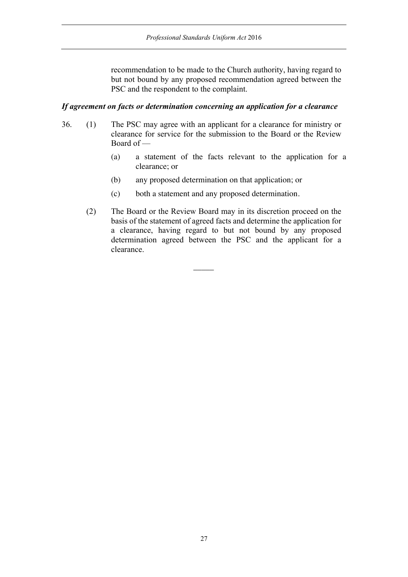recommendation to be made to the Church authority, having regard to but not bound by any proposed recommendation agreed between the PSC and the respondent to the complaint.

#### *If agreement on facts or determination concerning an application for a clearance*

- 36. (1) The PSC may agree with an applicant for a clearance for ministry or clearance for service for the submission to the Board or the Review Board of —
	- (a) a statement of the facts relevant to the application for a clearance; or
	- (b) any proposed determination on that application; or
	- (c) both a statement and any proposed determination.

 $\overline{\phantom{a}}$ 

(2) The Board or the Review Board may in its discretion proceed on the basis of the statement of agreed facts and determine the application for a clearance, having regard to but not bound by any proposed determination agreed between the PSC and the applicant for a clearance.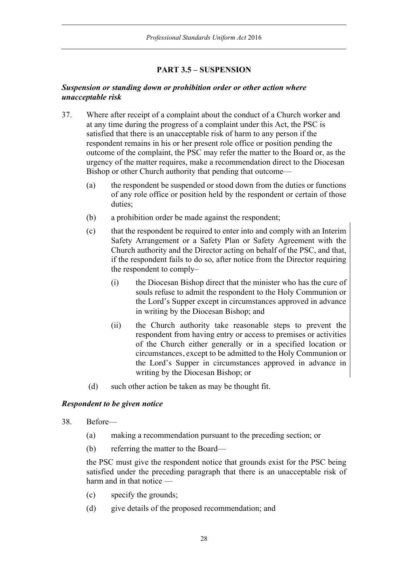# **PART 3.5 – SUSPENSION**

### *Suspension or standing down or prohibition order or other action where unacceptable risk*

- 37. Where after receipt of a complaint about the conduct of a Church worker and at any time during the progress of a complaint under this Act, the PSC is satisfied that there is an unacceptable risk of harm to any person if the respondent remains in his or her present role office or position pending the outcome of the complaint, the PSC may refer the matter to the Board or, as the urgency of the matter requires, make a recommendation direct to the Diocesan Bishop or other Church authority that pending that outcome—
	- (a) the respondent be suspended or stood down from the duties or functions of any role office or position held by the respondent or certain of those duties;
	- (b) a prohibition order be made against the respondent;
	- (c) that the respondent be required to enter into and comply with an Interim Safety Arrangement or a Safety Plan or Safety Agreement with the Church authority and the Director acting on behalf of the PSC, and that, if the respondent fails to do so, after notice from the Director requiring the respondent to comply–
		- (i) the Diocesan Bishop direct that the minister who has the cure of souls refuse to admit the respondent to the Holy Communion or the Lord's Supper except in circumstances approved in advance in writing by the Diocesan Bishop; and
		- (ii) the Church authority take reasonable steps to prevent the respondent from having entry or access to premises or activities of the Church either generally or in a specified location or circumstances, except to be admitted to the Holy Communion or the Lord's Supper in circumstances approved in advance in writing by the Diocesan Bishop; or
	- (d) such other action be taken as may be thought fit.

### *Respondent to be given notice*

- 38. Before—
	- (a) making a recommendation pursuant to the preceding section; or
	- (b) referring the matter to the Board—

the PSC must give the respondent notice that grounds exist for the PSC being satisfied under the preceding paragraph that there is an unacceptable risk of harm and in that notice —

- (c) specify the grounds;
- (d) give details of the proposed recommendation; and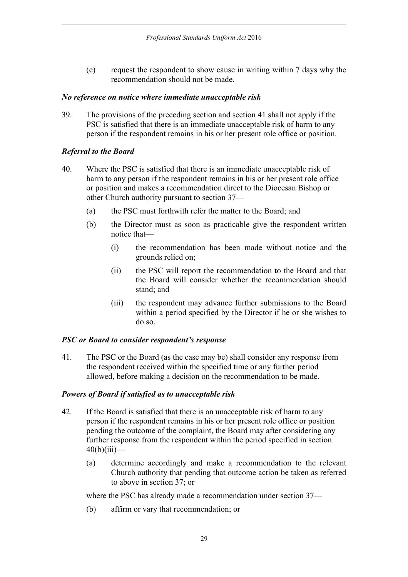(e) request the respondent to show cause in writing within 7 days why the recommendation should not be made.

### *No reference on notice where immediate unacceptable risk*

39. The provisions of the preceding section and section 41 shall not apply if the PSC is satisfied that there is an immediate unacceptable risk of harm to any person if the respondent remains in his or her present role office or position.

# *Referral to the Board*

- 40. Where the PSC is satisfied that there is an immediate unacceptable risk of harm to any person if the respondent remains in his or her present role office or position and makes a recommendation direct to the Diocesan Bishop or other Church authority pursuant to section 37—
	- (a) the PSC must forthwith refer the matter to the Board; and
	- (b) the Director must as soon as practicable give the respondent written notice that—
		- (i) the recommendation has been made without notice and the grounds relied on;
		- (ii) the PSC will report the recommendation to the Board and that the Board will consider whether the recommendation should stand; and
		- (iii) the respondent may advance further submissions to the Board within a period specified by the Director if he or she wishes to do so.

# *PSC or Board to consider respondent's response*

41. The PSC or the Board (as the case may be) shall consider any response from the respondent received within the specified time or any further period allowed, before making a decision on the recommendation to be made.

# *Powers of Board if satisfied as to unacceptable risk*

- 42. If the Board is satisfied that there is an unacceptable risk of harm to any person if the respondent remains in his or her present role office or position pending the outcome of the complaint, the Board may after considering any further response from the respondent within the period specified in section  $40(b)(iii)$ —
	- (a) determine accordingly and make a recommendation to the relevant Church authority that pending that outcome action be taken as referred to above in section 37; or

where the PSC has already made a recommendation under section 37—

(b) affirm or vary that recommendation; or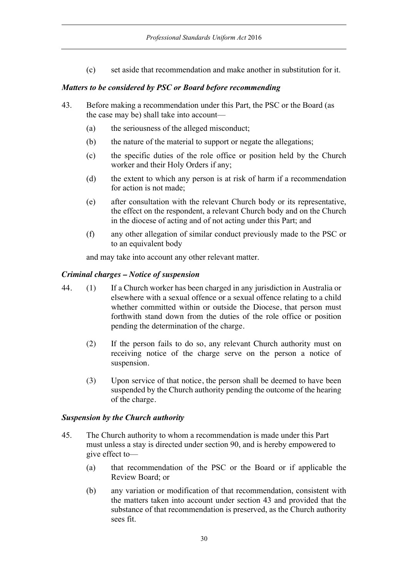(c) set aside that recommendation and make another in substitution for it.

### *Matters to be considered by PSC or Board before recommending*

- 43. Before making a recommendation under this Part, the PSC or the Board (as the case may be) shall take into account—
	- (a) the seriousness of the alleged misconduct;
	- (b) the nature of the material to support or negate the allegations;
	- (c) the specific duties of the role office or position held by the Church worker and their Holy Orders if any;
	- (d) the extent to which any person is at risk of harm if a recommendation for action is not made;
	- (e) after consultation with the relevant Church body or its representative, the effect on the respondent, a relevant Church body and on the Church in the diocese of acting and of not acting under this Part; and
	- (f) any other allegation of similar conduct previously made to the PSC or to an equivalent body

and may take into account any other relevant matter.

### *Criminal charges – Notice of suspension*

- 44. (1) If a Church worker has been charged in any jurisdiction in Australia or elsewhere with a sexual offence or a sexual offence relating to a child whether committed within or outside the Diocese, that person must forthwith stand down from the duties of the role office or position pending the determination of the charge.
	- (2) If the person fails to do so, any relevant Church authority must on receiving notice of the charge serve on the person a notice of suspension.
	- (3) Upon service of that notice, the person shall be deemed to have been suspended by the Church authority pending the outcome of the hearing of the charge.

### *Suspension by the Church authority*

- 45. The Church authority to whom a recommendation is made under this Part must unless a stay is directed under section 90, and is hereby empowered to give effect to—
	- (a) that recommendation of the PSC or the Board or if applicable the Review Board; or
	- (b) any variation or modification of that recommendation, consistent with the matters taken into account under section 43 and provided that the substance of that recommendation is preserved, as the Church authority sees fit.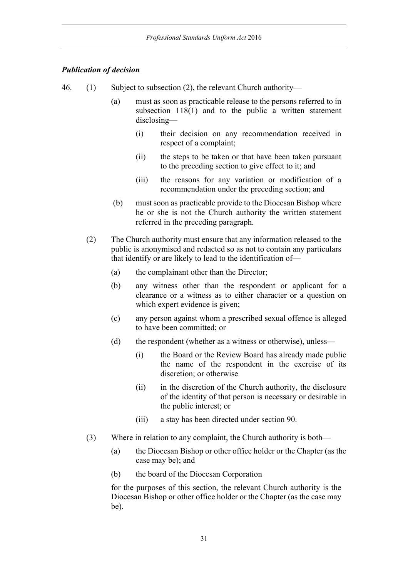### *Publication of decision*

- 46. (1) Subject to subsection (2), the relevant Church authority—
	- (a) must as soon as practicable release to the persons referred to in subsection 118(1) and to the public a written statement disclosing—
		- (i) their decision on any recommendation received in respect of a complaint;
		- (ii) the steps to be taken or that have been taken pursuant to the preceding section to give effect to it; and
		- (iii) the reasons for any variation or modification of a recommendation under the preceding section; and
	- (b) must soon as practicable provide to the Diocesan Bishop where he or she is not the Church authority the written statement referred in the preceding paragraph.
	- (2) The Church authority must ensure that any information released to the public is anonymised and redacted so as not to contain any particulars that identify or are likely to lead to the identification of—
		- (a) the complainant other than the Director;
		- (b) any witness other than the respondent or applicant for a clearance or a witness as to either character or a question on which expert evidence is given;
		- (c) any person against whom a prescribed sexual offence is alleged to have been committed; or
		- (d) the respondent (whether as a witness or otherwise), unless—
			- (i) the Board or the Review Board has already made public the name of the respondent in the exercise of its discretion; or otherwise
			- (ii) in the discretion of the Church authority, the disclosure of the identity of that person is necessary or desirable in the public interest; or
			- (iii) a stay has been directed under section 90.
	- (3) Where in relation to any complaint, the Church authority is both—
		- (a) the Diocesan Bishop or other office holder or the Chapter (as the case may be); and
		- (b) the board of the Diocesan Corporation

for the purposes of this section, the relevant Church authority is the Diocesan Bishop or other office holder or the Chapter (as the case may be).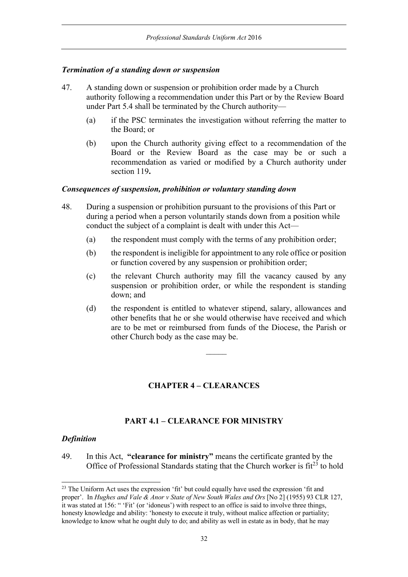### *Termination of a standing down or suspension*

- 47. A standing down or suspension or prohibition order made by a Church authority following a recommendation under this Part or by the Review Board under Part 5.4 shall be terminated by the Church authority—
	- (a) if the PSC terminates the investigation without referring the matter to the Board; or
	- (b) upon the Church authority giving effect to a recommendation of the Board or the Review Board as the case may be or such a recommendation as varied or modified by a Church authority under section 119**.**

#### *Consequences of suspension, prohibition or voluntary standing down*

- 48. During a suspension or prohibition pursuant to the provisions of this Part or during a period when a person voluntarily stands down from a position while conduct the subject of a complaint is dealt with under this Act—
	- (a) the respondent must comply with the terms of any prohibition order;
	- (b) the respondent is ineligible for appointment to any role office or position or function covered by any suspension or prohibition order;
	- (c) the relevant Church authority may fill the vacancy caused by any suspension or prohibition order, or while the respondent is standing down; and
	- (d) the respondent is entitled to whatever stipend, salary, allowances and other benefits that he or she would otherwise have received and which are to be met or reimbursed from funds of the Diocese, the Parish or other Church body as the case may be.

# **CHAPTER 4 – CLEARANCES**

#### **PART 4.1 – CLEARANCE FOR MINISTRY**

#### *Definition*

49. In this Act, **"clearance for ministry"** means the certificate granted by the Office of Professional Standards stating that the Church worker is  $fit^{23}$  to hold

<sup>&</sup>lt;sup>23</sup> The Uniform Act uses the expression 'fit' but could equally have used the expression 'fit and proper'. In *Hughes and Vale & Anor v State of New South Wales and Ors* [No 2] (1955) 93 CLR 127, it was stated at 156: " 'Fit' (or 'idoneus') with respect to an office is said to involve three things, honesty knowledge and ability: 'honesty to execute it truly, without malice affection or partiality; knowledge to know what he ought duly to do; and ability as well in estate as in body, that he may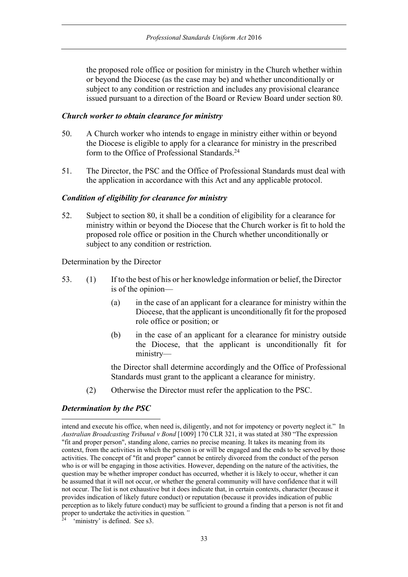the proposed role office or position for ministry in the Church whether within or beyond the Diocese (as the case may be) and whether unconditionally or subject to any condition or restriction and includes any provisional clearance issued pursuant to a direction of the Board or Review Board under section 80.

### *Church worker to obtain clearance for ministry*

- 50. A Church worker who intends to engage in ministry either within or beyond the Diocese is eligible to apply for a clearance for ministry in the prescribed form to the Office of Professional Standards.24
- 51. The Director, the PSC and the Office of Professional Standards must deal with the application in accordance with this Act and any applicable protocol.

#### *Condition of eligibility for clearance for ministry*

52. Subject to section 80, it shall be a condition of eligibility for a clearance for ministry within or beyond the Diocese that the Church worker is fit to hold the proposed role office or position in the Church whether unconditionally or subject to any condition or restriction.

Determination by the Director

- 53. (1) If to the best of his or her knowledge information or belief, the Director is of the opinion—
	- (a) in the case of an applicant for a clearance for ministry within the Diocese, that the applicant is unconditionally fit for the proposed role office or position; or
	- (b) in the case of an applicant for a clearance for ministry outside the Diocese, that the applicant is unconditionally fit for ministry—

the Director shall determine accordingly and the Office of Professional Standards must grant to the applicant a clearance for ministry.

(2) Otherwise the Director must refer the application to the PSC.

### *Determination by the PSC*

intend and execute his office, when need is, diligently, and not for impotency or poverty neglect it." In *Australian Broadcasting Tribunal v Bond* [1009] 170 CLR 321, it was stated at 380 "The expression "fit and proper person", standing alone, carries no precise meaning. It takes its meaning from its context, from the activities in which the person is or will be engaged and the ends to be served by those activities. The concept of "fit and proper" cannot be entirely divorced from the conduct of the person who is or will be engaging in those activities. However, depending on the nature of the activities, the question may be whether improper conduct has occurred, whether it is likely to occur, whether it can be assumed that it will not occur, or whether the general community will have confidence that it will not occur. The list is not exhaustive but it does indicate that, in certain contexts, character (because it provides indication of likely future conduct) or reputation (because it provides indication of public perception as to likely future conduct) may be sufficient to ground a finding that a person is not fit and proper to undertake the activities in question."<br><sup>24</sup> 'ministery' is a constant of the set of the set of the set of the set of the set of the set of the set of the set of the set of the set of the set of the set of the set

<sup>&#</sup>x27;ministry' is defined. See s3.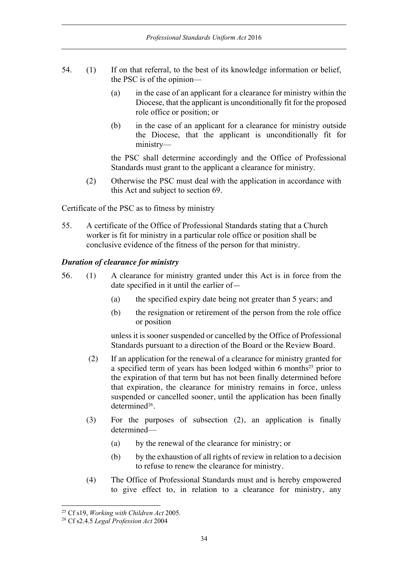- 54. (1) If on that referral, to the best of its knowledge information or belief, the PSC is of the opinion—
	- (a) in the case of an applicant for a clearance for ministry within the Diocese, that the applicant is unconditionally fit for the proposed role office or position; or
	- (b) in the case of an applicant for a clearance for ministry outside the Diocese, that the applicant is unconditionally fit for ministry—

the PSC shall determine accordingly and the Office of Professional Standards must grant to the applicant a clearance for ministry.

(2) Otherwise the PSC must deal with the application in accordance with this Act and subject to section 69.

Certificate of the PSC as to fitness by ministry

55. A certificate of the Office of Professional Standards stating that a Church worker is fit for ministry in a particular role office or position shall be conclusive evidence of the fitness of the person for that ministry.

#### *Duration of clearance for ministry*

- 56. (1) A clearance for ministry granted under this Act is in force from the date specified in it until the earlier of—
	- (a) the specified expiry date being not greater than 5 years; and
	- (b) the resignation or retirement of the person from the role office or position

unless it is sooner suspended or cancelled by the Office of Professional Standards pursuant to a direction of the Board or the Review Board.

- (2) If an application for the renewal of a clearance for ministry granted for a specified term of years has been lodged within 6 months<sup>25</sup> prior to the expiration of that term but has not been finally determined before that expiration, the clearance for ministry remains in force, unless suspended or cancelled sooner, until the application has been finally determined<sup>26</sup>.
- (3) For the purposes of subsection (2), an application is finally determined—
	- (a) by the renewal of the clearance for ministry; or
	- (b) by the exhaustion of all rights of review in relation to a decision to refuse to renew the clearance for ministry.
- (4) The Office of Professional Standards must and is hereby empowered to give effect to, in relation to a clearance for ministry, any

<sup>25</sup> Cf s19, *Working with Children Act* 2005.

<sup>26</sup> Cf s2.4.5 *Legal Profession Act* 2004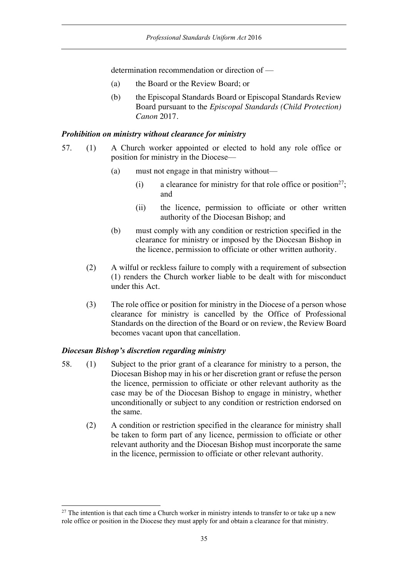determination recommendation or direction of —

- (a) the Board or the Review Board; or
- (b) the Episcopal Standards Board or Episcopal Standards Review Board pursuant to the *Episcopal Standards (Child Protection) Canon* 2017.

### *Prohibition on ministry without clearance for ministry*

- 57. (1) A Church worker appointed or elected to hold any role office or position for ministry in the Diocese—
	- (a) must not engage in that ministry without—
		- (i) a clearance for ministry for that role office or position<sup>27</sup>; and
		- (ii) the licence, permission to officiate or other written authority of the Diocesan Bishop; and
	- (b) must comply with any condition or restriction specified in the clearance for ministry or imposed by the Diocesan Bishop in the licence, permission to officiate or other written authority.
	- (2) A wilful or reckless failure to comply with a requirement of subsection (1) renders the Church worker liable to be dealt with for misconduct under this Act.
	- (3) The role office or position for ministry in the Diocese of a person whose clearance for ministry is cancelled by the Office of Professional Standards on the direction of the Board or on review, the Review Board becomes vacant upon that cancellation.

# *Diocesan Bishop's discretion regarding ministry*

- 58. (1) Subject to the prior grant of a clearance for ministry to a person, the Diocesan Bishop may in his or her discretion grant or refuse the person the licence, permission to officiate or other relevant authority as the case may be of the Diocesan Bishop to engage in ministry, whether unconditionally or subject to any condition or restriction endorsed on the same.
	- (2) A condition or restriction specified in the clearance for ministry shall be taken to form part of any licence, permission to officiate or other relevant authority and the Diocesan Bishop must incorporate the same in the licence, permission to officiate or other relevant authority.

 $27$  The intention is that each time a Church worker in ministry intends to transfer to or take up a new role office or position in the Diocese they must apply for and obtain a clearance for that ministry.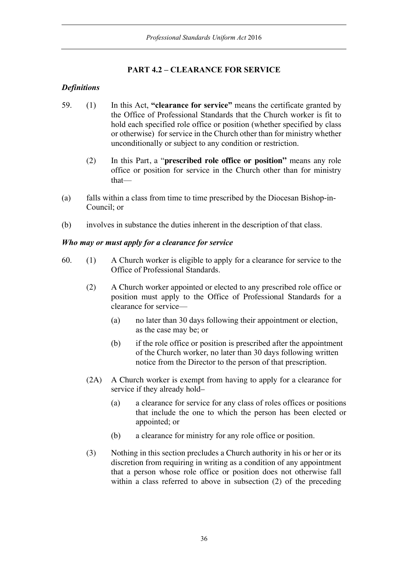# **PART 4.2 – CLEARANCE FOR SERVICE**

### *Definitions*

- 59. (1) In this Act, **"clearance for service"** means the certificate granted by the Office of Professional Standards that the Church worker is fit to hold each specified role office or position (whether specified by class or otherwise) for service in the Church other than for ministry whether unconditionally or subject to any condition or restriction.
	- (2) In this Part, a "**prescribed role office or position"** means any role office or position for service in the Church other than for ministry that—
- (a) falls within a class from time to time prescribed by the Diocesan Bishop-in-Council; or
- (b) involves in substance the duties inherent in the description of that class.

### *Who may or must apply for a clearance for service*

- 60. (1) A Church worker is eligible to apply for a clearance for service to the Office of Professional Standards.
	- (2) A Church worker appointed or elected to any prescribed role office or position must apply to the Office of Professional Standards for a clearance for service—
		- (a) no later than 30 days following their appointment or election, as the case may be; or
		- (b) if the role office or position is prescribed after the appointment of the Church worker, no later than 30 days following written notice from the Director to the person of that prescription.
	- (2A) A Church worker is exempt from having to apply for a clearance for service if they already hold–
		- (a) a clearance for service for any class of roles offices or positions that include the one to which the person has been elected or appointed; or
		- (b) a clearance for ministry for any role office or position.
	- (3) Nothing in this section precludes a Church authority in his or her or its discretion from requiring in writing as a condition of any appointment that a person whose role office or position does not otherwise fall within a class referred to above in subsection (2) of the preceding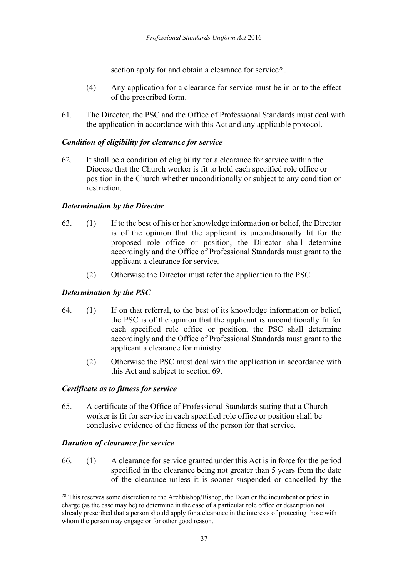section apply for and obtain a clearance for service<sup>28</sup>.

- (4) Any application for a clearance for service must be in or to the effect of the prescribed form.
- 61. The Director, the PSC and the Office of Professional Standards must deal with the application in accordance with this Act and any applicable protocol.

## *Condition of eligibility for clearance for service*

62. It shall be a condition of eligibility for a clearance for service within the Diocese that the Church worker is fit to hold each specified role office or position in the Church whether unconditionally or subject to any condition or restriction.

### *Determination by the Director*

- 63. (1) If to the best of his or her knowledge information or belief, the Director is of the opinion that the applicant is unconditionally fit for the proposed role office or position, the Director shall determine accordingly and the Office of Professional Standards must grant to the applicant a clearance for service.
	- (2) Otherwise the Director must refer the application to the PSC.

### *Determination by the PSC*

- 64. (1) If on that referral, to the best of its knowledge information or belief, the PSC is of the opinion that the applicant is unconditionally fit for each specified role office or position, the PSC shall determine accordingly and the Office of Professional Standards must grant to the applicant a clearance for ministry.
	- (2) Otherwise the PSC must deal with the application in accordance with this Act and subject to section 69.

### *Certificate as to fitness for service*

65. A certificate of the Office of Professional Standards stating that a Church worker is fit for service in each specified role office or position shall be conclusive evidence of the fitness of the person for that service.

### *Duration of clearance for service*

66. (1) A clearance for service granted under this Act is in force for the period specified in the clearance being not greater than 5 years from the date of the clearance unless it is sooner suspended or cancelled by the

<sup>&</sup>lt;sup>28</sup> This reserves some discretion to the Archbishop/Bishop, the Dean or the incumbent or priest in charge (as the case may be) to determine in the case of a particular role office or description not already prescribed that a person should apply for a clearance in the interests of protecting those with whom the person may engage or for other good reason.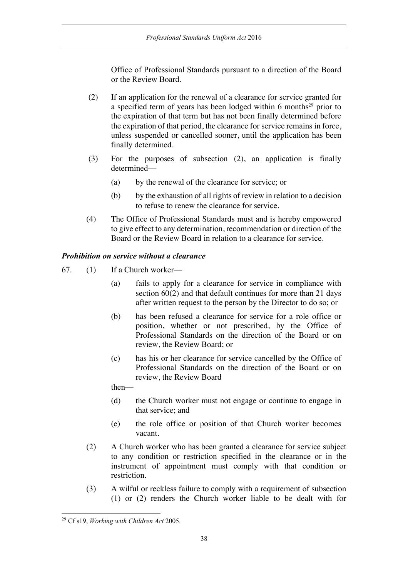Office of Professional Standards pursuant to a direction of the Board or the Review Board.

- (2) If an application for the renewal of a clearance for service granted for a specified term of years has been lodged within 6 months $29$  prior to the expiration of that term but has not been finally determined before the expiration of that period, the clearance for service remains in force, unless suspended or cancelled sooner, until the application has been finally determined.
- (3) For the purposes of subsection (2), an application is finally determined—
	- (a) by the renewal of the clearance for service; or
	- (b) by the exhaustion of all rights of review in relation to a decision to refuse to renew the clearance for service.
- (4) The Office of Professional Standards must and is hereby empowered to give effect to any determination, recommendation or direction of the Board or the Review Board in relation to a clearance for service.

### *Prohibition on service without a clearance*

- 67. (1) If a Church worker—
	- (a) fails to apply for a clearance for service in compliance with section 60(2) and that default continues for more than 21 days after written request to the person by the Director to do so; or
	- (b) has been refused a clearance for service for a role office or position, whether or not prescribed, by the Office of Professional Standards on the direction of the Board or on review, the Review Board; or
	- (c) has his or her clearance for service cancelled by the Office of Professional Standards on the direction of the Board or on review, the Review Board

then—

- (d) the Church worker must not engage or continue to engage in that service; and
- (e) the role office or position of that Church worker becomes vacant.
- (2) A Church worker who has been granted a clearance for service subject to any condition or restriction specified in the clearance or in the instrument of appointment must comply with that condition or restriction.
- (3) A wilful or reckless failure to comply with a requirement of subsection (1) or (2) renders the Church worker liable to be dealt with for

<sup>29</sup> Cf s19, *Working with Children Act* 2005.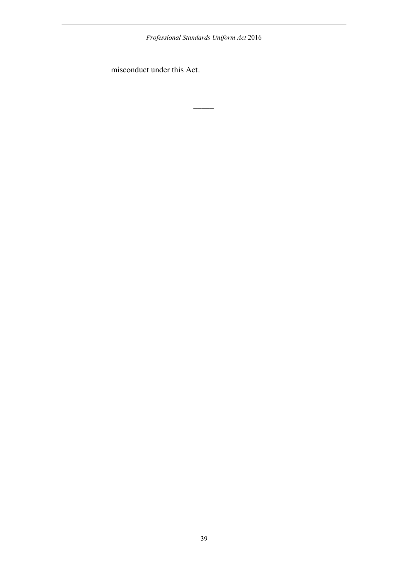*Professional Standards Uniform Act* 2016

 $\overline{\phantom{a}}$ 

misconduct under this Act.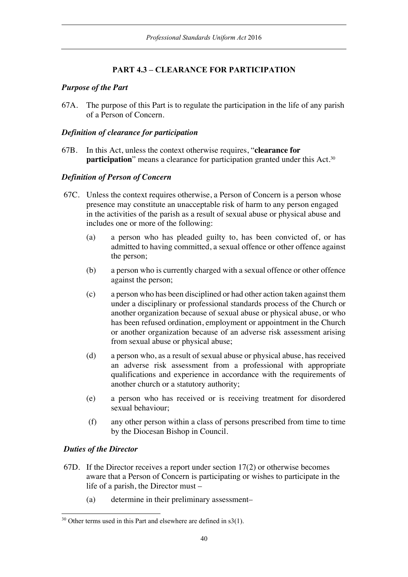# **PART 4.3 – CLEARANCE FOR PARTICIPATION**

### *Purpose of the Part*

67A. The purpose of this Part is to regulate the participation in the life of any parish of a Person of Concern.

### *Definition of clearance for participation*

67B. In this Act, unless the context otherwise requires, "**clearance for participation**" means a clearance for participation granted under this Act.<sup>30</sup>

### *Definition of Person of Concern*

- 67C. Unless the context requires otherwise, a Person of Concern is a person whose presence may constitute an unacceptable risk of harm to any person engaged in the activities of the parish as a result of sexual abuse or physical abuse and includes one or more of the following:
	- (a) a person who has pleaded guilty to, has been convicted of, or has admitted to having committed, a sexual offence or other offence against the person;
	- (b) a person who is currently charged with a sexual offence or other offence against the person;
	- (c) a person who has been disciplined or had other action taken against them under a disciplinary or professional standards process of the Church or another organization because of sexual abuse or physical abuse, or who has been refused ordination, employment or appointment in the Church or another organization because of an adverse risk assessment arising from sexual abuse or physical abuse;
	- (d) a person who, as a result of sexual abuse or physical abuse, has received an adverse risk assessment from a professional with appropriate qualifications and experience in accordance with the requirements of another church or a statutory authority;
	- (e) a person who has received or is receiving treatment for disordered sexual behaviour;
	- (f) any other person within a class of persons prescribed from time to time by the Diocesan Bishop in Council.

### *Duties of the Director*

- 67D. If the Director receives a report under section 17(2) or otherwise becomes aware that a Person of Concern is participating or wishes to participate in the life of a parish, the Director must –
	- (a) determine in their preliminary assessment–

 $30$  Other terms used in this Part and elsewhere are defined in s3(1).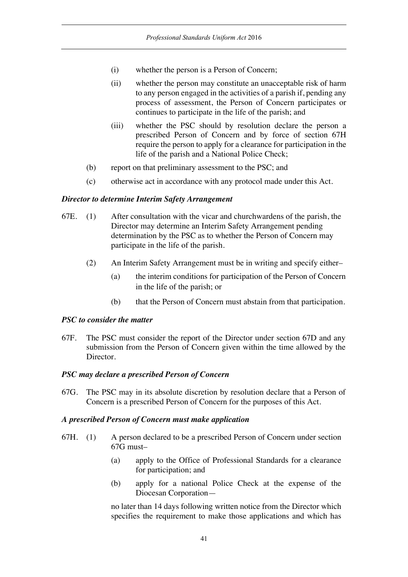- (i) whether the person is a Person of Concern;
- (ii) whether the person may constitute an unacceptable risk of harm to any person engaged in the activities of a parish if, pending any process of assessment, the Person of Concern participates or continues to participate in the life of the parish; and
- (iii) whether the PSC should by resolution declare the person a prescribed Person of Concern and by force of section 67H require the person to apply for a clearance for participation in the life of the parish and a National Police Check;
- (b) report on that preliminary assessment to the PSC; and
- (c) otherwise act in accordance with any protocol made under this Act.

#### *Director to determine Interim Safety Arrangement*

- 67E. (1) After consultation with the vicar and churchwardens of the parish, the Director may determine an Interim Safety Arrangement pending determination by the PSC as to whether the Person of Concern may participate in the life of the parish.
	- (2) An Interim Safety Arrangement must be in writing and specify either–
		- (a) the interim conditions for participation of the Person of Concern in the life of the parish; or
		- (b) that the Person of Concern must abstain from that participation.

#### *PSC to consider the matter*

67F. The PSC must consider the report of the Director under section 67D and any submission from the Person of Concern given within the time allowed by the Director.

#### *PSC may declare a prescribed Person of Concern*

67G. The PSC may in its absolute discretion by resolution declare that a Person of Concern is a prescribed Person of Concern for the purposes of this Act.

#### *A prescribed Person of Concern must make application*

- 67H. (1) A person declared to be a prescribed Person of Concern under section 67G must–
	- (a) apply to the Office of Professional Standards for a clearance for participation; and
	- (b) apply for a national Police Check at the expense of the Diocesan Corporation—

no later than 14 days following written notice from the Director which specifies the requirement to make those applications and which has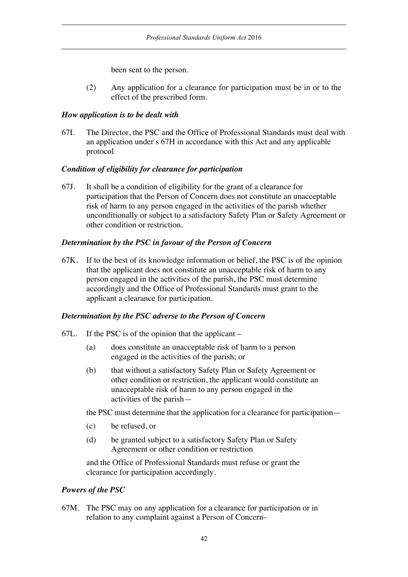been sent to the person.

(2) Any application for a clearance for participation must be in or to the effect of the prescribed form.

## *How application is to be dealt with*

67I. The Director, the PSC and the Office of Professional Standards must deal with an application under s 67H in accordance with this Act and any applicable protocol

## *Condition of eligibility for clearance for participation*

67J. It shall be a condition of eligibility for the grant of a clearance for participation that the Person of Concern does not constitute an unacceptable risk of harm to any person engaged in the activities of the parish whether unconditionally or subject to a satisfactory Safety Plan or Safety Agreement or other condition or restriction.

## *Determination by the PSC in favour of the Person of Concern*

67K. If to the best of its knowledge information or belief, the PSC is of the opinion that the applicant does not constitute an unacceptable risk of harm to any person engaged in the activities of the parish, the PSC must determine accordingly and the Office of Professional Standards must grant to the applicant a clearance for participation.

## *Determination by the PSC adverse to the Person of Concern*

- 67L. If the PSC is of the opinion that the applicant
	- (a) does constitute an unacceptable risk of harm to a person engaged in the activities of the parish; or
	- (b) that without a satisfactory Safety Plan or Safety Agreement or other condition or restriction, the applicant would constitute an unacceptable risk of harm to any person engaged in the activities of the parish—

the PSC must determine that the application for a clearance for participation—

- (c) be refused, or
- (d) be granted subject to a satisfactory Safety Plan or Safety Agreement or other condition or restriction

and the Office of Professional Standards must refuse or grant the clearance for participation accordingly.

# *Powers of the PSC*

67M. The PSC may on any application for a clearance for participation or in relation to any complaint against a Person of Concern–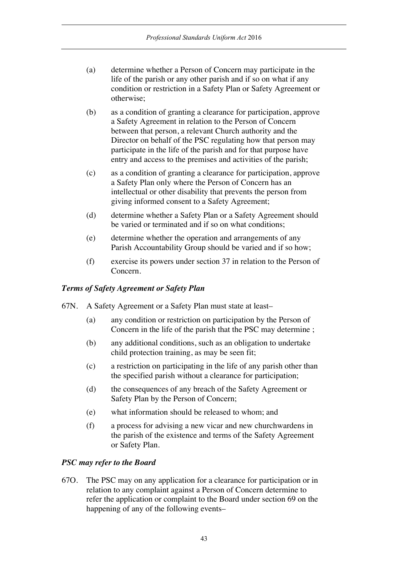- (a) determine whether a Person of Concern may participate in the life of the parish or any other parish and if so on what if any condition or restriction in a Safety Plan or Safety Agreement or otherwise;
- (b) as a condition of granting a clearance for participation, approve a Safety Agreement in relation to the Person of Concern between that person, a relevant Church authority and the Director on behalf of the PSC regulating how that person may participate in the life of the parish and for that purpose have entry and access to the premises and activities of the parish;
- (c) as a condition of granting a clearance for participation, approve a Safety Plan only where the Person of Concern has an intellectual or other disability that prevents the person from giving informed consent to a Safety Agreement;
- (d) determine whether a Safety Plan or a Safety Agreement should be varied or terminated and if so on what conditions;
- (e) determine whether the operation and arrangements of any Parish Accountability Group should be varied and if so how;
- (f) exercise its powers under section 37 in relation to the Person of Concern.

#### *Terms of Safety Agreement or Safety Plan*

- 67N. A Safety Agreement or a Safety Plan must state at least–
	- (a) any condition or restriction on participation by the Person of Concern in the life of the parish that the PSC may determine ;
	- (b) any additional conditions, such as an obligation to undertake child protection training, as may be seen fit;
	- (c) a restriction on participating in the life of any parish other than the specified parish without a clearance for participation;
	- (d) the consequences of any breach of the Safety Agreement or Safety Plan by the Person of Concern;
	- (e) what information should be released to whom; and
	- (f) a process for advising a new vicar and new churchwardens in the parish of the existence and terms of the Safety Agreement or Safety Plan.

#### *PSC may refer to the Board*

67O. The PSC may on any application for a clearance for participation or in relation to any complaint against a Person of Concern determine to refer the application or complaint to the Board under section 69 on the happening of any of the following events–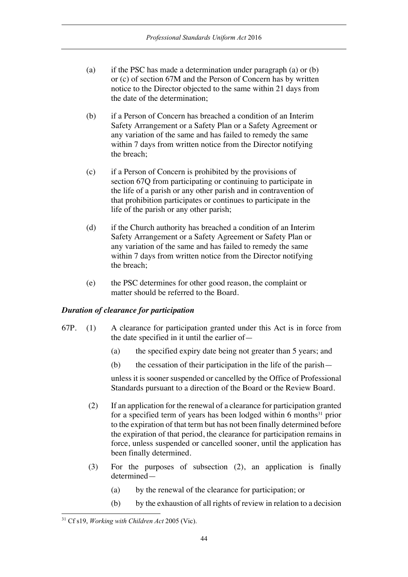- (a) if the PSC has made a determination under paragraph (a) or (b) or (c) of section 67M and the Person of Concern has by written notice to the Director objected to the same within 21 days from the date of the determination;
- (b) if a Person of Concern has breached a condition of an Interim Safety Arrangement or a Safety Plan or a Safety Agreement or any variation of the same and has failed to remedy the same within 7 days from written notice from the Director notifying the breach;
- (c) if a Person of Concern is prohibited by the provisions of section 67Q from participating or continuing to participate in the life of a parish or any other parish and in contravention of that prohibition participates or continues to participate in the life of the parish or any other parish;
- (d) if the Church authority has breached a condition of an Interim Safety Arrangement or a Safety Agreement or Safety Plan or any variation of the same and has failed to remedy the same within 7 days from written notice from the Director notifying the breach;
- (e) the PSC determines for other good reason, the complaint or matter should be referred to the Board.

### *Duration of clearance for participation*

- 67P. (1) A clearance for participation granted under this Act is in force from the date specified in it until the earlier of—
	- (a) the specified expiry date being not greater than 5 years; and
	- (b) the cessation of their participation in the life of the parish—

unless it is sooner suspended or cancelled by the Office of Professional Standards pursuant to a direction of the Board or the Review Board.

- (2) If an application for the renewal of a clearance for participation granted for a specified term of years has been lodged within 6 months $31$  prior to the expiration of that term but has not been finally determined before the expiration of that period, the clearance for participation remains in force, unless suspended or cancelled sooner, until the application has been finally determined.
- (3) For the purposes of subsection (2), an application is finally determined—
	- (a) by the renewal of the clearance for participation; or
	- (b) by the exhaustion of all rights of review in relation to a decision

<sup>31</sup> Cf s19, *Working with Children Act* 2005 (Vic).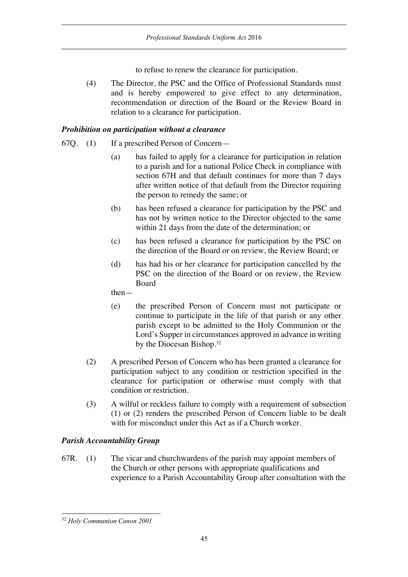to refuse to renew the clearance for participation.

(4) The Director, the PSC and the Office of Professional Standards must and is hereby empowered to give effect to any determination, recommendation or direction of the Board or the Review Board in relation to a clearance for participation.

## *Prohibition on participation without a clearance*

- 67Q. (1) If a prescribed Person of Concern—
	- (a) has failed to apply for a clearance for participation in relation to a parish and for a national Police Check in compliance with section 67H and that default continues for more than 7 days after written notice of that default from the Director requiring the person to remedy the same; or
	- (b) has been refused a clearance for participation by the PSC and has not by written notice to the Director objected to the same within 21 days from the date of the determination; or
	- (c) has been refused a clearance for participation by the PSC on the direction of the Board or on review, the Review Board; or
	- (d) has had his or her clearance for participation cancelled by the PSC on the direction of the Board or on review, the Review **Board**

then—

- (e) the prescribed Person of Concern must not participate or continue to participate in the life of that parish or any other parish except to be admitted to the Holy Communion or the Lord's Supper in circumstances approved in advance in writing by the Diocesan Bishop. 32
- (2) A prescribed Person of Concern who has been granted a clearance for participation subject to any condition or restriction specified in the clearance for participation or otherwise must comply with that condition or restriction.
- (3) A wilful or reckless failure to comply with a requirement of subsection (1) or (2) renders the prescribed Person of Concern liable to be dealt with for misconduct under this Act as if a Church worker.

## *Parish Accountability Group*

67R. (1) The vicar and churchwardens of the parish may appoint members of the Church or other persons with appropriate qualifications and experience to a Parish Accountability Group after consultation with the

<sup>32</sup> *Holy Communion Canon 2001*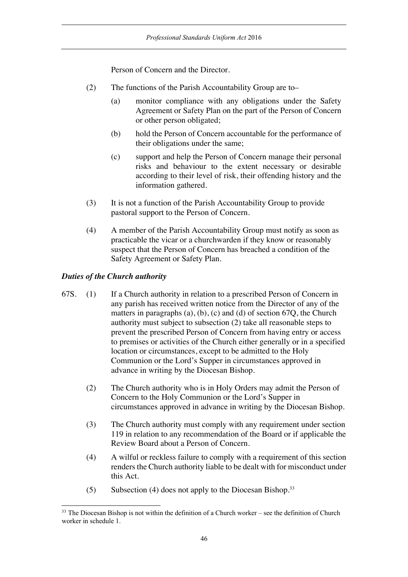Person of Concern and the Director.

- (2) The functions of the Parish Accountability Group are to–
	- (a) monitor compliance with any obligations under the Safety Agreement or Safety Plan on the part of the Person of Concern or other person obligated;
	- (b) hold the Person of Concern accountable for the performance of their obligations under the same;
	- (c) support and help the Person of Concern manage their personal risks and behaviour to the extent necessary or desirable according to their level of risk, their offending history and the information gathered.
- (3) It is not a function of the Parish Accountability Group to provide pastoral support to the Person of Concern.
- (4) A member of the Parish Accountability Group must notify as soon as practicable the vicar or a churchwarden if they know or reasonably suspect that the Person of Concern has breached a condition of the Safety Agreement or Safety Plan.

### *Duties of the Church authority*

- 67S. (1) If a Church authority in relation to a prescribed Person of Concern in any parish has received written notice from the Director of any of the matters in paragraphs (a), (b), (c) and (d) of section 67Q, the Church authority must subject to subsection (2) take all reasonable steps to prevent the prescribed Person of Concern from having entry or access to premises or activities of the Church either generally or in a specified location or circumstances, except to be admitted to the Holy Communion or the Lord's Supper in circumstances approved in advance in writing by the Diocesan Bishop.
	- (2) The Church authority who is in Holy Orders may admit the Person of Concern to the Holy Communion or the Lord's Supper in circumstances approved in advance in writing by the Diocesan Bishop.
	- (3) The Church authority must comply with any requirement under section 119 in relation to any recommendation of the Board or if applicable the Review Board about a Person of Concern.
	- (4) A wilful or reckless failure to comply with a requirement of this section renders the Church authority liable to be dealt with for misconduct under this Act.
	- (5) Subsection (4) does not apply to the Diocesan Bishop.33

 $33$  The Diocesan Bishop is not within the definition of a Church worker – see the definition of Church worker in schedule 1.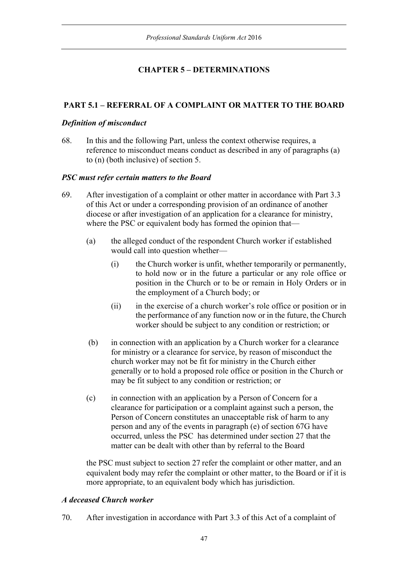# **CHAPTER 5 – DETERMINATIONS**

# **PART 5.1 – REFERRAL OF A COMPLAINT OR MATTER TO THE BOARD**

### *Definition of misconduct*

68. In this and the following Part, unless the context otherwise requires, a reference to misconduct means conduct as described in any of paragraphs (a) to (n) (both inclusive) of section 5.

### *PSC must refer certain matters to the Board*

- 69. After investigation of a complaint or other matter in accordance with Part 3.3 of this Act or under a corresponding provision of an ordinance of another diocese or after investigation of an application for a clearance for ministry, where the PSC or equivalent body has formed the opinion that—
	- (a) the alleged conduct of the respondent Church worker if established would call into question whether—
		- (i) the Church worker is unfit, whether temporarily or permanently, to hold now or in the future a particular or any role office or position in the Church or to be or remain in Holy Orders or in the employment of a Church body; or
		- (ii) in the exercise of a church worker's role office or position or in the performance of any function now or in the future, the Church worker should be subject to any condition or restriction; or
	- (b) in connection with an application by a Church worker for a clearance for ministry or a clearance for service, by reason of misconduct the church worker may not be fit for ministry in the Church either generally or to hold a proposed role office or position in the Church or may be fit subject to any condition or restriction; or
	- (c) in connection with an application by a Person of Concern for a clearance for participation or a complaint against such a person, the Person of Concern constitutes an unacceptable risk of harm to any person and any of the events in paragraph (e) of section 67G have occurred, unless the PSC has determined under section 27 that the matter can be dealt with other than by referral to the Board

the PSC must subject to section 27 refer the complaint or other matter, and an equivalent body may refer the complaint or other matter, to the Board or if it is more appropriate, to an equivalent body which has jurisdiction.

## *A deceased Church worker*

70. After investigation in accordance with Part 3.3 of this Act of a complaint of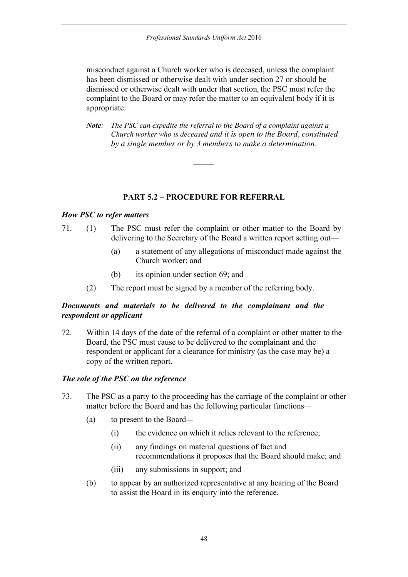misconduct against a Church worker who is deceased, unless the complaint has been dismissed or otherwise dealt with under section 27 or should be dismissed or otherwise dealt with under that section, the PSC must refer the complaint to the Board or may refer the matter to an equivalent body if it is appropriate.

*Note: The PSC can expedite the referral to the Board of a complaint against a Church worker who is deceased and it is open to the Board, constituted by a single member or by 3 members to make a determination.*

### **PART 5.2 – PROCEDURE FOR REFERRAL**

 $\overline{\phantom{a}}$ 

#### *How PSC to refer matters*

- 71. (1) The PSC must refer the complaint or other matter to the Board by delivering to the Secretary of the Board a written report setting out—
	- (a) a statement of any allegations of misconduct made against the Church worker; and
	- (b) its opinion under section 69; and
	- (2) The report must be signed by a member of the referring body.

### *Documents and materials to be delivered to the complainant and the respondent or applicant*

72. Within 14 days of the date of the referral of a complaint or other matter to the Board, the PSC must cause to be delivered to the complainant and the respondent or applicant for a clearance for ministry (as the case may be) a copy of the written report.

#### *The role of the PSC on the reference*

- 73. The PSC as a party to the proceeding has the carriage of the complaint or other matter before the Board and has the following particular functions—
	- (a) to present to the Board—
		- (i) the evidence on which it relies relevant to the reference;
		- (ii) any findings on material questions of fact and recommendations it proposes that the Board should make; and
		- (iii) any submissions in support; and
	- (b) to appear by an authorized representative at any hearing of the Board to assist the Board in its enquiry into the reference.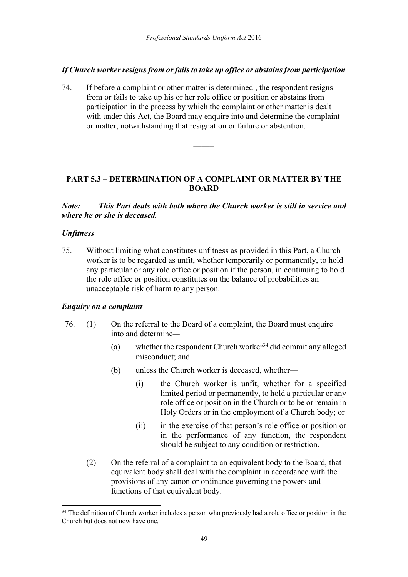### *If Church worker resigns from or fails to take up office or abstains from participation*

74. If before a complaint or other matter is determined , the respondent resigns from or fails to take up his or her role office or position or abstains from participation in the process by which the complaint or other matter is dealt with under this Act, the Board may enquire into and determine the complaint or matter, notwithstanding that resignation or failure or abstention.

# **PART 5.3 – DETERMINATION OF A COMPLAINT OR MATTER BY THE BOARD**

 $\overline{\phantom{a}}$ 

*Note: This Part deals with both where the Church worker is still in service and where he or she is deceased.*

### *Unfitness*

75. Without limiting what constitutes unfitness as provided in this Part, a Church worker is to be regarded as unfit, whether temporarily or permanently, to hold any particular or any role office or position if the person, in continuing to hold the role office or position constitutes on the balance of probabilities an unacceptable risk of harm to any person.

### *Enquiry on a complaint*

- 76. (1) On the referral to the Board of a complaint, the Board must enquire into and determine—
	- (a) whether the respondent Church worker<sup>34</sup> did commit any alleged misconduct; and
	- (b) unless the Church worker is deceased, whether—
		- (i) the Church worker is unfit, whether for a specified limited period or permanently, to hold a particular or any role office or position in the Church or to be or remain in Holy Orders or in the employment of a Church body; or
		- (ii) in the exercise of that person's role office or position or in the performance of any function, the respondent should be subject to any condition or restriction.
	- (2) On the referral of a complaint to an equivalent body to the Board, that equivalent body shall deal with the complaint in accordance with the provisions of any canon or ordinance governing the powers and functions of that equivalent body.

<sup>&</sup>lt;sup>34</sup> The definition of Church worker includes a person who previously had a role office or position in the Church but does not now have one.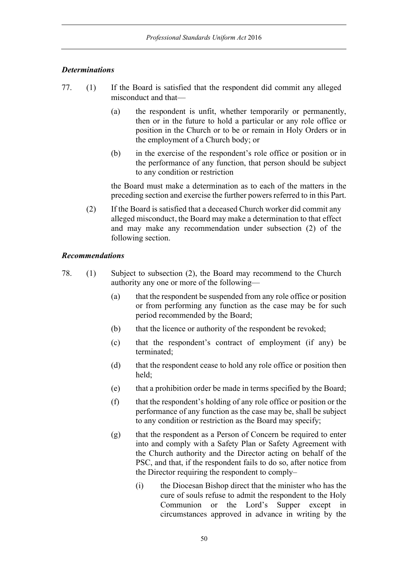### *Determinations*

- 77. (1) If the Board is satisfied that the respondent did commit any alleged misconduct and that—
	- (a) the respondent is unfit, whether temporarily or permanently, then or in the future to hold a particular or any role office or position in the Church or to be or remain in Holy Orders or in the employment of a Church body; or
	- (b) in the exercise of the respondent's role office or position or in the performance of any function, that person should be subject to any condition or restriction

the Board must make a determination as to each of the matters in the preceding section and exercise the further powers referred to in this Part.

(2) If the Board is satisfied that a deceased Church worker did commit any alleged misconduct, the Board may make a determination to that effect and may make any recommendation under subsection (2) of the following section.

### *Recommendations*

- 78. (1) Subject to subsection (2), the Board may recommend to the Church authority any one or more of the following—
	- (a) that the respondent be suspended from any role office or position or from performing any function as the case may be for such period recommended by the Board;
	- (b) that the licence or authority of the respondent be revoked;
	- (c) that the respondent's contract of employment (if any) be terminated;
	- (d) that the respondent cease to hold any role office or position then held;
	- (e) that a prohibition order be made in terms specified by the Board;
	- (f) that the respondent's holding of any role office or position or the performance of any function as the case may be, shall be subject to any condition or restriction as the Board may specify;
	- (g) that the respondent as a Person of Concern be required to enter into and comply with a Safety Plan or Safety Agreement with the Church authority and the Director acting on behalf of the PSC, and that, if the respondent fails to do so, after notice from the Director requiring the respondent to comply–
		- (i) the Diocesan Bishop direct that the minister who has the cure of souls refuse to admit the respondent to the Holy Communion or the Lord's Supper except in circumstances approved in advance in writing by the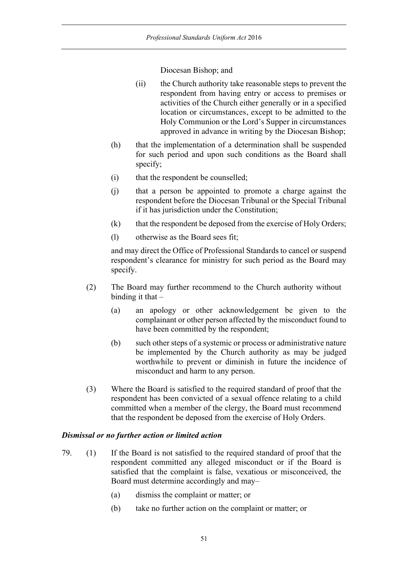Diocesan Bishop; and

- (ii) the Church authority take reasonable steps to prevent the respondent from having entry or access to premises or activities of the Church either generally or in a specified location or circumstances, except to be admitted to the Holy Communion or the Lord's Supper in circumstances approved in advance in writing by the Diocesan Bishop;
- (h) that the implementation of a determination shall be suspended for such period and upon such conditions as the Board shall specify;
- (i) that the respondent be counselled;
- (j) that a person be appointed to promote a charge against the respondent before the Diocesan Tribunal or the Special Tribunal if it has jurisdiction under the Constitution;
- (k) that the respondent be deposed from the exercise of Holy Orders;
- (l) otherwise as the Board sees fit;

and may direct the Office of Professional Standards to cancel or suspend respondent's clearance for ministry for such period as the Board may specify.

- (2) The Board may further recommend to the Church authority without binding it that –
	- (a) an apology or other acknowledgement be given to the complainant or other person affected by the misconduct found to have been committed by the respondent;
	- (b) such other steps of a systemic or process or administrative nature be implemented by the Church authority as may be judged worthwhile to prevent or diminish in future the incidence of misconduct and harm to any person.
- (3) Where the Board is satisfied to the required standard of proof that the respondent has been convicted of a sexual offence relating to a child committed when a member of the clergy, the Board must recommend that the respondent be deposed from the exercise of Holy Orders.

### *Dismissal or no further action or limited action*

- 79. (1) If the Board is not satisfied to the required standard of proof that the respondent committed any alleged misconduct or if the Board is satisfied that the complaint is false, vexatious or misconceived, the Board must determine accordingly and may–
	- (a) dismiss the complaint or matter; or
	- (b) take no further action on the complaint or matter; or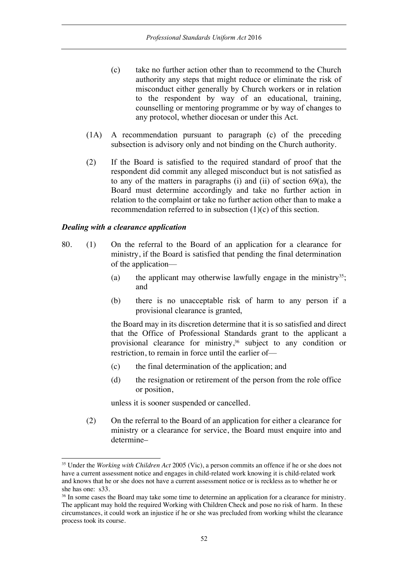- (c) take no further action other than to recommend to the Church authority any steps that might reduce or eliminate the risk of misconduct either generally by Church workers or in relation to the respondent by way of an educational, training, counselling or mentoring programme or by way of changes to any protocol, whether diocesan or under this Act.
- (1A) A recommendation pursuant to paragraph (c) of the preceding subsection is advisory only and not binding on the Church authority.
- (2) If the Board is satisfied to the required standard of proof that the respondent did commit any alleged misconduct but is not satisfied as to any of the matters in paragraphs (i) and (ii) of section 69(a), the Board must determine accordingly and take no further action in relation to the complaint or take no further action other than to make a recommendation referred to in subsection (1)(c) of this section.

### *Dealing with a clearance application*

- 80. (1) On the referral to the Board of an application for a clearance for ministry, if the Board is satisfied that pending the final determination of the application—
	- (a) the applicant may otherwise lawfully engage in the ministry<sup>35</sup>; and
	- (b) there is no unacceptable risk of harm to any person if a provisional clearance is granted,

the Board may in its discretion determine that it is so satisfied and direct that the Office of Professional Standards grant to the applicant a provisional clearance for ministry, <sup>36</sup> subject to any condition or restriction, to remain in force until the earlier of—

- (c) the final determination of the application; and
- (d) the resignation or retirement of the person from the role office or position,

unless it is sooner suspended or cancelled.

(2) On the referral to the Board of an application for either a clearance for ministry or a clearance for service, the Board must enquire into and determine–

<sup>35</sup> Under the *Working with Children Act* 2005 (Vic), a person commits an offence if he or she does not have a current assessment notice and engages in child-related work knowing it is child-related work and knows that he or she does not have a current assessment notice or is reckless as to whether he or she has one: s33.<br><sup>36</sup> In some cases the Board may take some time to determine an application for a clearance for ministry.

The applicant may hold the required Working with Children Check and pose no risk of harm. In these circumstances, it could work an injustice if he or she was precluded from working whilst the clearance process took its course.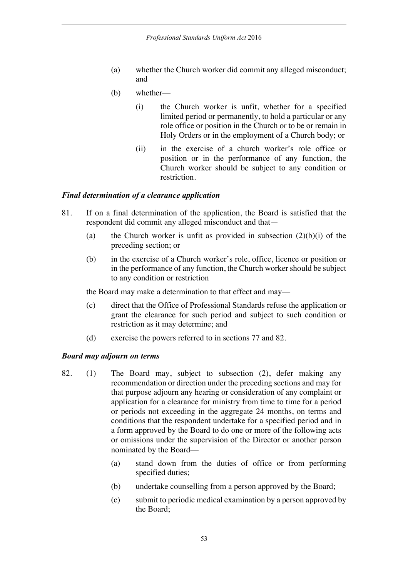- (a) whether the Church worker did commit any alleged misconduct; and
- (b) whether—
	- (i) the Church worker is unfit, whether for a specified limited period or permanently, to hold a particular or any role office or position in the Church or to be or remain in Holy Orders or in the employment of a Church body; or
	- (ii) in the exercise of a church worker's role office or position or in the performance of any function, the Church worker should be subject to any condition or restriction.

#### *Final determination of a clearance application*

- 81. If on a final determination of the application, the Board is satisfied that the respondent did commit any alleged misconduct and that—
	- (a) the Church worker is unfit as provided in subsection  $(2)(b)(i)$  of the preceding section; or
	- (b) in the exercise of a Church worker's role, office, licence or position or in the performance of any function, the Church worker should be subject to any condition or restriction

the Board may make a determination to that effect and may—

- (c) direct that the Office of Professional Standards refuse the application or grant the clearance for such period and subject to such condition or restriction as it may determine; and
- (d) exercise the powers referred to in sections 77 and 82.

#### *Board may adjourn on terms*

- 82. (1) The Board may, subject to subsection (2), defer making any recommendation or direction under the preceding sections and may for that purpose adjourn any hearing or consideration of any complaint or application for a clearance for ministry from time to time for a period or periods not exceeding in the aggregate 24 months, on terms and conditions that the respondent undertake for a specified period and in a form approved by the Board to do one or more of the following acts or omissions under the supervision of the Director or another person nominated by the Board—
	- (a) stand down from the duties of office or from performing specified duties;
	- (b) undertake counselling from a person approved by the Board;
	- (c) submit to periodic medical examination by a person approved by the Board;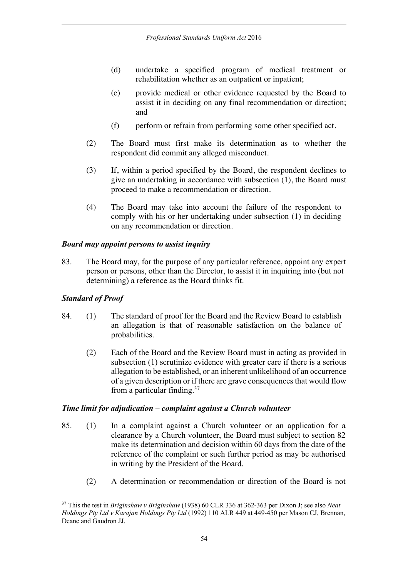- (d) undertake a specified program of medical treatment or rehabilitation whether as an outpatient or inpatient:
- (e) provide medical or other evidence requested by the Board to assist it in deciding on any final recommendation or direction; and
- (f) perform or refrain from performing some other specified act.
- (2) The Board must first make its determination as to whether the respondent did commit any alleged misconduct.
- (3) If, within a period specified by the Board, the respondent declines to give an undertaking in accordance with subsection (1), the Board must proceed to make a recommendation or direction.
- (4) The Board may take into account the failure of the respondent to comply with his or her undertaking under subsection (1) in deciding on any recommendation or direction.

### *Board may appoint persons to assist inquiry*

83. The Board may, for the purpose of any particular reference, appoint any expert person or persons, other than the Director, to assist it in inquiring into (but not determining) a reference as the Board thinks fit.

## *Standard of Proof*

- 84. (1) The standard of proof for the Board and the Review Board to establish an allegation is that of reasonable satisfaction on the balance of probabilities.
	- (2) Each of the Board and the Review Board must in acting as provided in subsection (1) scrutinize evidence with greater care if there is a serious allegation to be established, or an inherent unlikelihood of an occurrence of a given description or if there are grave consequences that would flow from a particular finding.37

### *Time limit for adjudication – complaint against a Church volunteer*

- 85. (1) In a complaint against a Church volunteer or an application for a clearance by a Church volunteer, the Board must subject to section 82 make its determination and decision within 60 days from the date of the reference of the complaint or such further period as may be authorised in writing by the President of the Board.
	- (2) A determination or recommendation or direction of the Board is not

<sup>37</sup> This the test in *Briginshaw v Briginshaw* (1938) 60 CLR 336 at 362-363 per Dixon J; see also *Neat Holdings Pty Ltd v Karajan Holdings Pty Ltd* (1992) 110 ALR 449 at 449-450 per Mason CJ, Brennan, Deane and Gaudron JJ.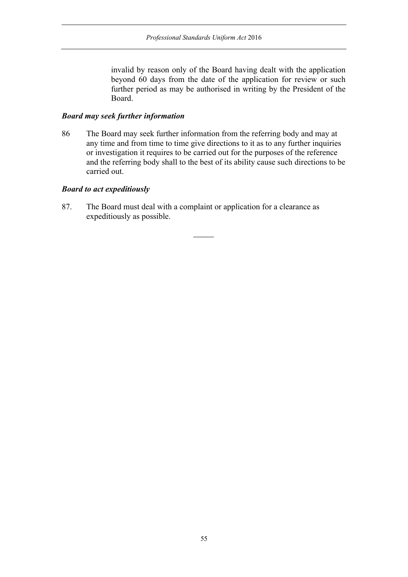invalid by reason only of the Board having dealt with the application beyond 60 days from the date of the application for review or such further period as may be authorised in writing by the President of the Board.

#### *Board may seek further information*

86 The Board may seek further information from the referring body and may at any time and from time to time give directions to it as to any further inquiries or investigation it requires to be carried out for the purposes of the reference and the referring body shall to the best of its ability cause such directions to be carried out.

 $\overline{\phantom{a}}$ 

### *Board to act expeditiously*

87. The Board must deal with a complaint or application for a clearance as expeditiously as possible.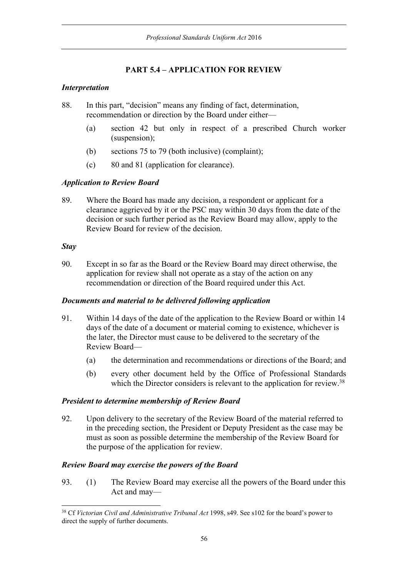# **PART 5.4 – APPLICATION FOR REVIEW**

# *Interpretation*

- 88. In this part, "decision" means any finding of fact, determination, recommendation or direction by the Board under either—
	- (a) section 42 but only in respect of a prescribed Church worker (suspension);
	- (b) sections 75 to 79 (both inclusive) (complaint);
	- (c) 80 and 81 (application for clearance).

# *Application to Review Board*

89. Where the Board has made any decision, a respondent or applicant for a clearance aggrieved by it or the PSC may within 30 days from the date of the decision or such further period as the Review Board may allow, apply to the Review Board for review of the decision.

## *Stay*

90. Except in so far as the Board or the Review Board may direct otherwise, the application for review shall not operate as a stay of the action on any recommendation or direction of the Board required under this Act.

## *Documents and material to be delivered following application*

- 91. Within 14 days of the date of the application to the Review Board or within 14 days of the date of a document or material coming to existence, whichever is the later, the Director must cause to be delivered to the secretary of the Review Board—
	- (a) the determination and recommendations or directions of the Board; and
	- (b) every other document held by the Office of Professional Standards which the Director considers is relevant to the application for review.<sup>38</sup>

## *President to determine membership of Review Board*

92. Upon delivery to the secretary of the Review Board of the material referred to in the preceding section, the President or Deputy President as the case may be must as soon as possible determine the membership of the Review Board for the purpose of the application for review.

## *Review Board may exercise the powers of the Board*

93. (1) The Review Board may exercise all the powers of the Board under this Act and may—

<sup>38</sup> Cf *Victorian Civil and Administrative Tribunal Act* 1998, s49. See s102 for the board's power to direct the supply of further documents.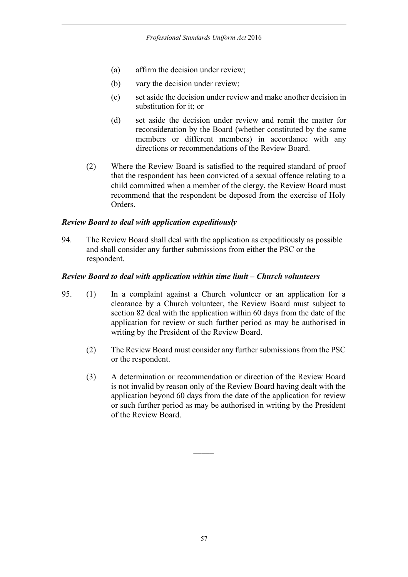- (a) affirm the decision under review;
- (b) vary the decision under review;
- (c) set aside the decision under review and make another decision in substitution for it; or
- (d) set aside the decision under review and remit the matter for reconsideration by the Board (whether constituted by the same members or different members) in accordance with any directions or recommendations of the Review Board.
- (2) Where the Review Board is satisfied to the required standard of proof that the respondent has been convicted of a sexual offence relating to a child committed when a member of the clergy, the Review Board must recommend that the respondent be deposed from the exercise of Holy Orders.

#### *Review Board to deal with application expeditiously*

94. The Review Board shall deal with the application as expeditiously as possible and shall consider any further submissions from either the PSC or the respondent.

#### *Review Board to deal with application within time limit – Church volunteers*

- 95. (1) In a complaint against a Church volunteer or an application for a clearance by a Church volunteer, the Review Board must subject to section 82 deal with the application within 60 days from the date of the application for review or such further period as may be authorised in writing by the President of the Review Board.
	- (2) The Review Board must consider any further submissions from the PSC or the respondent.
	- (3) A determination or recommendation or direction of the Review Board is not invalid by reason only of the Review Board having dealt with the application beyond 60 days from the date of the application for review or such further period as may be authorised in writing by the President of the Review Board.

 $\overline{\phantom{a}}$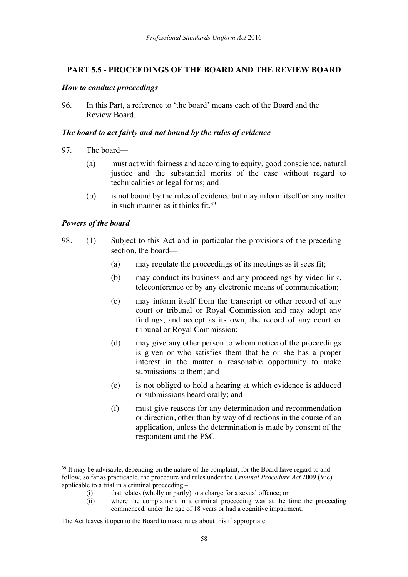### **PART 5.5 - PROCEEDINGS OF THE BOARD AND THE REVIEW BOARD**

#### *How to conduct proceedings*

96. In this Part, a reference to 'the board' means each of the Board and the Review Board.

#### *The board to act fairly and not bound by the rules of evidence*

- 97. The board—
	- (a) must act with fairness and according to equity, good conscience, natural justice and the substantial merits of the case without regard to technicalities or legal forms; and
	- (b) is not bound by the rules of evidence but may inform itself on any matter in such manner as it thinks fit.39

### *Powers of the board*

- 98. (1) Subject to this Act and in particular the provisions of the preceding section, the board—
	- (a) may regulate the proceedings of its meetings as it sees fit;
	- (b) may conduct its business and any proceedings by video link, teleconference or by any electronic means of communication;
	- (c) may inform itself from the transcript or other record of any court or tribunal or Royal Commission and may adopt any findings, and accept as its own, the record of any court or tribunal or Royal Commission;
	- (d) may give any other person to whom notice of the proceedings is given or who satisfies them that he or she has a proper interest in the matter a reasonable opportunity to make submissions to them; and
	- (e) is not obliged to hold a hearing at which evidence is adduced or submissions heard orally; and
	- (f) must give reasons for any determination and recommendation or direction, other than by way of directions in the course of an application, unless the determination is made by consent of the respondent and the PSC.

<sup>&</sup>lt;sup>39</sup> It may be advisable, depending on the nature of the complaint, for the Board have regard to and follow, so far as practicable, the procedure and rules under the *Criminal Procedure Act* 2009 (Vic) applicable to a trial in a criminal proceeding –

<sup>(</sup>i) that relates (wholly or partly) to a charge for a sexual offence; or (ii) where the complainant in a criminal proceeding was at the t

where the complainant in a criminal proceeding was at the time the proceeding commenced, under the age of 18 years or had a cognitive impairment.

The Act leaves it open to the Board to make rules about this if appropriate.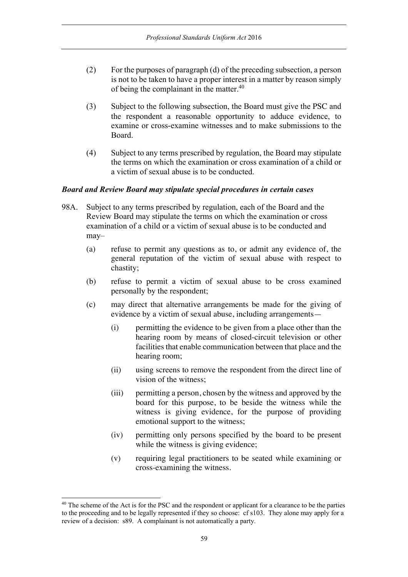- (2) For the purposes of paragraph (d) of the preceding subsection, a person is not to be taken to have a proper interest in a matter by reason simply of being the complainant in the matter.40
- (3) Subject to the following subsection, the Board must give the PSC and the respondent a reasonable opportunity to adduce evidence, to examine or cross-examine witnesses and to make submissions to the Board.
- (4) Subject to any terms prescribed by regulation, the Board may stipulate the terms on which the examination or cross examination of a child or a victim of sexual abuse is to be conducted.

### *Board and Review Board may stipulate special procedures in certain cases*

- 98A. Subject to any terms prescribed by regulation, each of the Board and the Review Board may stipulate the terms on which the examination or cross examination of a child or a victim of sexual abuse is to be conducted and may–
	- (a) refuse to permit any questions as to, or admit any evidence of, the general reputation of the victim of sexual abuse with respect to chastity;
	- (b) refuse to permit a victim of sexual abuse to be cross examined personally by the respondent;
	- (c) may direct that alternative arrangements be made for the giving of evidence by a victim of sexual abuse, including arrangements—
		- (i) permitting the evidence to be given from a place other than the hearing room by means of closed-circuit television or other facilities that enable communication between that place and the hearing room;
		- (ii) using screens to remove the respondent from the direct line of vision of the witness;
		- (iii) permitting a person, chosen by the witness and approved by the board for this purpose, to be beside the witness while the witness is giving evidence, for the purpose of providing emotional support to the witness;
		- (iv) permitting only persons specified by the board to be present while the witness is giving evidence;
		- (v) requiring legal practitioners to be seated while examining or cross-examining the witness.

<sup>&</sup>lt;sup>40</sup> The scheme of the Act is for the PSC and the respondent or applicant for a clearance to be the parties to the proceeding and to be legally represented if they so choose: cf s103. They alone may apply for a review of a decision: s89. A complainant is not automatically a party.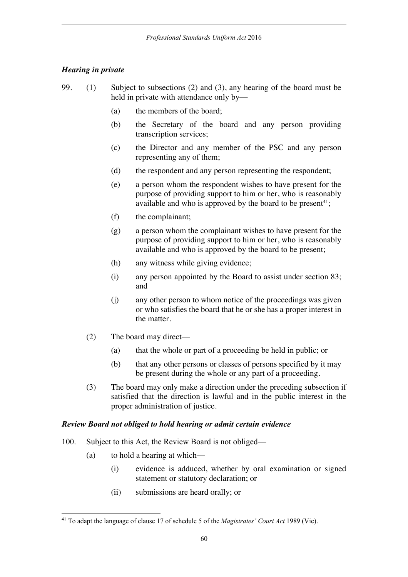## *Hearing in private*

- 99. (1) Subject to subsections (2) and (3), any hearing of the board must be held in private with attendance only by—
	- (a) the members of the board;
	- (b) the Secretary of the board and any person providing transcription services;
	- (c) the Director and any member of the PSC and any person representing any of them;
	- (d) the respondent and any person representing the respondent;
	- (e) a person whom the respondent wishes to have present for the purpose of providing support to him or her, who is reasonably available and who is approved by the board to be present<sup>41</sup>;
	- (f) the complainant;
	- (g) a person whom the complainant wishes to have present for the purpose of providing support to him or her, who is reasonably available and who is approved by the board to be present;
	- (h) any witness while giving evidence;
	- (i) any person appointed by the Board to assist under section 83; and
	- (j) any other person to whom notice of the proceedings was given or who satisfies the board that he or she has a proper interest in the matter.
	- (2) The board may direct—
		- (a) that the whole or part of a proceeding be held in public; or
		- (b) that any other persons or classes of persons specified by it may be present during the whole or any part of a proceeding.
	- (3) The board may only make a direction under the preceding subsection if satisfied that the direction is lawful and in the public interest in the proper administration of justice.

## *Review Board not obliged to hold hearing or admit certain evidence*

- 100. Subject to this Act, the Review Board is not obliged—
	- (a) to hold a hearing at which—
		- (i) evidence is adduced, whether by oral examination or signed statement or statutory declaration; or
		- (ii) submissions are heard orally; or

<sup>41</sup> To adapt the language of clause 17 of schedule 5 of the *Magistrates' Court Act* 1989 (Vic).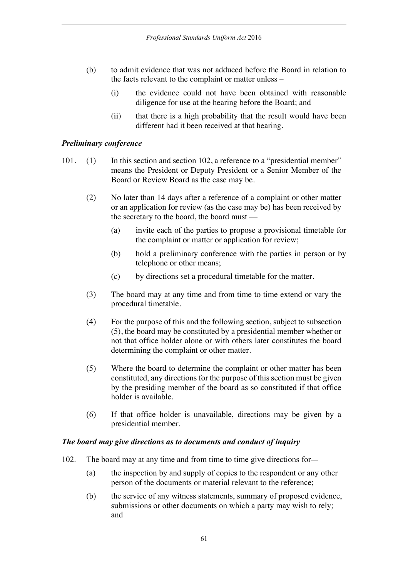- (b) to admit evidence that was not adduced before the Board in relation to the facts relevant to the complaint or matter unless –
	- (i) the evidence could not have been obtained with reasonable diligence for use at the hearing before the Board; and
	- (ii) that there is a high probability that the result would have been different had it been received at that hearing.

#### *Preliminary conference*

- 101. (1) In this section and section 102, a reference to a "presidential member" means the President or Deputy President or a Senior Member of the Board or Review Board as the case may be.
	- (2) No later than 14 days after a reference of a complaint or other matter or an application for review (as the case may be) has been received by the secretary to the board, the board must —
		- (a) invite each of the parties to propose a provisional timetable for the complaint or matter or application for review;
		- (b) hold a preliminary conference with the parties in person or by telephone or other means;
		- (c) by directions set a procedural timetable for the matter.
	- (3) The board may at any time and from time to time extend or vary the procedural timetable.
	- (4) For the purpose of this and the following section, subject to subsection (5), the board may be constituted by a presidential member whether or not that office holder alone or with others later constitutes the board determining the complaint or other matter.
	- (5) Where the board to determine the complaint or other matter has been constituted, any directions for the purpose of this section must be given by the presiding member of the board as so constituted if that office holder is available.
	- (6) If that office holder is unavailable, directions may be given by a presidential member.

### *The board may give directions as to documents and conduct of inquiry*

- 102. The board may at any time and from time to time give directions for—
	- (a) the inspection by and supply of copies to the respondent or any other person of the documents or material relevant to the reference;
	- (b) the service of any witness statements, summary of proposed evidence, submissions or other documents on which a party may wish to rely; and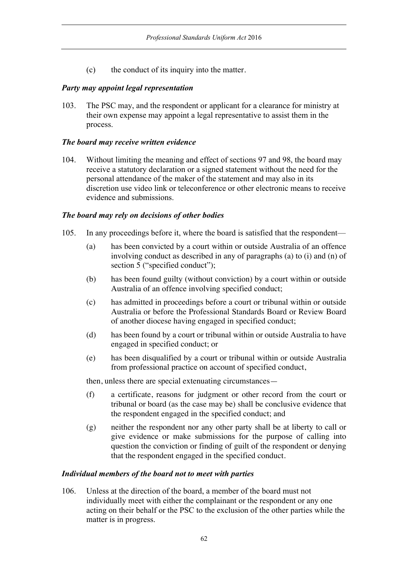(c) the conduct of its inquiry into the matter.

### *Party may appoint legal representation*

103. The PSC may, and the respondent or applicant for a clearance for ministry at their own expense may appoint a legal representative to assist them in the process.

### *The board may receive written evidence*

104. Without limiting the meaning and effect of sections 97 and 98, the board may receive a statutory declaration or a signed statement without the need for the personal attendance of the maker of the statement and may also in its discretion use video link or teleconference or other electronic means to receive evidence and submissions.

### *The board may rely on decisions of other bodies*

- 105. In any proceedings before it, where the board is satisfied that the respondent—
	- (a) has been convicted by a court within or outside Australia of an offence involving conduct as described in any of paragraphs (a) to (i) and (n) of section 5 ("specified conduct");
	- (b) has been found guilty (without conviction) by a court within or outside Australia of an offence involving specified conduct;
	- (c) has admitted in proceedings before a court or tribunal within or outside Australia or before the Professional Standards Board or Review Board of another diocese having engaged in specified conduct;
	- (d) has been found by a court or tribunal within or outside Australia to have engaged in specified conduct; or
	- (e) has been disqualified by a court or tribunal within or outside Australia from professional practice on account of specified conduct,

then, unless there are special extenuating circumstances—

- (f) a certificate, reasons for judgment or other record from the court or tribunal or board (as the case may be) shall be conclusive evidence that the respondent engaged in the specified conduct; and
- (g) neither the respondent nor any other party shall be at liberty to call or give evidence or make submissions for the purpose of calling into question the conviction or finding of guilt of the respondent or denying that the respondent engaged in the specified conduct.

### *Individual members of the board not to meet with parties*

106. Unless at the direction of the board, a member of the board must not individually meet with either the complainant or the respondent or any one acting on their behalf or the PSC to the exclusion of the other parties while the matter is in progress.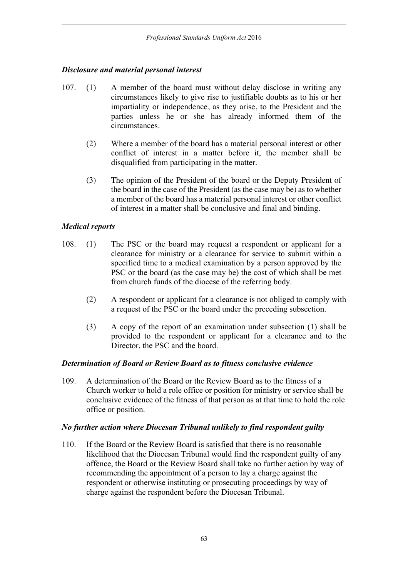### *Disclosure and material personal interest*

- 107. (1) A member of the board must without delay disclose in writing any circumstances likely to give rise to justifiable doubts as to his or her impartiality or independence, as they arise, to the President and the parties unless he or she has already informed them of the circumstances.
	- (2) Where a member of the board has a material personal interest or other conflict of interest in a matter before it, the member shall be disqualified from participating in the matter.
	- (3) The opinion of the President of the board or the Deputy President of the board in the case of the President (as the case may be) as to whether a member of the board has a material personal interest or other conflict of interest in a matter shall be conclusive and final and binding.

### *Medical reports*

- 108. (1) The PSC or the board may request a respondent or applicant for a clearance for ministry or a clearance for service to submit within a specified time to a medical examination by a person approved by the PSC or the board (as the case may be) the cost of which shall be met from church funds of the diocese of the referring body.
	- (2) A respondent or applicant for a clearance is not obliged to comply with a request of the PSC or the board under the preceding subsection.
	- (3) A copy of the report of an examination under subsection (1) shall be provided to the respondent or applicant for a clearance and to the Director, the PSC and the board.

### *Determination of Board or Review Board as to fitness conclusive evidence*

109. A determination of the Board or the Review Board as to the fitness of a Church worker to hold a role office or position for ministry or service shall be conclusive evidence of the fitness of that person as at that time to hold the role office or position.

### *No further action where Diocesan Tribunal unlikely to find respondent guilty*

110. If the Board or the Review Board is satisfied that there is no reasonable likelihood that the Diocesan Tribunal would find the respondent guilty of any offence, the Board or the Review Board shall take no further action by way of recommending the appointment of a person to lay a charge against the respondent or otherwise instituting or prosecuting proceedings by way of charge against the respondent before the Diocesan Tribunal.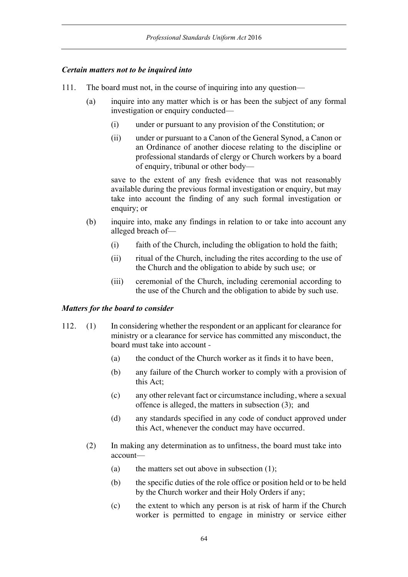### *Certain matters not to be inquired into*

- 111. The board must not, in the course of inquiring into any question—
	- (a) inquire into any matter which is or has been the subject of any formal investigation or enquiry conducted—
		- (i) under or pursuant to any provision of the Constitution; or
		- (ii) under or pursuant to a Canon of the General Synod, a Canon or an Ordinance of another diocese relating to the discipline or professional standards of clergy or Church workers by a board of enquiry, tribunal or other body—

save to the extent of any fresh evidence that was not reasonably available during the previous formal investigation or enquiry, but may take into account the finding of any such formal investigation or enquiry; or

- (b) inquire into, make any findings in relation to or take into account any alleged breach of—
	- (i) faith of the Church, including the obligation to hold the faith;
	- (ii) ritual of the Church, including the rites according to the use of the Church and the obligation to abide by such use; or
	- (iii) ceremonial of the Church, including ceremonial according to the use of the Church and the obligation to abide by such use.

#### *Matters for the board to consider*

- 112. (1) In considering whether the respondent or an applicant for clearance for ministry or a clearance for service has committed any misconduct, the board must take into account -
	- (a) the conduct of the Church worker as it finds it to have been,
	- (b) any failure of the Church worker to comply with a provision of this Act;
	- (c) any other relevant fact or circumstance including, where a sexual offence is alleged, the matters in subsection (3); and
	- (d) any standards specified in any code of conduct approved under this Act, whenever the conduct may have occurred.
	- (2) In making any determination as to unfitness, the board must take into account—
		- (a) the matters set out above in subsection  $(1)$ ;
		- (b) the specific duties of the role office or position held or to be held by the Church worker and their Holy Orders if any;
		- (c) the extent to which any person is at risk of harm if the Church worker is permitted to engage in ministry or service either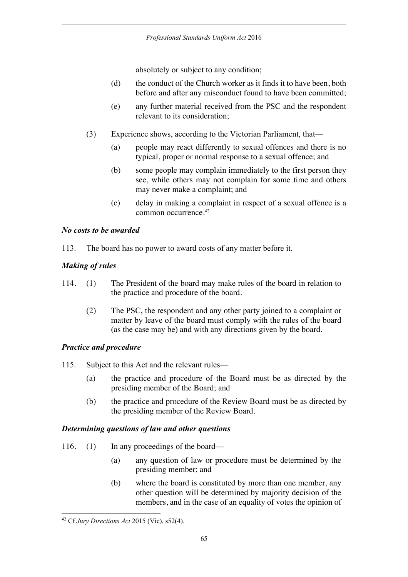absolutely or subject to any condition;

- (d) the conduct of the Church worker as it finds it to have been, both before and after any misconduct found to have been committed;
- (e) any further material received from the PSC and the respondent relevant to its consideration;
- (3) Experience shows, according to the Victorian Parliament, that—
	- (a) people may react differently to sexual offences and there is no typical, proper or normal response to a sexual offence; and
	- (b) some people may complain immediately to the first person they see, while others may not complain for some time and others may never make a complaint; and
	- (c) delay in making a complaint in respect of a sexual offence is a common occurrence.42

### *No costs to be awarded*

113. The board has no power to award costs of any matter before it.

# *Making of rules*

- 114. (1) The President of the board may make rules of the board in relation to the practice and procedure of the board.
	- (2) The PSC, the respondent and any other party joined to a complaint or matter by leave of the board must comply with the rules of the board (as the case may be) and with any directions given by the board.

## *Practice and procedure*

- 115. Subject to this Act and the relevant rules—
	- (a) the practice and procedure of the Board must be as directed by the presiding member of the Board; and
	- (b) the practice and procedure of the Review Board must be as directed by the presiding member of the Review Board.

## *Determining questions of law and other questions*

- 116. (1) In any proceedings of the board—
	- (a) any question of law or procedure must be determined by the presiding member; and
	- (b) where the board is constituted by more than one member, any other question will be determined by majority decision of the members, and in the case of an equality of votes the opinion of

<sup>42</sup> Cf *Jury Directions Act* 2015 (Vic), s52(4).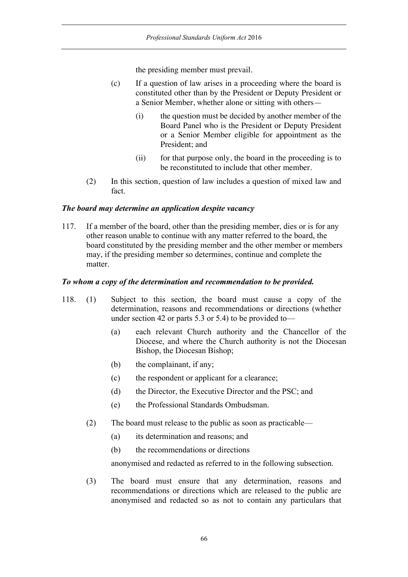the presiding member must prevail.

- (c) If a question of law arises in a proceeding where the board is constituted other than by the President or Deputy President or a Senior Member, whether alone or sitting with others—
	- (i) the question must be decided by another member of the Board Panel who is the President or Deputy President or a Senior Member eligible for appointment as the President; and
	- (ii) for that purpose only, the board in the proceeding is to be reconstituted to include that other member.
- (2) In this section, question of law includes a question of mixed law and fact.

#### *The board may determine an application despite vacancy*

117. If a member of the board, other than the presiding member, dies or is for any other reason unable to continue with any matter referred to the board, the board constituted by the presiding member and the other member or members may, if the presiding member so determines, continue and complete the matter.

#### *To whom a copy of the determination and recommendation to be provided.*

- 118. (1) Subject to this section, the board must cause a copy of the determination, reasons and recommendations or directions (whether under section 42 or parts 5.3 or 5.4) to be provided to—
	- (a) each relevant Church authority and the Chancellor of the Diocese, and where the Church authority is not the Diocesan Bishop, the Diocesan Bishop;
	- (b) the complainant, if any;
	- (c) the respondent or applicant for a clearance;
	- (d) the Director, the Executive Director and the PSC; and
	- (e) the Professional Standards Ombudsman.
	- (2) The board must release to the public as soon as practicable—
		- (a) its determination and reasons; and
		- (b) the recommendations or directions

anonymised and redacted as referred to in the following subsection.

(3) The board must ensure that any determination, reasons and recommendations or directions which are released to the public are anonymised and redacted so as not to contain any particulars that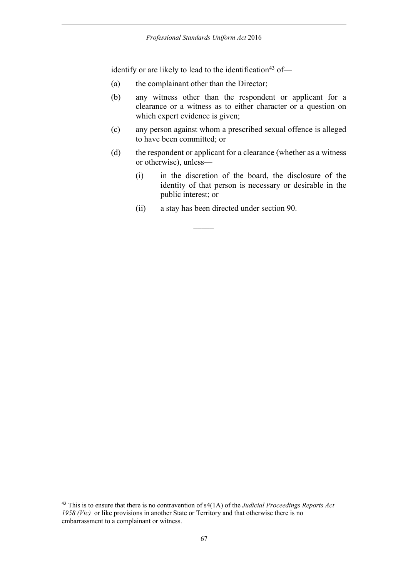identify or are likely to lead to the identification<sup>43</sup> of-

- (a) the complainant other than the Director;
- (b) any witness other than the respondent or applicant for a clearance or a witness as to either character or a question on which expert evidence is given;
- (c) any person against whom a prescribed sexual offence is alleged to have been committed; or
- (d) the respondent or applicant for a clearance (whether as a witness or otherwise), unless—
	- (i) in the discretion of the board, the disclosure of the identity of that person is necessary or desirable in the public interest; or
	- (ii) a stay has been directed under section 90.

 $\overline{\phantom{a}}$ 

<sup>43</sup> This is to ensure that there is no contravention of s4(1A) of the *Judicial Proceedings Reports Act 1958 (Vic)* or like provisions in another State or Territory and that otherwise there is no embarrassment to a complainant or witness.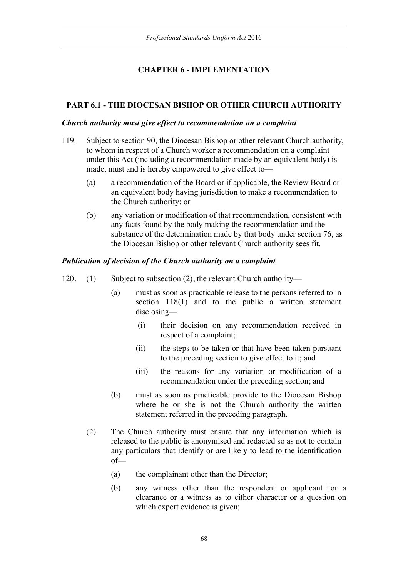# **CHAPTER 6 - IMPLEMENTATION**

### **PART 6.1 - THE DIOCESAN BISHOP OR OTHER CHURCH AUTHORITY**

#### *Church authority must give effect to recommendation on a complaint*

- 119. Subject to section 90, the Diocesan Bishop or other relevant Church authority, to whom in respect of a Church worker a recommendation on a complaint under this Act (including a recommendation made by an equivalent body) is made, must and is hereby empowered to give effect to—
	- (a) a recommendation of the Board or if applicable, the Review Board or an equivalent body having jurisdiction to make a recommendation to the Church authority; or
	- (b) any variation or modification of that recommendation, consistent with any facts found by the body making the recommendation and the substance of the determination made by that body under section 76, as the Diocesan Bishop or other relevant Church authority sees fit.

### *Publication of decision of the Church authority on a complaint*

- 120. (1) Subject to subsection (2), the relevant Church authority—
	- (a) must as soon as practicable release to the persons referred to in section 118(1) and to the public a written statement disclosing—
		- (i) their decision on any recommendation received in respect of a complaint;
		- (ii) the steps to be taken or that have been taken pursuant to the preceding section to give effect to it; and
		- (iii) the reasons for any variation or modification of a recommendation under the preceding section; and
	- (b) must as soon as practicable provide to the Diocesan Bishop where he or she is not the Church authority the written statement referred in the preceding paragraph.
	- (2) The Church authority must ensure that any information which is released to the public is anonymised and redacted so as not to contain any particulars that identify or are likely to lead to the identification of—
		- (a) the complainant other than the Director;
		- (b) any witness other than the respondent or applicant for a clearance or a witness as to either character or a question on which expert evidence is given;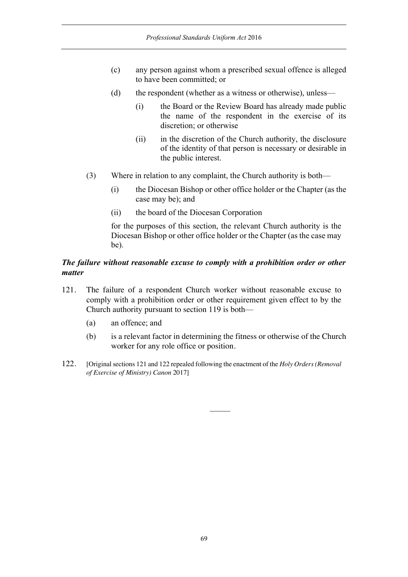- (c) any person against whom a prescribed sexual offence is alleged to have been committed; or
- (d) the respondent (whether as a witness or otherwise), unless—
	- (i) the Board or the Review Board has already made public the name of the respondent in the exercise of its discretion; or otherwise
	- (ii) in the discretion of the Church authority, the disclosure of the identity of that person is necessary or desirable in the public interest.
- (3) Where in relation to any complaint, the Church authority is both—
	- (i) the Diocesan Bishop or other office holder or the Chapter (as the case may be); and
	- (ii) the board of the Diocesan Corporation

for the purposes of this section, the relevant Church authority is the Diocesan Bishop or other office holder or the Chapter (as the case may be).

### *The failure without reasonable excuse to comply with a prohibition order or other matter*

- 121. The failure of a respondent Church worker without reasonable excuse to comply with a prohibition order or other requirement given effect to by the Church authority pursuant to section 119 is both—
	- (a) an offence; and
	- (b) is a relevant factor in determining the fitness or otherwise of the Church worker for any role office or position.
- 122. [Original sections 121 and 122 repealed following the enactment of the *Holy Orders (Removal of Exercise of Ministry) Canon* 2017]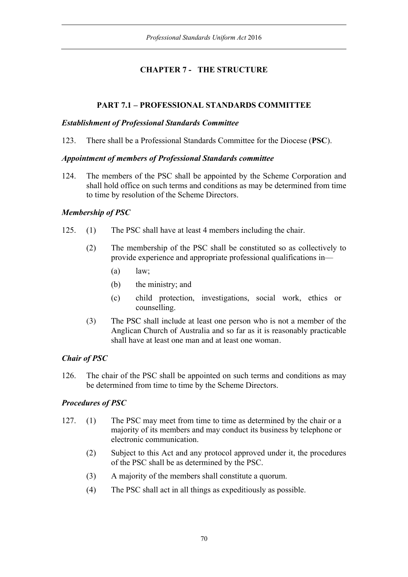# **CHAPTER 7 - THE STRUCTURE**

# **PART 7.1 – PROFESSIONAL STANDARDS COMMITTEE**

### *Establishment of Professional Standards Committee*

123. There shall be a Professional Standards Committee for the Diocese (**PSC**).

### *Appointment of members of Professional Standards committee*

124. The members of the PSC shall be appointed by the Scheme Corporation and shall hold office on such terms and conditions as may be determined from time to time by resolution of the Scheme Directors.

## *Membership of PSC*

- 125. (1) The PSC shall have at least 4 members including the chair.
	- (2) The membership of the PSC shall be constituted so as collectively to provide experience and appropriate professional qualifications in—
		- (a) law;
		- (b) the ministry; and
		- (c) child protection, investigations, social work, ethics or counselling.
	- (3) The PSC shall include at least one person who is not a member of the Anglican Church of Australia and so far as it is reasonably practicable shall have at least one man and at least one woman.

## *Chair of PSC*

126. The chair of the PSC shall be appointed on such terms and conditions as may be determined from time to time by the Scheme Directors.

## *Procedures of PSC*

- 127. (1) The PSC may meet from time to time as determined by the chair or a majority of its members and may conduct its business by telephone or electronic communication.
	- (2) Subject to this Act and any protocol approved under it, the procedures of the PSC shall be as determined by the PSC.
	- (3) A majority of the members shall constitute a quorum.
	- (4) The PSC shall act in all things as expeditiously as possible.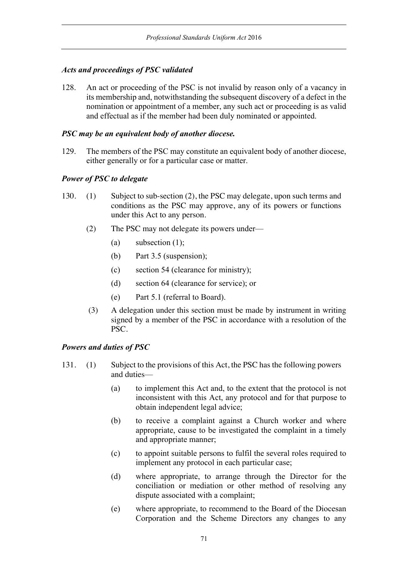## *Acts and proceedings of PSC validated*

128. An act or proceeding of the PSC is not invalid by reason only of a vacancy in its membership and, notwithstanding the subsequent discovery of a defect in the nomination or appointment of a member, any such act or proceeding is as valid and effectual as if the member had been duly nominated or appointed.

### *PSC may be an equivalent body of another diocese.*

129. The members of the PSC may constitute an equivalent body of another diocese, either generally or for a particular case or matter.

## *Power of PSC to delegate*

- 130. (1) Subject to sub-section (2), the PSC may delegate, upon such terms and conditions as the PSC may approve, any of its powers or functions under this Act to any person.
	- (2) The PSC may not delegate its powers under—
		- (a) subsection (1);
		- (b) Part 3.5 (suspension);
		- (c) section 54 (clearance for ministry);
		- (d) section 64 (clearance for service); or
		- (e) Part 5.1 (referral to Board).
	- (3) A delegation under this section must be made by instrument in writing signed by a member of the PSC in accordance with a resolution of the PSC.

### *Powers and duties of PSC*

- 131. (1) Subject to the provisions of this Act, the PSC has the following powers and duties—
	- (a) to implement this Act and, to the extent that the protocol is not inconsistent with this Act, any protocol and for that purpose to obtain independent legal advice;
	- (b) to receive a complaint against a Church worker and where appropriate, cause to be investigated the complaint in a timely and appropriate manner;
	- (c) to appoint suitable persons to fulfil the several roles required to implement any protocol in each particular case;
	- (d) where appropriate, to arrange through the Director for the conciliation or mediation or other method of resolving any dispute associated with a complaint;
	- (e) where appropriate, to recommend to the Board of the Diocesan Corporation and the Scheme Directors any changes to any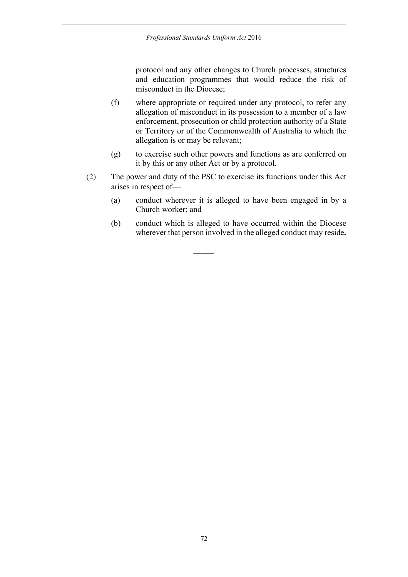protocol and any other changes to Church processes, structures and education programmes that would reduce the risk of misconduct in the Diocese;

- (f) where appropriate or required under any protocol, to refer any allegation of misconduct in its possession to a member of a law enforcement, prosecution or child protection authority of a State or Territory or of the Commonwealth of Australia to which the allegation is or may be relevant;
- (g) to exercise such other powers and functions as are conferred on it by this or any other Act or by a protocol.
- (2) The power and duty of the PSC to exercise its functions under this Act arises in respect of—

 $\overline{\phantom{a}}$ 

- (a) conduct wherever it is alleged to have been engaged in by a Church worker; and
- (b) conduct which is alleged to have occurred within the Diocese wherever that person involved in the alleged conduct may reside**.**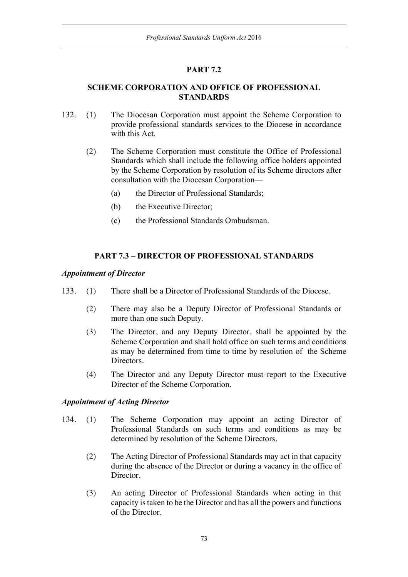# **PART 7.2**

# **SCHEME CORPORATION AND OFFICE OF PROFESSIONAL STANDARDS**

- 132. (1) The Diocesan Corporation must appoint the Scheme Corporation to provide professional standards services to the Diocese in accordance with this Act.
	- (2) The Scheme Corporation must constitute the Office of Professional Standards which shall include the following office holders appointed by the Scheme Corporation by resolution of its Scheme directors after consultation with the Diocesan Corporation—
		- (a) the Director of Professional Standards;
		- (b) the Executive Director;
		- (c) the Professional Standards Ombudsman.

# **PART 7.3 – DIRECTOR OF PROFESSIONAL STANDARDS**

## *Appointment of Director*

- 133. (1) There shall be a Director of Professional Standards of the Diocese.
	- (2) There may also be a Deputy Director of Professional Standards or more than one such Deputy.
	- (3) The Director, and any Deputy Director, shall be appointed by the Scheme Corporation and shall hold office on such terms and conditions as may be determined from time to time by resolution of the Scheme Directors.
	- (4) The Director and any Deputy Director must report to the Executive Director of the Scheme Corporation.

## *Appointment of Acting Director*

- 134. (1) The Scheme Corporation may appoint an acting Director of Professional Standards on such terms and conditions as may be determined by resolution of the Scheme Directors.
	- (2) The Acting Director of Professional Standards may act in that capacity during the absence of the Director or during a vacancy in the office of Director.
	- (3) An acting Director of Professional Standards when acting in that capacity is taken to be the Director and has all the powers and functions of the Director.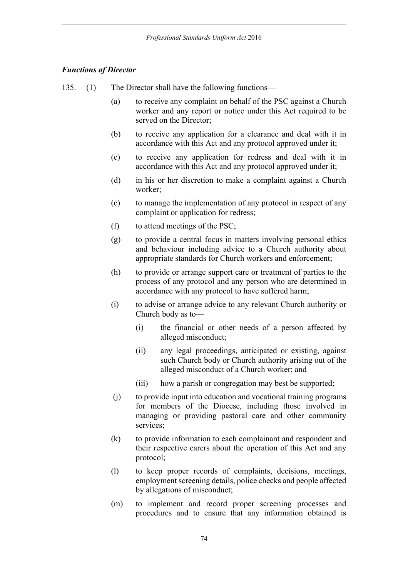## *Functions of Director*

- 135. (1) The Director shall have the following functions—
	- (a) to receive any complaint on behalf of the PSC against a Church worker and any report or notice under this Act required to be served on the Director;
	- (b) to receive any application for a clearance and deal with it in accordance with this Act and any protocol approved under it;
	- (c) to receive any application for redress and deal with it in accordance with this Act and any protocol approved under it;
	- (d) in his or her discretion to make a complaint against a Church worker;
	- (e) to manage the implementation of any protocol in respect of any complaint or application for redress;
	- (f) to attend meetings of the PSC;
	- (g) to provide a central focus in matters involving personal ethics and behaviour including advice to a Church authority about appropriate standards for Church workers and enforcement;
	- (h) to provide or arrange support care or treatment of parties to the process of any protocol and any person who are determined in accordance with any protocol to have suffered harm;
	- (i) to advise or arrange advice to any relevant Church authority or Church body as to—
		- (i) the financial or other needs of a person affected by alleged misconduct;
		- (ii) any legal proceedings, anticipated or existing, against such Church body or Church authority arising out of the alleged misconduct of a Church worker; and
		- (iii) how a parish or congregation may best be supported;
	- (j) to provide input into education and vocational training programs for members of the Diocese, including those involved in managing or providing pastoral care and other community services;
	- (k) to provide information to each complainant and respondent and their respective carers about the operation of this Act and any protocol;
	- (l) to keep proper records of complaints, decisions, meetings, employment screening details, police checks and people affected by allegations of misconduct;
	- (m) to implement and record proper screening processes and procedures and to ensure that any information obtained is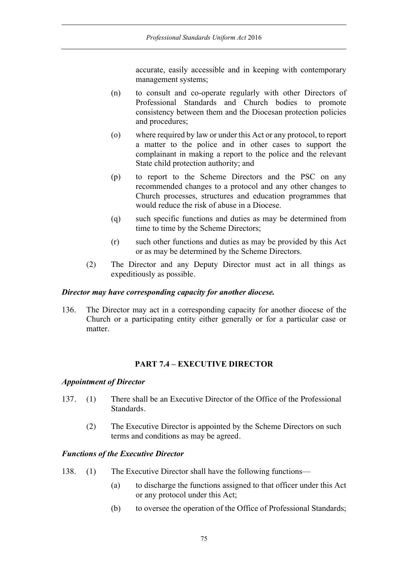accurate, easily accessible and in keeping with contemporary management systems;

- (n) to consult and co-operate regularly with other Directors of Professional Standards and Church bodies to promote consistency between them and the Diocesan protection policies and procedures;
- (o) where required by law or under this Act or any protocol, to report a matter to the police and in other cases to support the complainant in making a report to the police and the relevant State child protection authority; and
- (p) to report to the Scheme Directors and the PSC on any recommended changes to a protocol and any other changes to Church processes, structures and education programmes that would reduce the risk of abuse in a Diocese.
- (q) such specific functions and duties as may be determined from time to time by the Scheme Directors;
- (r) such other functions and duties as may be provided by this Act or as may be determined by the Scheme Directors.
- (2) The Director and any Deputy Director must act in all things as expeditiously as possible.

# *Director may have corresponding capacity for another diocese.*

136. The Director may act in a corresponding capacity for another diocese of the Church or a participating entity either generally or for a particular case or matter.

# **PART 7.4 – EXECUTIVE DIRECTOR**

## *Appointment of Director*

- 137. (1) There shall be an Executive Director of the Office of the Professional Standards.
	- (2) The Executive Director is appointed by the Scheme Directors on such terms and conditions as may be agreed.

## *Functions of the Executive Director*

- 138. (1) The Executive Director shall have the following functions—
	- (a) to discharge the functions assigned to that officer under this Act or any protocol under this Act;
	- (b) to oversee the operation of the Office of Professional Standards;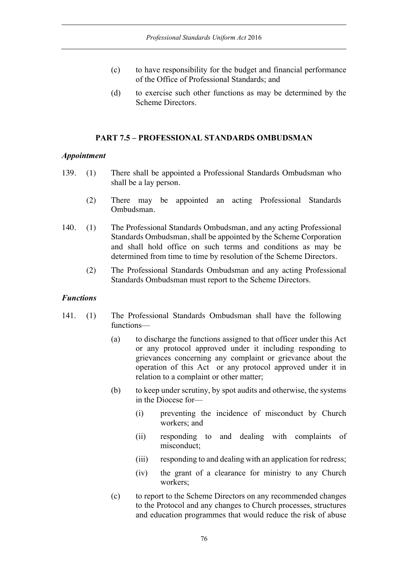- (c) to have responsibility for the budget and financial performance of the Office of Professional Standards; and
- (d) to exercise such other functions as may be determined by the Scheme Directors.

## **PART 7.5 – PROFESSIONAL STANDARDS OMBUDSMAN**

## *Appointment*

- 139. (1) There shall be appointed a Professional Standards Ombudsman who shall be a lay person.
	- (2) There may be appointed an acting Professional Standards Ombudsman.
- 140. (1) The Professional Standards Ombudsman, and any acting Professional Standards Ombudsman, shall be appointed by the Scheme Corporation and shall hold office on such terms and conditions as may be determined from time to time by resolution of the Scheme Directors.
	- (2) The Professional Standards Ombudsman and any acting Professional Standards Ombudsman must report to the Scheme Directors.

## *Functions*

- 141. (1) The Professional Standards Ombudsman shall have the following functions—
	- (a) to discharge the functions assigned to that officer under this Act or any protocol approved under it including responding to grievances concerning any complaint or grievance about the operation of this Act or any protocol approved under it in relation to a complaint or other matter;
	- (b) to keep under scrutiny, by spot audits and otherwise, the systems in the Diocese for—
		- (i) preventing the incidence of misconduct by Church workers; and
		- (ii) responding to and dealing with complaints of misconduct;
		- (iii) responding to and dealing with an application for redress;
		- (iv) the grant of a clearance for ministry to any Church workers;
	- (c) to report to the Scheme Directors on any recommended changes to the Protocol and any changes to Church processes, structures and education programmes that would reduce the risk of abuse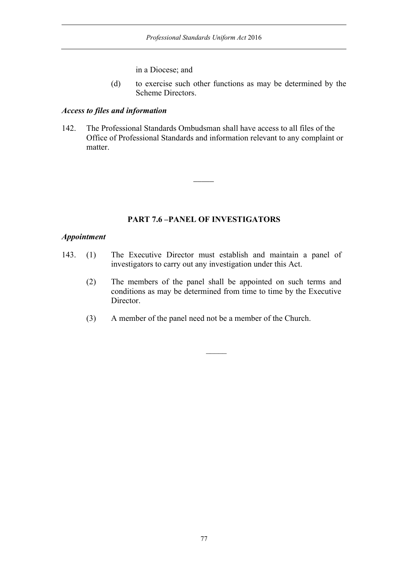in a Diocese; and

(d) to exercise such other functions as may be determined by the Scheme Directors.

## *Access to files and information*

142. The Professional Standards Ombudsman shall have access to all files of the Office of Professional Standards and information relevant to any complaint or matter.

 $\overline{\phantom{a}}$ 

## **PART 7.6 –PANEL OF INVESTIGATORS**

#### *Appointment*

- 143. (1) The Executive Director must establish and maintain a panel of investigators to carry out any investigation under this Act.
	- (2) The members of the panel shall be appointed on such terms and conditions as may be determined from time to time by the Executive Director.
	- (3) A member of the panel need not be a member of the Church.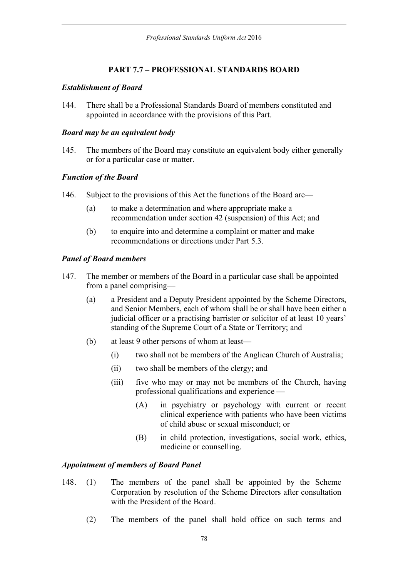# **PART 7.7 – PROFESSIONAL STANDARDS BOARD**

## *Establishment of Board*

144. There shall be a Professional Standards Board of members constituted and appointed in accordance with the provisions of this Part.

## *Board may be an equivalent body*

145. The members of the Board may constitute an equivalent body either generally or for a particular case or matter.

## *Function of the Board*

- 146. Subject to the provisions of this Act the functions of the Board are—
	- (a) to make a determination and where appropriate make a recommendation under section 42 (suspension) of this Act; and
	- (b) to enquire into and determine a complaint or matter and make recommendations or directions under Part 5.3.

## *Panel of Board members*

- 147. The member or members of the Board in a particular case shall be appointed from a panel comprising—
	- (a) a President and a Deputy President appointed by the Scheme Directors, and Senior Members, each of whom shall be or shall have been either a judicial officer or a practising barrister or solicitor of at least 10 years' standing of the Supreme Court of a State or Territory; and
	- (b) at least 9 other persons of whom at least—
		- (i) two shall not be members of the Anglican Church of Australia;
		- (ii) two shall be members of the clergy; and
		- (iii) five who may or may not be members of the Church, having professional qualifications and experience —
			- (A) in psychiatry or psychology with current or recent clinical experience with patients who have been victims of child abuse or sexual misconduct; or
			- (B) in child protection, investigations, social work, ethics, medicine or counselling.

# *Appointment of members of Board Panel*

- 148. (1) The members of the panel shall be appointed by the Scheme Corporation by resolution of the Scheme Directors after consultation with the President of the Board.
	- (2) The members of the panel shall hold office on such terms and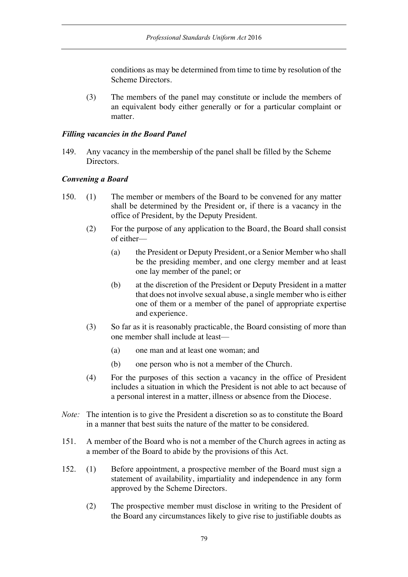conditions as may be determined from time to time by resolution of the Scheme Directors.

(3) The members of the panel may constitute or include the members of an equivalent body either generally or for a particular complaint or matter.

## *Filling vacancies in the Board Panel*

149. Any vacancy in the membership of the panel shall be filled by the Scheme Directors.

## *Convening a Board*

- 150. (1) The member or members of the Board to be convened for any matter shall be determined by the President or, if there is a vacancy in the office of President, by the Deputy President.
	- (2) For the purpose of any application to the Board, the Board shall consist of either—
		- (a) the President or Deputy President, or a Senior Member who shall be the presiding member, and one clergy member and at least one lay member of the panel; or
		- (b) at the discretion of the President or Deputy President in a matter that does not involve sexual abuse, a single member who is either one of them or a member of the panel of appropriate expertise and experience.
	- (3) So far as it is reasonably practicable, the Board consisting of more than one member shall include at least—
		- (a) one man and at least one woman; and
		- (b) one person who is not a member of the Church.
	- (4) For the purposes of this section a vacancy in the office of President includes a situation in which the President is not able to act because of a personal interest in a matter, illness or absence from the Diocese.
- *Note*: The intention is to give the President a discretion so as to constitute the Board in a manner that best suits the nature of the matter to be considered.
- 151. A member of the Board who is not a member of the Church agrees in acting as a member of the Board to abide by the provisions of this Act.
- 152. (1) Before appointment, a prospective member of the Board must sign a statement of availability, impartiality and independence in any form approved by the Scheme Directors.
	- (2) The prospective member must disclose in writing to the President of the Board any circumstances likely to give rise to justifiable doubts as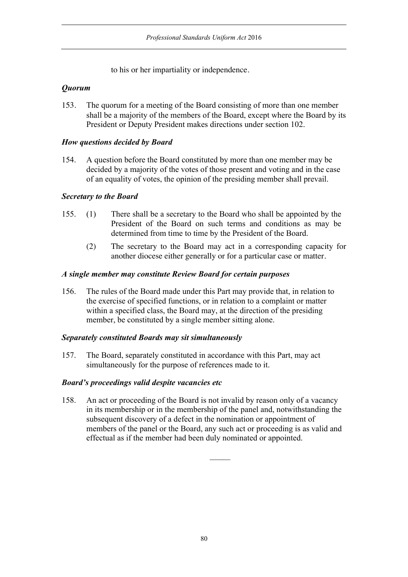to his or her impartiality or independence.

# *Quorum*

153. The quorum for a meeting of the Board consisting of more than one member shall be a majority of the members of the Board, except where the Board by its President or Deputy President makes directions under section 102.

# *How questions decided by Board*

154. A question before the Board constituted by more than one member may be decided by a majority of the votes of those present and voting and in the case of an equality of votes, the opinion of the presiding member shall prevail.

## *Secretary to the Board*

- 155. (1) There shall be a secretary to the Board who shall be appointed by the President of the Board on such terms and conditions as may be determined from time to time by the President of the Board.
	- (2) The secretary to the Board may act in a corresponding capacity for another diocese either generally or for a particular case or matter.

## *A single member may constitute Review Board for certain purposes*

156. The rules of the Board made under this Part may provide that, in relation to the exercise of specified functions, or in relation to a complaint or matter within a specified class, the Board may, at the direction of the presiding member, be constituted by a single member sitting alone.

## *Separately constituted Boards may sit simultaneously*

157. The Board, separately constituted in accordance with this Part, may act simultaneously for the purpose of references made to it.

## *Board's proceedings valid despite vacancies etc*

158. An act or proceeding of the Board is not invalid by reason only of a vacancy in its membership or in the membership of the panel and, notwithstanding the subsequent discovery of a defect in the nomination or appointment of members of the panel or the Board, any such act or proceeding is as valid and effectual as if the member had been duly nominated or appointed.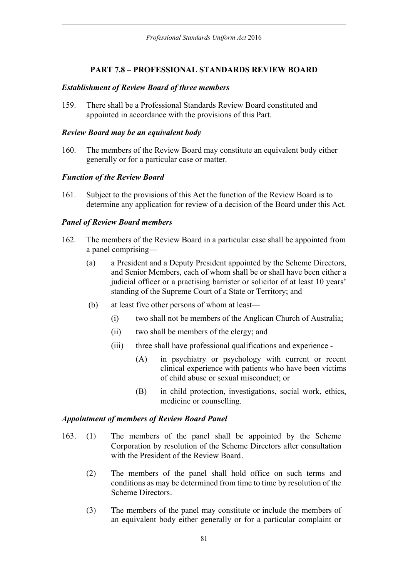# **PART 7.8 – PROFESSIONAL STANDARDS REVIEW BOARD**

#### *Establishment of Review Board of three members*

159. There shall be a Professional Standards Review Board constituted and appointed in accordance with the provisions of this Part.

### *Review Board may be an equivalent body*

160. The members of the Review Board may constitute an equivalent body either generally or for a particular case or matter.

#### *Function of the Review Board*

161. Subject to the provisions of this Act the function of the Review Board is to determine any application for review of a decision of the Board under this Act.

#### *Panel of Review Board members*

- 162. The members of the Review Board in a particular case shall be appointed from a panel comprising—
	- (a) a President and a Deputy President appointed by the Scheme Directors, and Senior Members, each of whom shall be or shall have been either a judicial officer or a practising barrister or solicitor of at least 10 years' standing of the Supreme Court of a State or Territory; and
	- (b) at least five other persons of whom at least—
		- (i) two shall not be members of the Anglican Church of Australia;
		- (ii) two shall be members of the clergy; and
		- (iii) three shall have professional qualifications and experience
			- (A) in psychiatry or psychology with current or recent clinical experience with patients who have been victims of child abuse or sexual misconduct; or
			- (B) in child protection, investigations, social work, ethics, medicine or counselling.

#### *Appointment of members of Review Board Panel*

- 163. (1) The members of the panel shall be appointed by the Scheme Corporation by resolution of the Scheme Directors after consultation with the President of the Review Board.
	- (2) The members of the panel shall hold office on such terms and conditions as may be determined from time to time by resolution of the Scheme Directors.
	- (3) The members of the panel may constitute or include the members of an equivalent body either generally or for a particular complaint or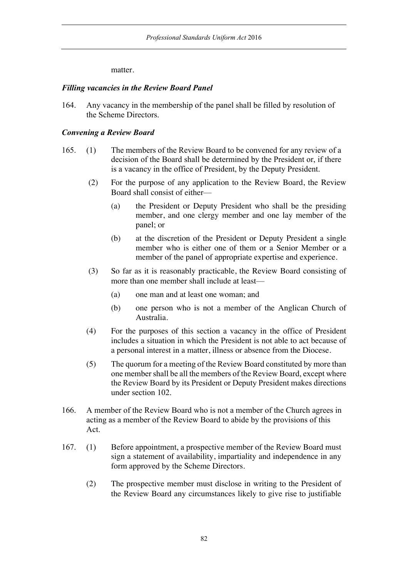matter.

#### *Filling vacancies in the Review Board Panel*

164. Any vacancy in the membership of the panel shall be filled by resolution of the Scheme Directors.

#### *Convening a Review Board*

- 165. (1) The members of the Review Board to be convened for any review of a decision of the Board shall be determined by the President or, if there is a vacancy in the office of President, by the Deputy President.
	- (2) For the purpose of any application to the Review Board, the Review Board shall consist of either—
		- (a) the President or Deputy President who shall be the presiding member, and one clergy member and one lay member of the panel; or
		- (b) at the discretion of the President or Deputy President a single member who is either one of them or a Senior Member or a member of the panel of appropriate expertise and experience.
	- (3) So far as it is reasonably practicable, the Review Board consisting of more than one member shall include at least—
		- (a) one man and at least one woman; and
		- (b) one person who is not a member of the Anglican Church of Australia.
	- (4) For the purposes of this section a vacancy in the office of President includes a situation in which the President is not able to act because of a personal interest in a matter, illness or absence from the Diocese.
	- (5) The quorum for a meeting of the Review Board constituted by more than one member shall be all the members of the Review Board, except where the Review Board by its President or Deputy President makes directions under section 102.
- 166. A member of the Review Board who is not a member of the Church agrees in acting as a member of the Review Board to abide by the provisions of this Act.
- 167. (1) Before appointment, a prospective member of the Review Board must sign a statement of availability, impartiality and independence in any form approved by the Scheme Directors.
	- (2) The prospective member must disclose in writing to the President of the Review Board any circumstances likely to give rise to justifiable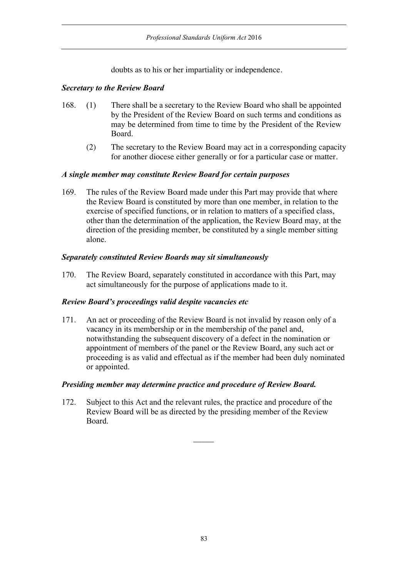doubts as to his or her impartiality or independence.

## *Secretary to the Review Board*

- 168. (1) There shall be a secretary to the Review Board who shall be appointed by the President of the Review Board on such terms and conditions as may be determined from time to time by the President of the Review Board.
	- (2) The secretary to the Review Board may act in a corresponding capacity for another diocese either generally or for a particular case or matter.

## *A single member may constitute Review Board for certain purposes*

169. The rules of the Review Board made under this Part may provide that where the Review Board is constituted by more than one member, in relation to the exercise of specified functions, or in relation to matters of a specified class, other than the determination of the application, the Review Board may, at the direction of the presiding member, be constituted by a single member sitting alone.

## *Separately constituted Review Boards may sit simultaneously*

170. The Review Board, separately constituted in accordance with this Part, may act simultaneously for the purpose of applications made to it.

# *Review Board's proceedings valid despite vacancies etc*

171. An act or proceeding of the Review Board is not invalid by reason only of a vacancy in its membership or in the membership of the panel and, notwithstanding the subsequent discovery of a defect in the nomination or appointment of members of the panel or the Review Board, any such act or proceeding is as valid and effectual as if the member had been duly nominated or appointed.

## *Presiding member may determine practice and procedure of Review Board.*

172. Subject to this Act and the relevant rules, the practice and procedure of the Review Board will be as directed by the presiding member of the Review Board.

 $\overline{\phantom{a}}$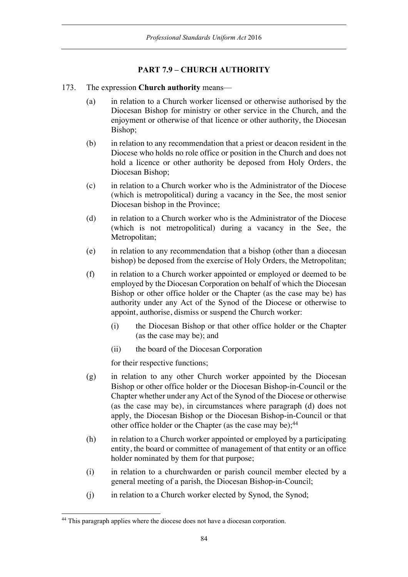# **PART 7.9 – CHURCH AUTHORITY**

- 173. The expression **Church authority** means—
	- (a) in relation to a Church worker licensed or otherwise authorised by the Diocesan Bishop for ministry or other service in the Church, and the enjoyment or otherwise of that licence or other authority, the Diocesan Bishop;
	- (b) in relation to any recommendation that a priest or deacon resident in the Diocese who holds no role office or position in the Church and does not hold a licence or other authority be deposed from Holy Orders, the Diocesan Bishop;
	- (c) in relation to a Church worker who is the Administrator of the Diocese (which is metropolitical) during a vacancy in the See, the most senior Diocesan bishop in the Province;
	- (d) in relation to a Church worker who is the Administrator of the Diocese (which is not metropolitical) during a vacancy in the See, the Metropolitan;
	- (e) in relation to any recommendation that a bishop (other than a diocesan bishop) be deposed from the exercise of Holy Orders, the Metropolitan;
	- (f) in relation to a Church worker appointed or employed or deemed to be employed by the Diocesan Corporation on behalf of which the Diocesan Bishop or other office holder or the Chapter (as the case may be) has authority under any Act of the Synod of the Diocese or otherwise to appoint, authorise, dismiss or suspend the Church worker:
		- (i) the Diocesan Bishop or that other office holder or the Chapter (as the case may be); and
		- (ii) the board of the Diocesan Corporation

for their respective functions;

- (g) in relation to any other Church worker appointed by the Diocesan Bishop or other office holder or the Diocesan Bishop-in-Council or the Chapter whether under any Act of the Synod of the Diocese or otherwise (as the case may be), in circumstances where paragraph (d) does not apply, the Diocesan Bishop or the Diocesan Bishop-in-Council or that other office holder or the Chapter (as the case may be);<sup>44</sup>
- (h) in relation to a Church worker appointed or employed by a participating entity, the board or committee of management of that entity or an office holder nominated by them for that purpose;
- (i) in relation to a churchwarden or parish council member elected by a general meeting of a parish, the Diocesan Bishop-in-Council;
- (j) in relation to a Church worker elected by Synod, the Synod;

<sup>&</sup>lt;sup>44</sup> This paragraph applies where the diocese does not have a diocesan corporation.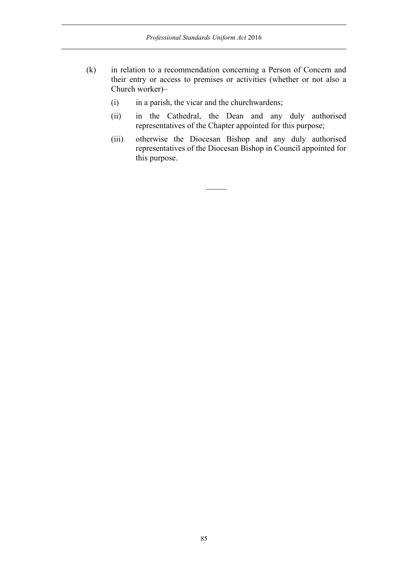- (k) in relation to a recommendation concerning a Person of Concern and their entry or access to premises or activities (whether or not also a Church worker)–
	- (i) in a parish, the vicar and the churchwardens;
	- (ii) in the Cathedral, the Dean and any duly authorised representatives of the Chapter appointed for this purpose;
	- (iii) otherwise the Diocesan Bishop and any duly authorised representatives of the Diocesan Bishop in Council appointed for this purpose.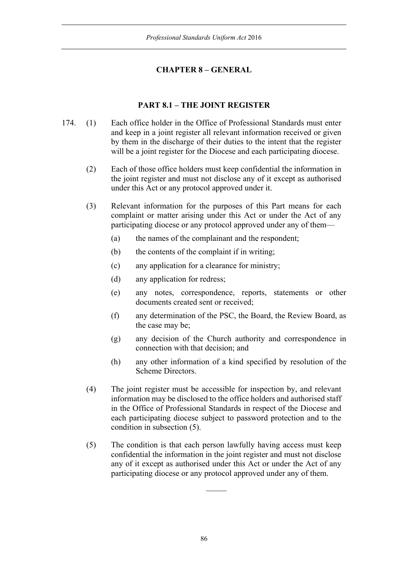# **CHAPTER 8 – GENERAL**

# **PART 8.1 – THE JOINT REGISTER**

- 174. (1) Each office holder in the Office of Professional Standards must enter and keep in a joint register all relevant information received or given by them in the discharge of their duties to the intent that the register will be a joint register for the Diocese and each participating diocese.
	- (2) Each of those office holders must keep confidential the information in the joint register and must not disclose any of it except as authorised under this Act or any protocol approved under it.
	- (3) Relevant information for the purposes of this Part means for each complaint or matter arising under this Act or under the Act of any participating diocese or any protocol approved under any of them—
		- (a) the names of the complainant and the respondent;
		- (b) the contents of the complaint if in writing;
		- (c) any application for a clearance for ministry;
		- (d) any application for redress;
		- (e) any notes, correspondence, reports, statements or other documents created sent or received;
		- (f) any determination of the PSC, the Board, the Review Board, as the case may be;
		- (g) any decision of the Church authority and correspondence in connection with that decision; and
		- (h) any other information of a kind specified by resolution of the Scheme Directors.
	- (4) The joint register must be accessible for inspection by, and relevant information may be disclosed to the office holders and authorised staff in the Office of Professional Standards in respect of the Diocese and each participating diocese subject to password protection and to the condition in subsection (5).
	- (5) The condition is that each person lawfully having access must keep confidential the information in the joint register and must not disclose any of it except as authorised under this Act or under the Act of any participating diocese or any protocol approved under any of them.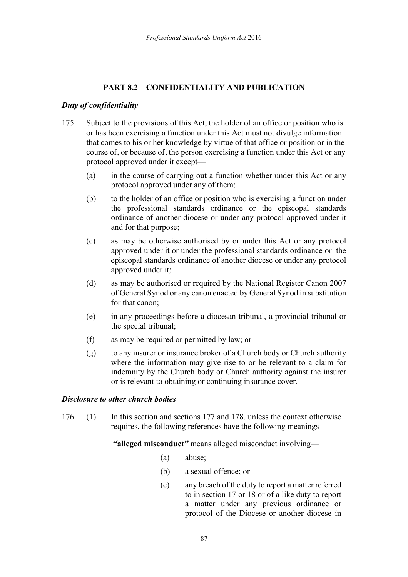# **PART 8.2 – CONFIDENTIALITY AND PUBLICATION**

# *Duty of confidentiality*

- 175. Subject to the provisions of this Act, the holder of an office or position who is or has been exercising a function under this Act must not divulge information that comes to his or her knowledge by virtue of that office or position or in the course of, or because of, the person exercising a function under this Act or any protocol approved under it except—
	- (a) in the course of carrying out a function whether under this Act or any protocol approved under any of them;
	- (b) to the holder of an office or position who is exercising a function under the professional standards ordinance or the episcopal standards ordinance of another diocese or under any protocol approved under it and for that purpose;
	- (c) as may be otherwise authorised by or under this Act or any protocol approved under it or under the professional standards ordinance or the episcopal standards ordinance of another diocese or under any protocol approved under it;
	- (d) as may be authorised or required by the National Register Canon 2007 of General Synod or any canon enacted by General Synod in substitution for that canon;
	- (e) in any proceedings before a diocesan tribunal, a provincial tribunal or the special tribunal;
	- (f) as may be required or permitted by law; or
	- (g) to any insurer or insurance broker of a Church body or Church authority where the information may give rise to or be relevant to a claim for indemnity by the Church body or Church authority against the insurer or is relevant to obtaining or continuing insurance cover.

## *Disclosure to other church bodies*

176. (1) In this section and sections 177 and 178, unless the context otherwise requires, the following references have the following meanings -

*"***alleged misconduct***"* means alleged misconduct involving—

- (a) abuse;
- (b) a sexual offence; or
- (c) any breach of the duty to report a matter referred to in section 17 or 18 or of a like duty to report a matter under any previous ordinance or protocol of the Diocese or another diocese in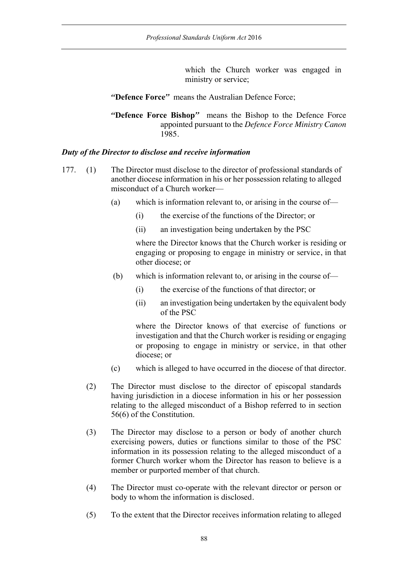which the Church worker was engaged in ministry or service;

*"***Defence Force***"* means the Australian Defence Force;

*"***Defence Force Bishop***"* means the Bishop to the Defence Force appointed pursuant to the *Defence Force Ministry Canon* 1985.

## *Duty of the Director to disclose and receive information*

- 177. (1) The Director must disclose to the director of professional standards of another diocese information in his or her possession relating to alleged misconduct of a Church worker—
	- (a) which is information relevant to, or arising in the course of—
		- (i) the exercise of the functions of the Director; or
		- (ii) an investigation being undertaken by the PSC

where the Director knows that the Church worker is residing or engaging or proposing to engage in ministry or service, in that other diocese; or

- (b) which is information relevant to, or arising in the course of—
	- (i) the exercise of the functions of that director; or
	- (ii) an investigation being undertaken by the equivalent body of the PSC

where the Director knows of that exercise of functions or investigation and that the Church worker is residing or engaging or proposing to engage in ministry or service, in that other diocese; or

- (c) which is alleged to have occurred in the diocese of that director.
- (2) The Director must disclose to the director of episcopal standards having jurisdiction in a diocese information in his or her possession relating to the alleged misconduct of a Bishop referred to in section 56(6) of the Constitution.
- (3) The Director may disclose to a person or body of another church exercising powers, duties or functions similar to those of the PSC information in its possession relating to the alleged misconduct of a former Church worker whom the Director has reason to believe is a member or purported member of that church.
- (4) The Director must co-operate with the relevant director or person or body to whom the information is disclosed.
- (5) To the extent that the Director receives information relating to alleged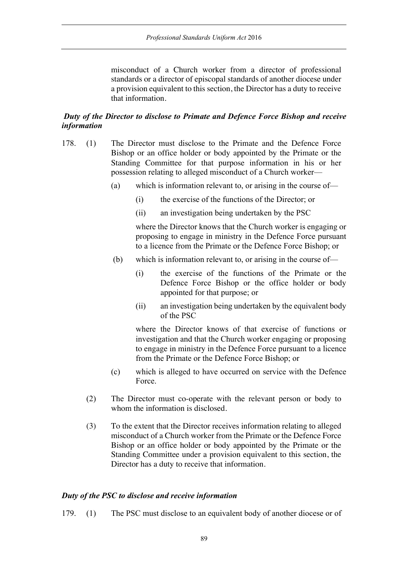misconduct of a Church worker from a director of professional standards or a director of episcopal standards of another diocese under a provision equivalent to this section, the Director has a duty to receive that information.

# *Duty of the Director to disclose to Primate and Defence Force Bishop and receive information*

- 178. (1) The Director must disclose to the Primate and the Defence Force Bishop or an office holder or body appointed by the Primate or the Standing Committee for that purpose information in his or her possession relating to alleged misconduct of a Church worker—
	- (a) which is information relevant to, or arising in the course of—
		- (i) the exercise of the functions of the Director; or
		- (ii) an investigation being undertaken by the PSC

where the Director knows that the Church worker is engaging or proposing to engage in ministry in the Defence Force pursuant to a licence from the Primate or the Defence Force Bishop; or

- (b) which is information relevant to, or arising in the course of—
	- (i) the exercise of the functions of the Primate or the Defence Force Bishop or the office holder or body appointed for that purpose; or
	- (ii) an investigation being undertaken by the equivalent body of the PSC

where the Director knows of that exercise of functions or investigation and that the Church worker engaging or proposing to engage in ministry in the Defence Force pursuant to a licence from the Primate or the Defence Force Bishop; or

- (c) which is alleged to have occurred on service with the Defence Force.
- (2) The Director must co-operate with the relevant person or body to whom the information is disclosed.
- (3) To the extent that the Director receives information relating to alleged misconduct of a Church worker from the Primate or the Defence Force Bishop or an office holder or body appointed by the Primate or the Standing Committee under a provision equivalent to this section, the Director has a duty to receive that information.

#### *Duty of the PSC to disclose and receive information*

179. (1) The PSC must disclose to an equivalent body of another diocese or of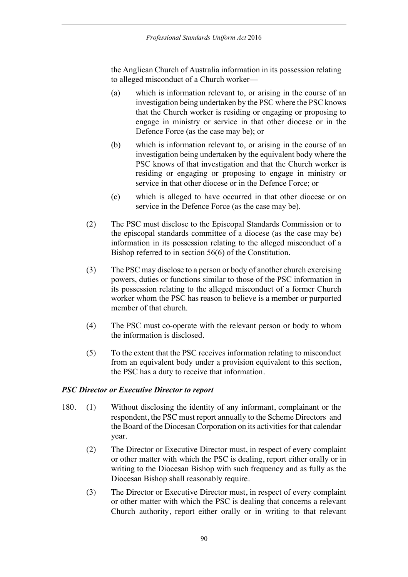the Anglican Church of Australia information in its possession relating to alleged misconduct of a Church worker—

- (a) which is information relevant to, or arising in the course of an investigation being undertaken by the PSC where the PSC knows that the Church worker is residing or engaging or proposing to engage in ministry or service in that other diocese or in the Defence Force (as the case may be); or
- (b) which is information relevant to, or arising in the course of an investigation being undertaken by the equivalent body where the PSC knows of that investigation and that the Church worker is residing or engaging or proposing to engage in ministry or service in that other diocese or in the Defence Force; or
- (c) which is alleged to have occurred in that other diocese or on service in the Defence Force (as the case may be).
- (2) The PSC must disclose to the Episcopal Standards Commission or to the episcopal standards committee of a diocese (as the case may be) information in its possession relating to the alleged misconduct of a Bishop referred to in section 56(6) of the Constitution.
- (3) The PSC may disclose to a person or body of another church exercising powers, duties or functions similar to those of the PSC information in its possession relating to the alleged misconduct of a former Church worker whom the PSC has reason to believe is a member or purported member of that church.
- (4) The PSC must co-operate with the relevant person or body to whom the information is disclosed.
- (5) To the extent that the PSC receives information relating to misconduct from an equivalent body under a provision equivalent to this section, the PSC has a duty to receive that information.

## *PSC Director or Executive Director to report*

- 180. (1) Without disclosing the identity of any informant, complainant or the respondent, the PSC must report annually to the Scheme Directors and the Board of the Diocesan Corporation on its activities for that calendar year.
	- (2) The Director or Executive Director must, in respect of every complaint or other matter with which the PSC is dealing, report either orally or in writing to the Diocesan Bishop with such frequency and as fully as the Diocesan Bishop shall reasonably require.
	- (3) The Director or Executive Director must, in respect of every complaint or other matter with which the PSC is dealing that concerns a relevant Church authority, report either orally or in writing to that relevant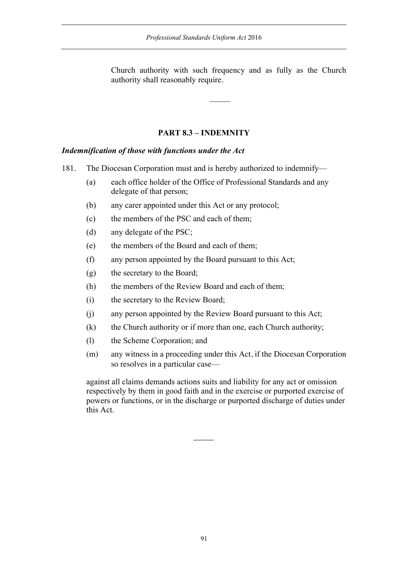Church authority with such frequency and as fully as the Church authority shall reasonably require.

# **PART 8.3 – INDEMNITY**

## *Indemnification of those with functions under the Act*

- 181. The Diocesan Corporation must and is hereby authorized to indemnify—
	- (a) each office holder of the Office of Professional Standards and any delegate of that person;
	- (b) any carer appointed under this Act or any protocol;
	- (c) the members of the PSC and each of them;
	- (d) any delegate of the PSC;
	- (e) the members of the Board and each of them;
	- (f) any person appointed by the Board pursuant to this Act;
	- (g) the secretary to the Board;
	- (h) the members of the Review Board and each of them;
	- (i) the secretary to the Review Board;
	- (j) any person appointed by the Review Board pursuant to this Act;
	- (k) the Church authority or if more than one, each Church authority;
	- (l) the Scheme Corporation; and
	- (m) any witness in a proceeding under this Act, if the Diocesan Corporation so resolves in a particular case—

against all claims demands actions suits and liability for any act or omission respectively by them in good faith and in the exercise or purported exercise of powers or functions, or in the discharge or purported discharge of duties under this Act.

 $\overline{\phantom{a}}$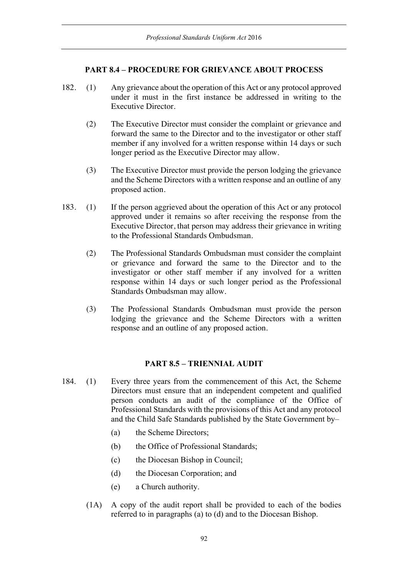## **PART 8.4 – PROCEDURE FOR GRIEVANCE ABOUT PROCESS**

- 182. (1) Any grievance about the operation of this Act or any protocol approved under it must in the first instance be addressed in writing to the Executive Director.
	- (2) The Executive Director must consider the complaint or grievance and forward the same to the Director and to the investigator or other staff member if any involved for a written response within 14 days or such longer period as the Executive Director may allow.
	- (3) The Executive Director must provide the person lodging the grievance and the Scheme Directors with a written response and an outline of any proposed action.
- 183. (1) If the person aggrieved about the operation of this Act or any protocol approved under it remains so after receiving the response from the Executive Director, that person may address their grievance in writing to the Professional Standards Ombudsman.
	- (2) The Professional Standards Ombudsman must consider the complaint or grievance and forward the same to the Director and to the investigator or other staff member if any involved for a written response within 14 days or such longer period as the Professional Standards Ombudsman may allow.
	- (3) The Professional Standards Ombudsman must provide the person lodging the grievance and the Scheme Directors with a written response and an outline of any proposed action.

## **PART 8.5 – TRIENNIAL AUDIT**

- 184. (1) Every three years from the commencement of this Act, the Scheme Directors must ensure that an independent competent and qualified person conducts an audit of the compliance of the Office of Professional Standards with the provisions of this Act and any protocol and the Child Safe Standards published by the State Government by–
	- (a) the Scheme Directors;
	- (b) the Office of Professional Standards;
	- (c) the Diocesan Bishop in Council;
	- (d) the Diocesan Corporation; and
	- (e) a Church authority.
	- (1A) A copy of the audit report shall be provided to each of the bodies referred to in paragraphs (a) to (d) and to the Diocesan Bishop.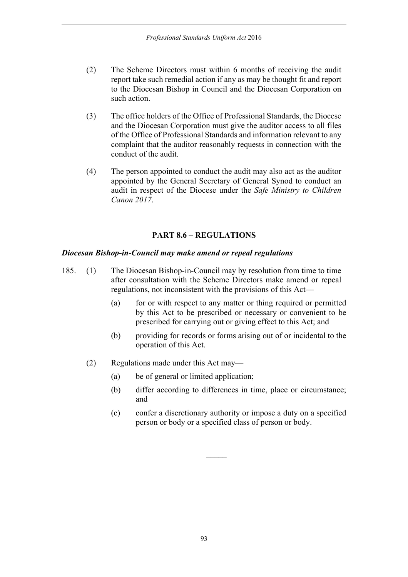- (2) The Scheme Directors must within 6 months of receiving the audit report take such remedial action if any as may be thought fit and report to the Diocesan Bishop in Council and the Diocesan Corporation on such action.
- (3) The office holders of the Office of Professional Standards, the Diocese and the Diocesan Corporation must give the auditor access to all files of the Office of Professional Standards and information relevant to any complaint that the auditor reasonably requests in connection with the conduct of the audit.
- (4) The person appointed to conduct the audit may also act as the auditor appointed by the General Secretary of General Synod to conduct an audit in respect of the Diocese under the *Safe Ministry to Children Canon 2017*.

# **PART 8.6 – REGULATIONS**

## *Diocesan Bishop-in-Council may make amend or repeal regulations*

- 185. (1) The Diocesan Bishop-in-Council may by resolution from time to time after consultation with the Scheme Directors make amend or repeal regulations, not inconsistent with the provisions of this Act—
	- (a) for or with respect to any matter or thing required or permitted by this Act to be prescribed or necessary or convenient to be prescribed for carrying out or giving effect to this Act; and
	- (b) providing for records or forms arising out of or incidental to the operation of this Act.
	- (2) Regulations made under this Act may—
		- (a) be of general or limited application;
		- (b) differ according to differences in time, place or circumstance; and
		- (c) confer a discretionary authority or impose a duty on a specified person or body or a specified class of person or body.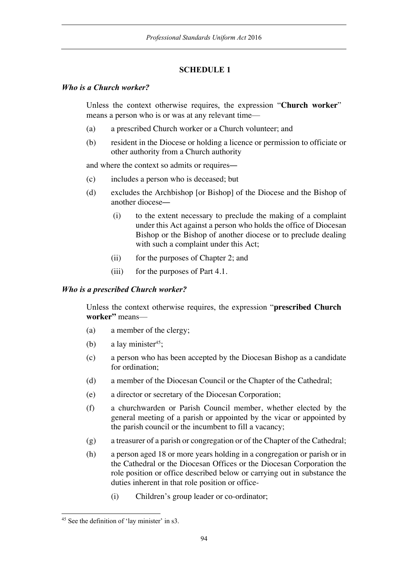# **SCHEDULE 1**

## *Who is a Church worker?*

Unless the context otherwise requires, the expression "**Church worker**" means a person who is or was at any relevant time—

- (a) a prescribed Church worker or a Church volunteer; and
- (b) resident in the Diocese or holding a licence or permission to officiate or other authority from a Church authority

and where the context so admits or requires—

- (c) includes a person who is deceased; but
- (d) excludes the Archbishop [or Bishop] of the Diocese and the Bishop of another diocese—
	- (i) to the extent necessary to preclude the making of a complaint under this Act against a person who holds the office of Diocesan Bishop or the Bishop of another diocese or to preclude dealing with such a complaint under this Act:
	- (ii) for the purposes of Chapter 2; and
	- (iii) for the purposes of Part 4.1.

## *Who is a prescribed Church worker?*

Unless the context otherwise requires, the expression "**prescribed Church worker"** means—

- (a) a member of the clergy;
- (b) a lay minister<sup>45</sup>;
- (c) a person who has been accepted by the Diocesan Bishop as a candidate for ordination;
- (d) a member of the Diocesan Council or the Chapter of the Cathedral;
- (e) a director or secretary of the Diocesan Corporation;
- (f) a churchwarden or Parish Council member, whether elected by the general meeting of a parish or appointed by the vicar or appointed by the parish council or the incumbent to fill a vacancy;
- (g) a treasurer of a parish or congregation or of the Chapter of the Cathedral;
- (h) a person aged 18 or more years holding in a congregation or parish or in the Cathedral or the Diocesan Offices or the Diocesan Corporation the role position or office described below or carrying out in substance the duties inherent in that role position or office-
	- (i) Children's group leader or co-ordinator;

<sup>45</sup> See the definition of 'lay minister' in s3.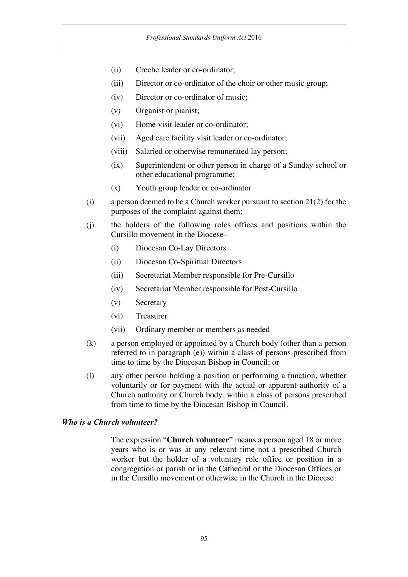- (ii) Creche leader or co-ordinator;
- (iii) Director or co-ordinator of the choir or other music group;
- (iv) Director or co-ordinator of music;
- (v) Organist or pianist;
- (vi) Home visit leader or co-ordinator;
- (vii) Aged care facility visit leader or co-ordinator;
- (viii) Salaried or otherwise remunerated lay person;
- (ix) Superintendent or other person in charge of a Sunday school or other educational programme;
- (x) Youth group leader or co-ordinator
- (i) a person deemed to be a Church worker pursuant to section 21(2) for the purposes of the complaint against them;
- (j) the holders of the following roles offices and positions within the Cursillo movement in the Diocese–
	- (i) Diocesan Co-Lay Directors
	- (ii) Diocesan Co-Spiritual Directors
	- (iii) Secretariat Member responsible for Pre-Cursillo
	- (iv) Secretariat Member responsible for Post-Cursillo
	- (v) Secretary
	- (vi) Treasurer
	- (vii) Ordinary member or members as needed
- (k) a person employed or appointed by a Church body (other than a person referred to in paragraph (e)) within a class of persons prescribed from time to time by the Diocesan Bishop in Council; or
- (l) any other person holding a position or performing a function, whether voluntarily or for payment with the actual or apparent authority of a Church authority or Church body, within a class of persons prescribed from time to time by the Diocesan Bishop in Council.

#### *Who is a Church volunteer?*

The expression "**Church volunteer**" means a person aged 18 or more years who is or was at any relevant time not a prescribed Church worker but the holder of a voluntary role office or position in a congregation or parish or in the Cathedral or the Diocesan Offices or in the Cursillo movement or otherwise in the Church in the Diocese.